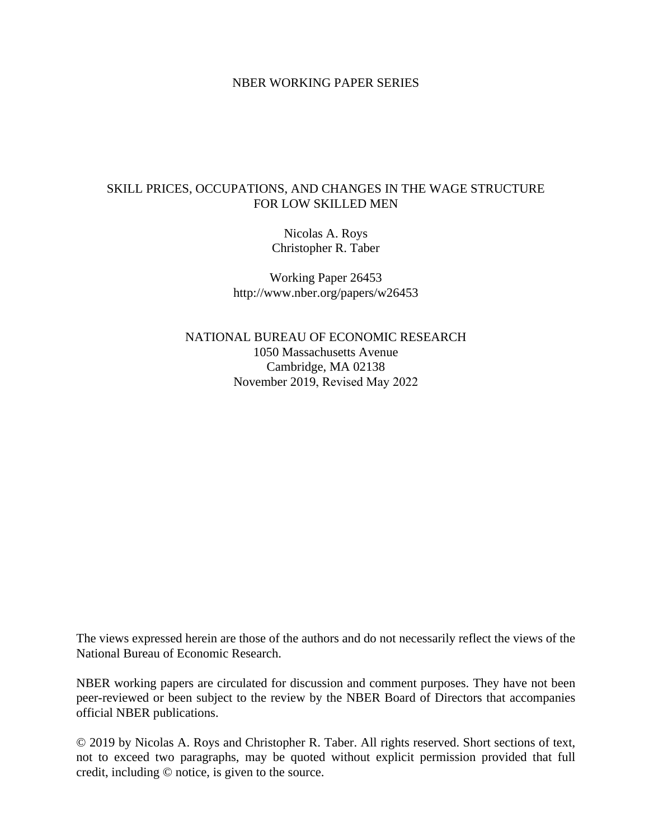#### NBER WORKING PAPER SERIES

### SKILL PRICES, OCCUPATIONS, AND CHANGES IN THE WAGE STRUCTURE FOR LOW SKILLED MEN

Nicolas A. Roys Christopher R. Taber

Working Paper 26453 http://www.nber.org/papers/w26453

NATIONAL BUREAU OF ECONOMIC RESEARCH 1050 Massachusetts Avenue Cambridge, MA 02138 November 2019, Revised May 2022

The views expressed herein are those of the authors and do not necessarily reflect the views of the National Bureau of Economic Research.

NBER working papers are circulated for discussion and comment purposes. They have not been peer-reviewed or been subject to the review by the NBER Board of Directors that accompanies official NBER publications.

© 2019 by Nicolas A. Roys and Christopher R. Taber. All rights reserved. Short sections of text, not to exceed two paragraphs, may be quoted without explicit permission provided that full credit, including © notice, is given to the source.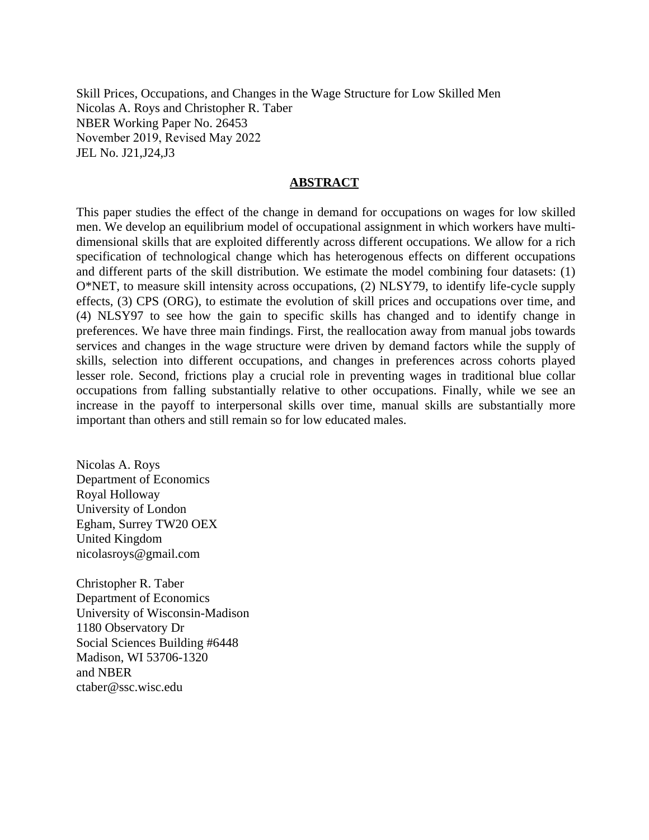Skill Prices, Occupations, and Changes in the Wage Structure for Low Skilled Men Nicolas A. Roys and Christopher R. Taber NBER Working Paper No. 26453 November 2019, Revised May 2022 JEL No. J21,J24,J3

#### **ABSTRACT**

This paper studies the effect of the change in demand for occupations on wages for low skilled men. We develop an equilibrium model of occupational assignment in which workers have multidimensional skills that are exploited differently across different occupations. We allow for a rich specification of technological change which has heterogenous effects on different occupations and different parts of the skill distribution. We estimate the model combining four datasets: (1) O\*NET, to measure skill intensity across occupations, (2) NLSY79, to identify life-cycle supply effects, (3) CPS (ORG), to estimate the evolution of skill prices and occupations over time, and (4) NLSY97 to see how the gain to specific skills has changed and to identify change in preferences. We have three main findings. First, the reallocation away from manual jobs towards services and changes in the wage structure were driven by demand factors while the supply of skills, selection into different occupations, and changes in preferences across cohorts played lesser role. Second, frictions play a crucial role in preventing wages in traditional blue collar occupations from falling substantially relative to other occupations. Finally, while we see an increase in the payoff to interpersonal skills over time, manual skills are substantially more important than others and still remain so for low educated males.

Nicolas A. Roys Department of Economics Royal Holloway University of London Egham, Surrey TW20 OEX United Kingdom nicolasroys@gmail.com

Christopher R. Taber Department of Economics University of Wisconsin-Madison 1180 Observatory Dr Social Sciences Building #6448 Madison, WI 53706-1320 and NBER ctaber@ssc.wisc.edu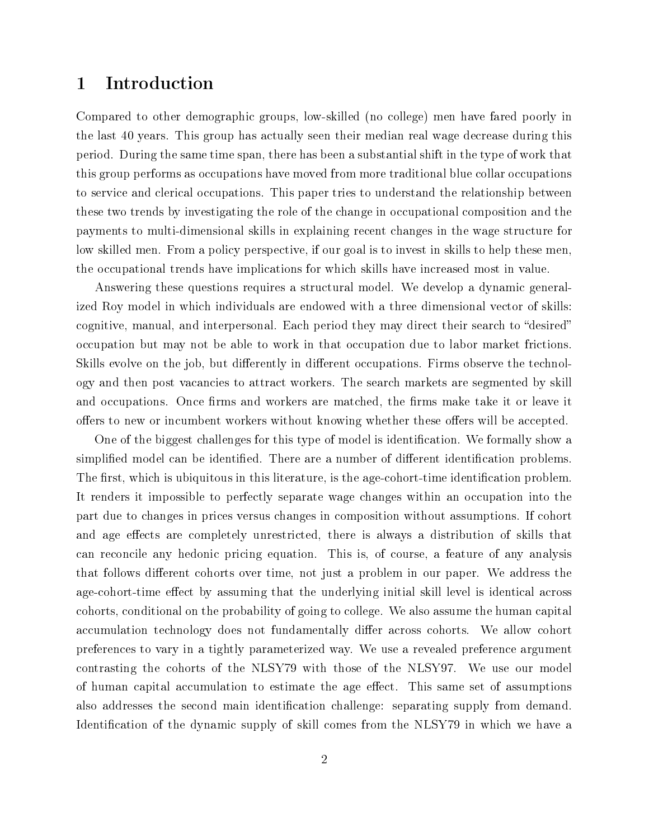## 1 Introduction

Compared to other demographic groups, low-skilled (no college) men have fared poorly in the last 40 years. This group has actually seen their median real wage decrease during this period. During the same time span, there has been a substantial shift in the type of work that this group performs as occupations have moved from more traditional blue collar occupations to service and clerical occupations. This paper tries to understand the relationship between these two trends by investigating the role of the change in occupational composition and the payments to multi-dimensional skills in explaining recent changes in the wage structure for low skilled men. From a policy perspective, if our goal is to invest in skills to help these men, the occupational trends have implications for which skills have increased most in value.

Answering these questions requires a structural model. We develop a dynamic generalized Roy model in which individuals are endowed with a three dimensional vector of skills: cognitive, manual, and interpersonal. Each period they may direct their search to "desired" occupation but may not be able to work in that occupation due to labor market frictions. Skills evolve on the job, but differently in different occupations. Firms observe the technology and then post vacancies to attract workers. The search markets are segmented by skill and occupations. Once firms and workers are matched, the firms make take it or leave it offers to new or incumbent workers without knowing whether these offers will be accepted.

One of the biggest challenges for this type of model is identification. We formally show a simplified model can be identified. There are a number of different identification problems. The first, which is ubiquitous in this literature, is the age-cohort-time identification problem. It renders it impossible to perfectly separate wage changes within an occupation into the part due to changes in prices versus changes in composition without assumptions. If cohort and age effects are completely unrestricted, there is always a distribution of skills that can reconcile any hedonic pricing equation. This is, of course, a feature of any analysis that follows different cohorts over time, not just a problem in our paper. We address the age-cohort-time effect by assuming that the underlying initial skill level is identical across cohorts, conditional on the probability of going to college. We also assume the human capital accumulation technology does not fundamentally differ across cohorts. We allow cohort preferences to vary in a tightly parameterized way. We use a revealed preference argument contrasting the cohorts of the NLSY79 with those of the NLSY97. We use our model of human capital accumulation to estimate the age effect. This same set of assumptions also addresses the second main identification challenge: separating supply from demand. Identification of the dynamic supply of skill comes from the NLSY79 in which we have a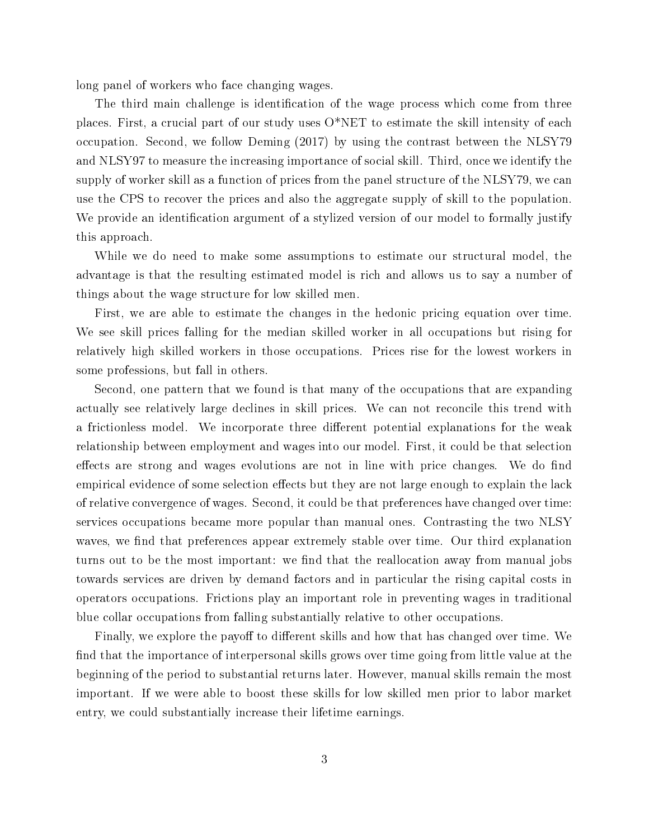long panel of workers who face changing wages.

The third main challenge is identification of the wage process which come from three places. First, a crucial part of our study uses  $O^*NET$  to estimate the skill intensity of each occupation. Second, we follow Deming (2017) by using the contrast between the NLSY79 and NLSY97 to measure the increasing importance of social skill. Third, once we identify the supply of worker skill as a function of prices from the panel structure of the NLSY79, we can use the CPS to recover the prices and also the aggregate supply of skill to the population. We provide an identification argument of a stylized version of our model to formally justify this approach.

While we do need to make some assumptions to estimate our structural model, the advantage is that the resulting estimated model is rich and allows us to say a number of things about the wage structure for low skilled men.

First, we are able to estimate the changes in the hedonic pricing equation over time. We see skill prices falling for the median skilled worker in all occupations but rising for relatively high skilled workers in those occupations. Prices rise for the lowest workers in some professions, but fall in others.

Second, one pattern that we found is that many of the occupations that are expanding actually see relatively large declines in skill prices. We can not reconcile this trend with a frictionless model. We incorporate three different potential explanations for the weak relationship between employment and wages into our model. First, it could be that selection effects are strong and wages evolutions are not in line with price changes. We do find empirical evidence of some selection effects but they are not large enough to explain the lack of relative convergence of wages. Second, it could be that preferences have changed over time: services occupations became more popular than manual ones. Contrasting the two NLSY waves, we find that preferences appear extremely stable over time. Our third explanation turns out to be the most important: we find that the reallocation away from manual jobs towards services are driven by demand factors and in particular the rising capital costs in operators occupations. Frictions play an important role in preventing wages in traditional blue collar occupations from falling substantially relative to other occupations.

Finally, we explore the payoff to different skills and how that has changed over time. We find that the importance of interpersonal skills grows over time going from little value at the beginning of the period to substantial returns later. However, manual skills remain the most important. If we were able to boost these skills for low skilled men prior to labor market entry, we could substantially increase their lifetime earnings.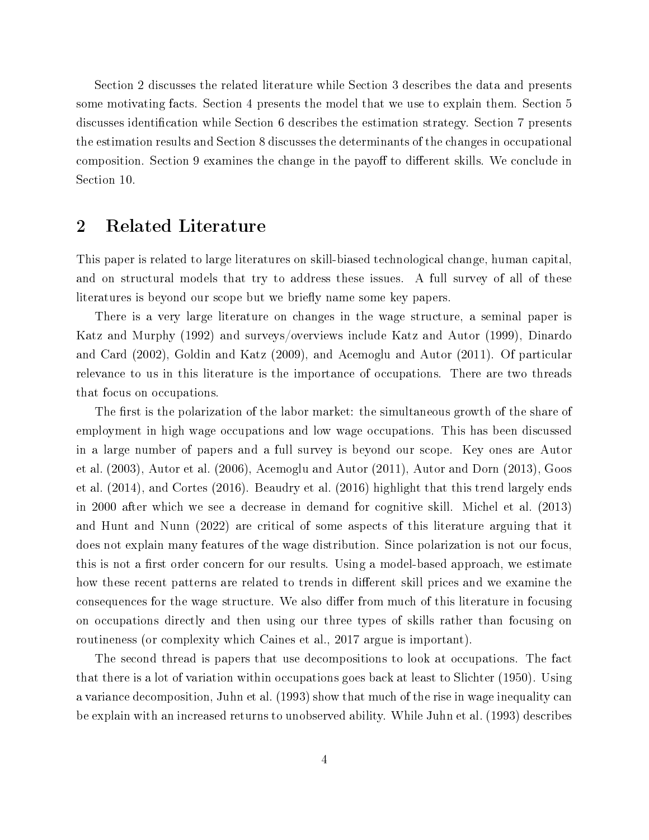Section 2 discusses the related literature while Section 3 describes the data and presents some motivating facts. Section 4 presents the model that we use to explain them. Section 5 discusses identification while Section 6 describes the estimation strategy. Section 7 presents the estimation results and Section 8 discusses the determinants of the changes in occupational composition. Section 9 examines the change in the payoff to different skills. We conclude in Section 10.

## 2 Related Literature

This paper is related to large literatures on skill-biased technological change, human capital, and on structural models that try to address these issues. A full survey of all of these literatures is beyond our scope but we briefly name some key papers.

There is a very large literature on changes in the wage structure, a seminal paper is Katz and Murphy (1992) and surveys/overviews include Katz and Autor (1999), Dinardo and Card (2002), Goldin and Katz (2009), and Acemoglu and Autor (2011). Of particular relevance to us in this literature is the importance of occupations. There are two threads that focus on occupations.

The first is the polarization of the labor market: the simultaneous growth of the share of employment in high wage occupations and low wage occupations. This has been discussed in a large number of papers and a full survey is beyond our scope. Key ones are Autor et al. (2003), Autor et al. (2006), Acemoglu and Autor (2011), Autor and Dorn (2013), Goos et al. (2014), and Cortes (2016). Beaudry et al. (2016) highlight that this trend largely ends in 2000 after which we see a decrease in demand for cognitive skill. Michel et al. (2013) and Hunt and Nunn (2022) are critical of some aspects of this literature arguing that it does not explain many features of the wage distribution. Since polarization is not our focus, this is not a first order concern for our results. Using a model-based approach, we estimate how these recent patterns are related to trends in different skill prices and we examine the consequences for the wage structure. We also differ from much of this literature in focusing on occupations directly and then using our three types of skills rather than focusing on routineness (or complexity which Caines et al., 2017 argue is important).

The second thread is papers that use decompositions to look at occupations. The fact that there is a lot of variation within occupations goes back at least to Slichter (1950). Using a variance decomposition, Juhn et al. (1993) show that much of the rise in wage inequality can be explain with an increased returns to unobserved ability. While Juhn et al. (1993) describes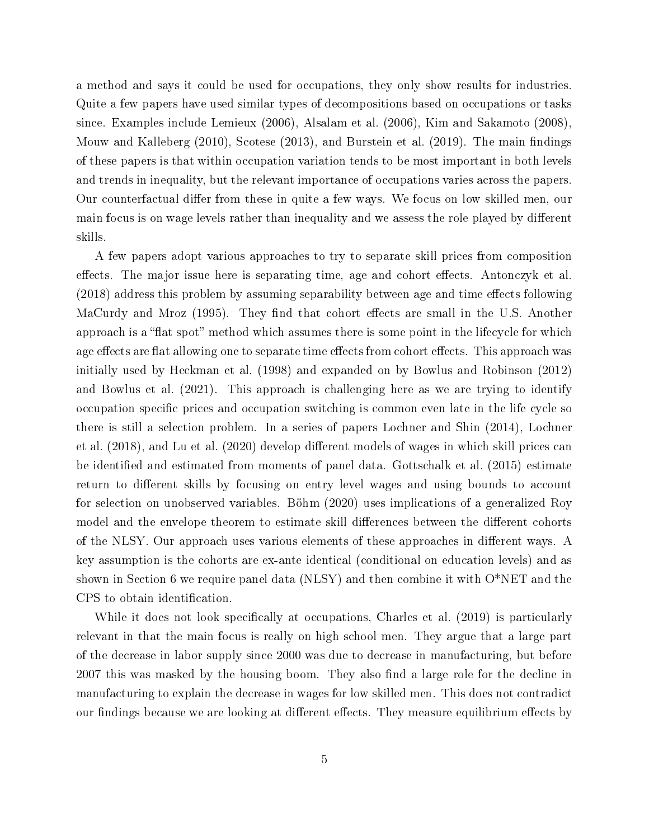a method and says it could be used for occupations, they only show results for industries. Quite a few papers have used similar types of decompositions based on occupations or tasks since. Examples include Lemieux (2006), Alsalam et al. (2006), Kim and Sakamoto (2008), Mouw and Kalleberg  $(2010)$ , Scotese  $(2013)$ , and Burstein et al.  $(2019)$ . The main findings of these papers is that within occupation variation tends to be most important in both levels and trends in inequality, but the relevant importance of occupations varies across the papers. Our counterfactual differ from these in quite a few ways. We focus on low skilled men, our main focus is on wage levels rather than inequality and we assess the role played by different skills.

A few papers adopt various approaches to try to separate skill prices from composition effects. The major issue here is separating time, age and cohort effects. Antonczyk et al.  $(2018)$  address this problem by assuming separability between age and time effects following MaCurdy and Mroz (1995). They find that cohort effects are small in the U.S. Another approach is a "flat spot" method which assumes there is some point in the lifecycle for which age effects are flat allowing one to separate time effects from cohort effects. This approach was initially used by Heckman et al. (1998) and expanded on by Bowlus and Robinson (2012) and Bowlus et al. (2021). This approach is challenging here as we are trying to identify occupation specific prices and occupation switching is common even late in the life cycle so there is still a selection problem. In a series of papers Lochner and Shin (2014), Lochner et al. (2018), and Lu et al. (2020) develop different models of wages in which skill prices can be identified and estimated from moments of panel data. Gottschalk et al. (2015) estimate return to different skills by focusing on entry level wages and using bounds to account for selection on unobserved variables. Böhm (2020) uses implications of a generalized Roy model and the envelope theorem to estimate skill differences between the different cohorts of the NLSY. Our approach uses various elements of these approaches in different ways. A key assumption is the cohorts are ex-ante identical (conditional on education levels) and as shown in Section 6 we require panel data (NLSY) and then combine it with O\*NET and the CPS to obtain identification.

While it does not look specifically at occupations, Charles et al. (2019) is particularly relevant in that the main focus is really on high school men. They argue that a large part of the decrease in labor supply since 2000 was due to decrease in manufacturing, but before 2007 this was masked by the housing boom. They also find a large role for the decline in manufacturing to explain the decrease in wages for low skilled men. This does not contradict our findings because we are looking at different effects. They measure equilibrium effects by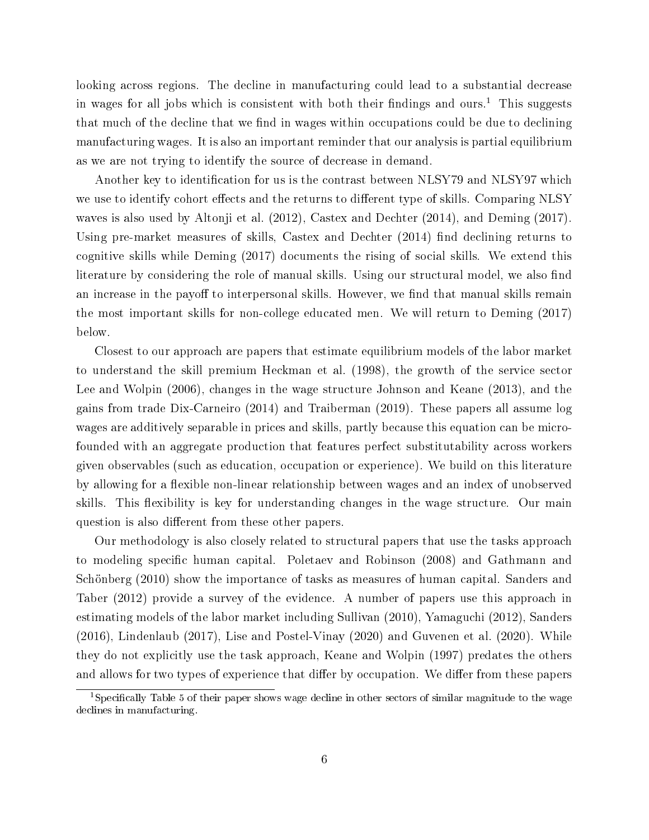looking across regions. The decline in manufacturing could lead to a substantial decrease in wages for all jobs which is consistent with both their findings and ours.<sup>1</sup> This suggests that much of the decline that we find in wages within occupations could be due to declining manufacturing wages. It is also an important reminder that our analysis is partial equilibrium as we are not trying to identify the source of decrease in demand.

Another key to identification for us is the contrast between NLSY79 and NLSY97 which we use to identify cohort effects and the returns to different type of skills. Comparing NLSY waves is also used by Altonji et al. (2012), Castex and Dechter (2014), and Deming (2017). Using pre-market measures of skills, Castex and Dechter  $(2014)$  find declining returns to cognitive skills while Deming (2017) documents the rising of social skills. We extend this literature by considering the role of manual skills. Using our structural model, we also find an increase in the payoff to interpersonal skills. However, we find that manual skills remain the most important skills for non-college educated men. We will return to Deming (2017) below.

Closest to our approach are papers that estimate equilibrium models of the labor market to understand the skill premium Heckman et al. (1998), the growth of the service sector Lee and Wolpin (2006), changes in the wage structure Johnson and Keane (2013), and the gains from trade Dix-Carneiro (2014) and Traiberman (2019). These papers all assume log wages are additively separable in prices and skills, partly because this equation can be microfounded with an aggregate production that features perfect substitutability across workers given observables (such as education, occupation or experience). We build on this literature by allowing for a flexible non-linear relationship between wages and an index of unobserved skills. This flexibility is key for understanding changes in the wage structure. Our main question is also different from these other papers.

Our methodology is also closely related to structural papers that use the tasks approach to modeling specific human capital. Poletaev and Robinson (2008) and Gathmann and Schönberg (2010) show the importance of tasks as measures of human capital. Sanders and Taber (2012) provide a survey of the evidence. A number of papers use this approach in estimating models of the labor market including Sullivan (2010), Yamaguchi (2012), Sanders (2016), Lindenlaub (2017), Lise and Postel-Vinay (2020) and Guvenen et al. (2020). While they do not explicitly use the task approach, Keane and Wolpin (1997) predates the others and allows for two types of experience that differ by occupation. We differ from these papers

<sup>&</sup>lt;sup>1</sup>Specifically Table 5 of their paper shows wage decline in other sectors of similar magnitude to the wage declines in manufacturing.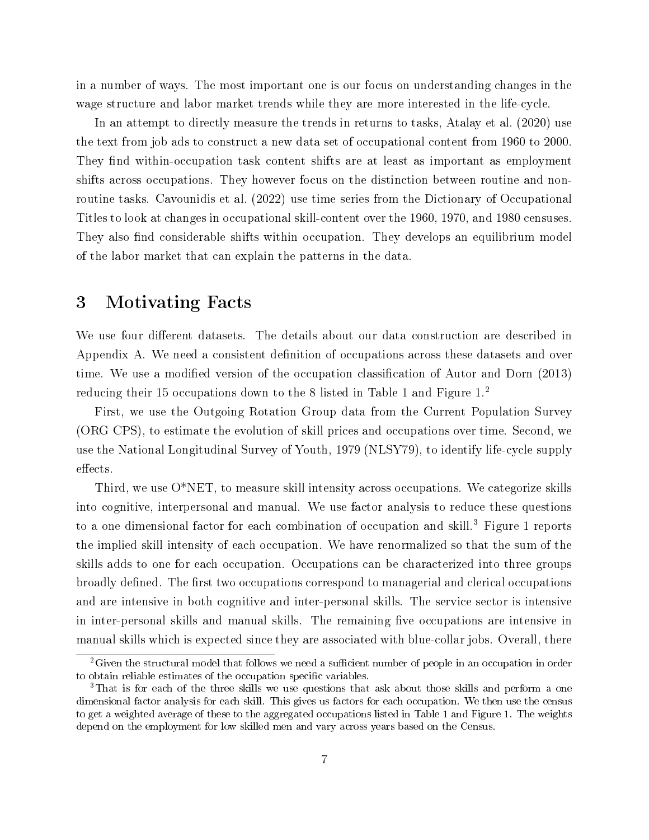in a number of ways. The most important one is our focus on understanding changes in the wage structure and labor market trends while they are more interested in the life-cycle.

In an attempt to directly measure the trends in returns to tasks, Atalay et al. (2020) use the text from job ads to construct a new data set of occupational content from 1960 to 2000. They find within-occupation task content shifts are at least as important as employment shifts across occupations. They however focus on the distinction between routine and nonroutine tasks. Cavounidis et al. (2022) use time series from the Dictionary of Occupational Titles to look at changes in occupational skill-content over the 1960, 1970, and 1980 censuses. They also find considerable shifts within occupation. They develops an equilibrium model of the labor market that can explain the patterns in the data.

# 3 Motivating Facts

We use four different datasets. The details about our data construction are described in Appendix A. We need a consistent definition of occupations across these datasets and over time. We use a modified version of the occupation classification of Autor and Dorn (2013) reducing their 15 occupations down to the 8 listed in Table 1 and Figure 1.<sup>2</sup>

First, we use the Outgoing Rotation Group data from the Current Population Survey (ORG CPS), to estimate the evolution of skill prices and occupations over time. Second, we use the National Longitudinal Survey of Youth, 1979 (NLSY79), to identify life-cycle supply effects.

Third, we use O\*NET, to measure skill intensity across occupations. We categorize skills into cognitive, interpersonal and manual. We use factor analysis to reduce these questions to a one dimensional factor for each combination of occupation and skill.<sup>3</sup> Figure 1 reports the implied skill intensity of each occupation. We have renormalized so that the sum of the skills adds to one for each occupation. Occupations can be characterized into three groups broadly defined. The first two occupations correspond to managerial and clerical occupations and are intensive in both cognitive and inter-personal skills. The service sector is intensive in inter-personal skills and manual skills. The remaining five occupations are intensive in manual skills which is expected since they are associated with blue-collar jobs. Overall, there

 $2G$ iven the structural model that follows we need a sufficient number of people in an occupation in order to obtain reliable estimates of the occupation specific variables.

<sup>&</sup>lt;sup>3</sup>That is for each of the three skills we use questions that ask about those skills and perform a one dimensional factor analysis for each skill. This gives us factors for each occupation. We then use the census to get a weighted average of these to the aggregated occupations listed in Table 1 and Figure 1. The weights depend on the employment for low skilled men and vary across years based on the Census.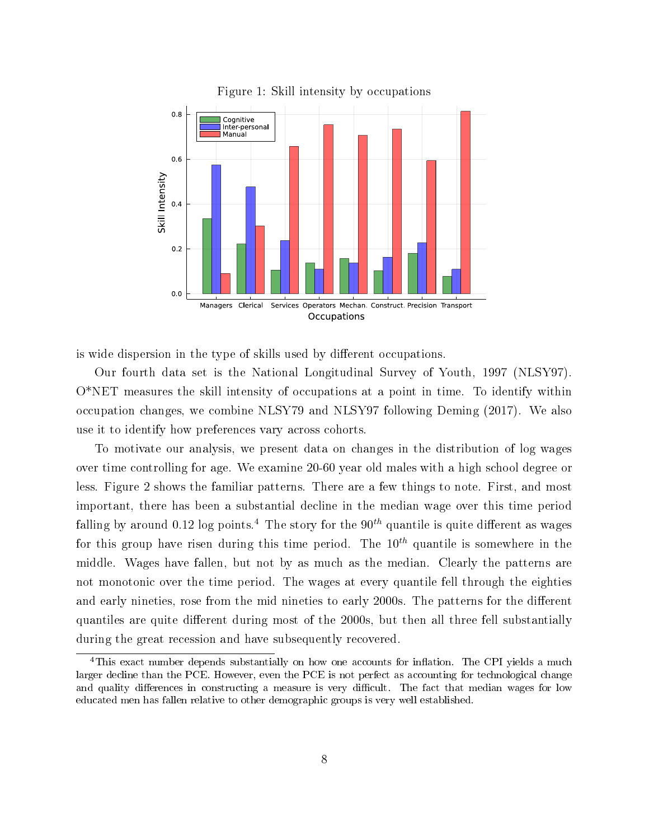

Figure 1: Skill intensity by occupations

is wide dispersion in the type of skills used by different occupations.

Our fourth data set is the National Longitudinal Survey of Youth, 1997 (NLSY97). O\*NET measures the skill intensity of occupations at a point in time. To identify within occupation changes, we combine NLSY79 and NLSY97 following Deming (2017). We also use it to identify how preferences vary across cohorts.

To motivate our analysis, we present data on changes in the distribution of log wages over time controlling for age. We examine 20-60 year old males with a high school degree or less. Figure 2 shows the familiar patterns. There are a few things to note. First, and most important, there has been a substantial decline in the median wage over this time period falling by around 0.12 log points.<sup>4</sup> The story for the  $90<sup>th</sup>$  quantile is quite different as wages for this group have risen during this time period. The  $10^{th}$  quantile is somewhere in the middle. Wages have fallen, but not by as much as the median. Clearly the patterns are not monotonic over the time period. The wages at every quantile fell through the eighties and early nineties, rose from the mid nineties to early 2000s. The patterns for the different quantiles are quite different during most of the 2000s, but then all three fell substantially during the great recession and have subsequently recovered.

<sup>&</sup>lt;sup>4</sup>This exact number depends substantially on how one accounts for inflation. The CPI yields a much larger decline than the PCE. However, even the PCE is not perfect as accounting for technological change and quality differences in constructing a measure is very difficult. The fact that median wages for low educated men has fallen relative to other demographic groups is very well established.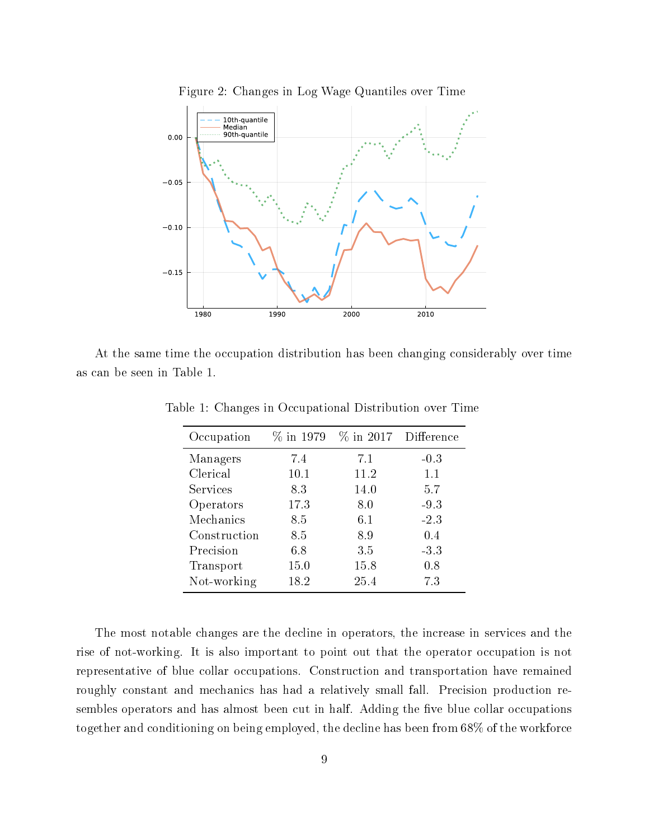

Figure 2: Changes in Log Wage Quantiles over Time

At the same time the occupation distribution has been changing considerably over time as can be seen in Table 1.

| Occupation   | $\%$ in 1979 |      | $\%$ in 2017 Difference |  |
|--------------|--------------|------|-------------------------|--|
| Managers     | 7.4          | 7.1  | $-0.3$                  |  |
| Clerical     | 10.1         | 11.2 | 1.1                     |  |
| Services     | 8.3          | 14.0 | 5.7                     |  |
| Operators    | 17.3         | 8.0  | $-9.3$                  |  |
| Mechanics    | 8.5          | 6.1  | $-2.3$                  |  |
| Construction | 8.5          | 8.9  | 0.4                     |  |
| Precision    | 6.8          | 3.5  | $-3.3$                  |  |
| Transport    | 15.0         | 15.8 | 0.8                     |  |
| Not-working  | 18.2         | 25.4 | 7.3                     |  |

Table 1: Changes in Occupational Distribution over Time

The most notable changes are the decline in operators, the increase in services and the rise of not-working. It is also important to point out that the operator occupation is not representative of blue collar occupations. Construction and transportation have remained roughly constant and mechanics has had a relatively small fall. Precision production resembles operators and has almost been cut in half. Adding the five blue collar occupations together and conditioning on being employed, the decline has been from 68% of the workforce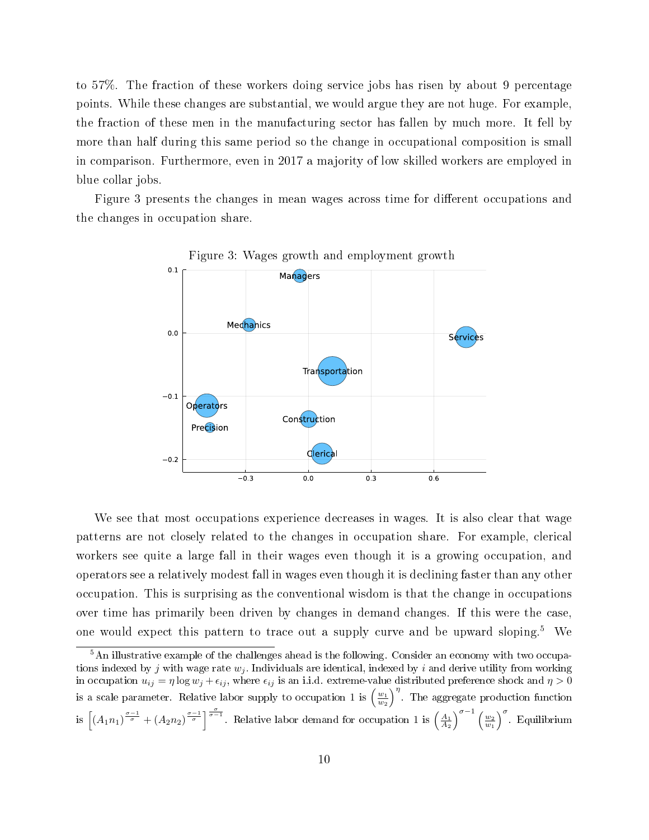to 57%. The fraction of these workers doing service jobs has risen by about 9 percentage points. While these changes are substantial, we would argue they are not huge. For example, the fraction of these men in the manufacturing sector has fallen by much more. It fell by more than half during this same period so the change in occupational composition is small in comparison. Furthermore, even in 2017 a majority of low skilled workers are employed in blue collar jobs.

Figure 3 presents the changes in mean wages across time for different occupations and the changes in occupation share.



Figure 3: Wages growth and employment growth

We see that most occupations experience decreases in wages. It is also clear that wage patterns are not closely related to the changes in occupation share. For example, clerical workers see quite a large fall in their wages even though it is a growing occupation, and operators see a relatively modest fall in wages even though it is declining faster than any other occupation. This is surprising as the conventional wisdom is that the change in occupations over time has primarily been driven by changes in demand changes. If this were the case, one would expect this pattern to trace out a supply curve and be upward sloping.<sup>5</sup> We

<sup>&</sup>lt;sup>5</sup>An illustrative example of the challenges ahead is the following. Consider an economy with two occupations indexed by j with wage rate  $w_i$ . Individuals are identical, indexed by i and derive utility from working in occupation  $u_{ij} = \eta \log w_j + \epsilon_{ij}$ , where  $\epsilon_{ij}$  is an i.i.d. extreme-value distributed preference shock and  $\eta > 0$ is a scale parameter. Relative labor supply to occupation 1 is  $\left(\frac{w_1}{w_2}\right)^{\eta}$ . The aggregate production function is  $\left[\left(A_1n_1\right)^{\frac{\sigma-1}{\sigma}}+\left(A_2n_2\right)^{\frac{\sigma-1}{\sigma}}\right]$ . Relative labor demand for occupation 1 is  $\left(\frac{A_1}{A_2}\right)^{\sigma-1}\left(\frac{w_2}{w_1}\right)^{\sigma}$ . Equilibrium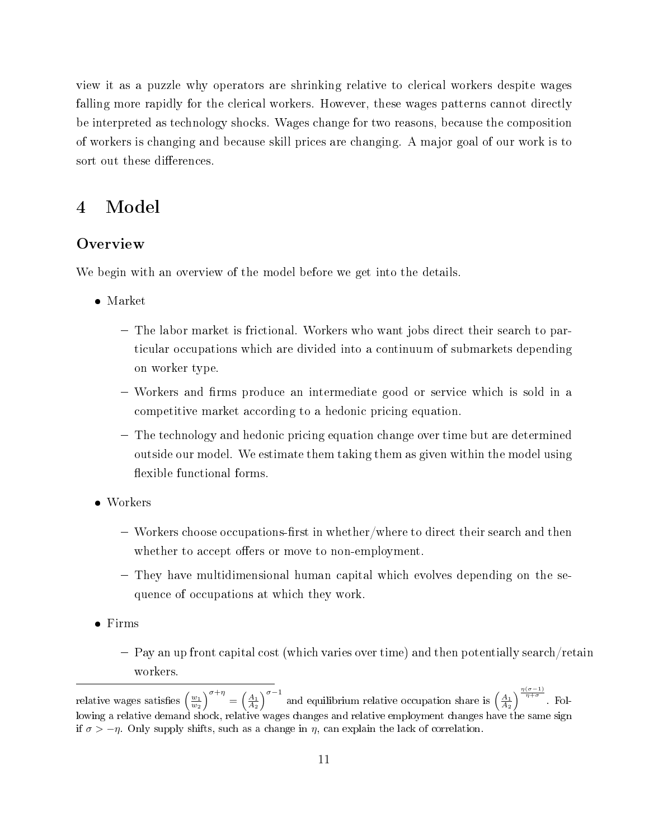view it as a puzzle why operators are shrinking relative to clerical workers despite wages falling more rapidly for the clerical workers. However, these wages patterns cannot directly be interpreted as technology shocks. Wages change for two reasons, because the composition of workers is changing and because skill prices are changing. A major goal of our work is to sort out these differences.

## 4 Model

### **Overview**

We begin with an overview of the model before we get into the details.

- Market
	- The labor market is frictional. Workers who want jobs direct their search to particular occupations which are divided into a continuum of submarkets depending on worker type.
	- Workers and firms produce an intermediate good or service which is sold in a competitive market according to a hedonic pricing equation.
	- The technology and hedonic pricing equation change over time but are determined outside our model. We estimate them taking them as given within the model using flexible functional forms.
- Workers
	- $-$  Workers choose occupations-first in whether/where to direct their search and then whether to accept offers or move to non-employment.
	- They have multidimensional human capital which evolves depending on the sequence of occupations at which they work.
- Firms
	- Pay an up front capital cost (which varies over time) and then potentially search/retain workers.

relative wages satisfies  $\left(\frac{w_1}{w_2}\right)^{\sigma+\eta} = \left(\frac{A_1}{A_2}\right)^{\sigma-1}$  and equilibrium relative occupation share is  $\left(\frac{A_1}{A_2}\right)^{\frac{\eta(\sigma-1)}{\eta+\sigma}}$ . Following a relative demand shock, relative wages changes and relative employment changes have the same sign if  $\sigma > -\eta$ . Only supply shifts, such as a change in  $\eta$ , can explain the lack of correlation.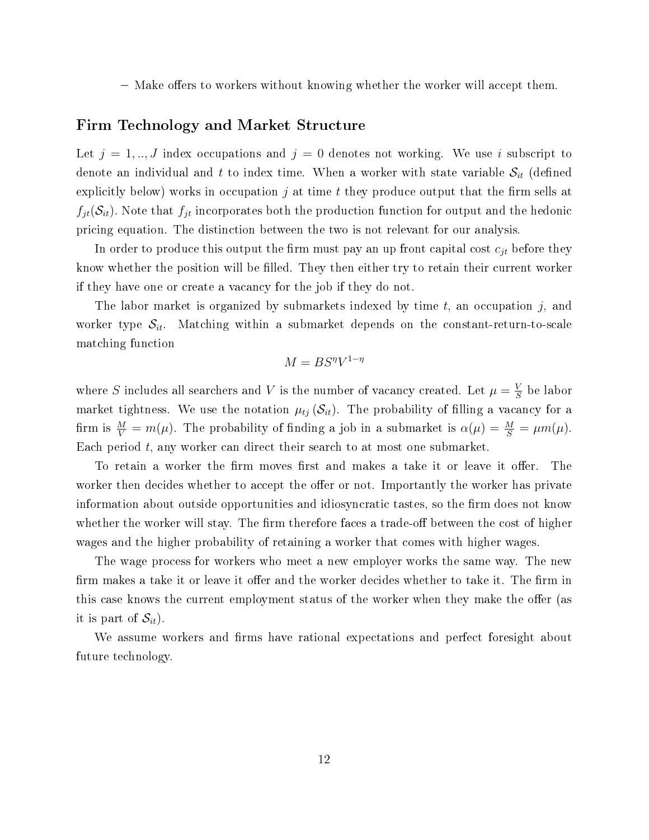$-$  Make offers to workers without knowing whether the worker will accept them.

#### Firm Technology and Market Structure

Let  $j = 1, ..., J$  index occupations and  $j = 0$  denotes not working. We use i subscript to denote an individual and t to index time. When a worker with state variable  $S_{it}$  (defined explicitly below) works in occupation  $j$  at time  $t$  they produce output that the firm sells at  $f_{jt}(\mathcal{S}_{it})$ . Note that  $f_{jt}$  incorporates both the production function for output and the hedonic pricing equation. The distinction between the two is not relevant for our analysis.

In order to produce this output the firm must pay an up front capital cost  $c_{jt}$  before they know whether the position will be filled. They then either try to retain their current worker if they have one or create a vacancy for the job if they do not.

The labor market is organized by submarkets indexed by time  $t$ , an occupation  $j$ , and worker type  $S_{it}$ . Matching within a submarket depends on the constant-return-to-scale matching function

$$
M = BS^{\eta}V^{1-\eta}
$$

where S includes all searchers and V is the number of vacancy created. Let  $\mu = \frac{V}{S}$  $\frac{V}{S}$  be labor market tightness. We use the notation  $\mu_{tj}(\mathcal{S}_{it})$ . The probability of filling a vacancy for a firm is  $\frac{M}{V} = m(\mu)$ . The probability of finding a job in a submarket is  $\alpha(\mu) = \frac{M}{S} = \mu m(\mu)$ . Each period  $t$ , any worker can direct their search to at most one submarket.

To retain a worker the firm moves first and makes a take it or leave it offer. The worker then decides whether to accept the offer or not. Importantly the worker has private information about outside opportunities and idiosyncratic tastes, so the firm does not know whether the worker will stay. The firm therefore faces a trade-off between the cost of higher wages and the higher probability of retaining a worker that comes with higher wages.

The wage process for workers who meet a new employer works the same way. The new firm makes a take it or leave it offer and the worker decides whether to take it. The firm in this case knows the current employment status of the worker when they make the offer (as it is part of  $\mathcal{S}_{it}$ ).

We assume workers and firms have rational expectations and perfect foresight about future technology.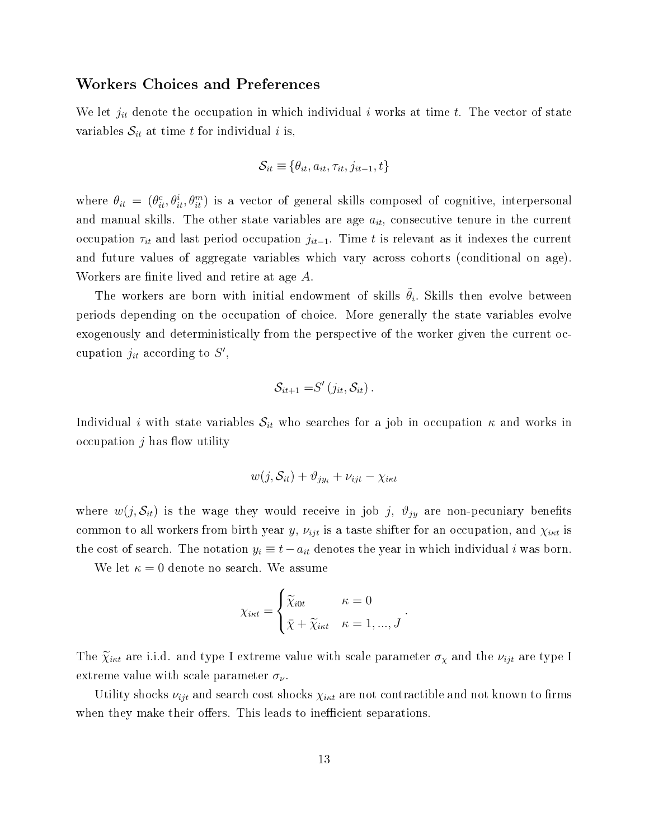#### Workers Choices and Preferences

We let  $j_{it}$  denote the occupation in which individual i works at time t. The vector of state variables  $S_{it}$  at time t for individual i is,

$$
\mathcal{S}_{it} \equiv \{\theta_{it}, a_{it}, \tau_{it}, j_{it-1}, t\}
$$

where  $\theta_{it} = (\theta_{it}^c, \theta_{it}^i, \theta_{it}^m)$  is a vector of general skills composed of cognitive, interpersonal and manual skills. The other state variables are age  $a_{it}$ , consecutive tenure in the current occupation  $\tau_{it}$  and last period occupation  $j_{it-1}$ . Time t is relevant as it indexes the current and future values of aggregate variables which vary across cohorts (conditional on age). Workers are finite lived and retire at age A.

The workers are born with initial endowment of skills  $\tilde{\theta}_i$ . Skills then evolve between periods depending on the occupation of choice. More generally the state variables evolve exogenously and deterministically from the perspective of the worker given the current occupation  $j_{it}$  according to  $S'$ ,

$$
\mathcal{S}_{it+1} = S'(j_{it}, \mathcal{S}_{it}).
$$

Individual *i* with state variables  $S_{it}$  who searches for a job in occupation  $\kappa$  and works in occupation  $j$  has flow utility

$$
w(j, \mathcal{S}_{it}) + \vartheta_{j y_i} + \nu_{ijt} - \chi_{i \kappa t}
$$

where  $w(j, S_{it})$  is the wage they would receive in job j,  $\vartheta_{jy}$  are non-pecuniary benefits common to all workers from birth year y,  $\nu_{ijt}$  is a taste shifter for an occupation, and  $\chi_{i\kappa t}$  is the cost of search. The notation  $y_i \equiv t - a_{it}$  denotes the year in which individual i was born.

We let  $\kappa = 0$  denote no search. We assume

$$
\chi_{i\kappa t} = \begin{cases} \widetilde{\chi}_{i0t} & \kappa = 0 \\ \bar{\chi} + \widetilde{\chi}_{i\kappa t} & \kappa = 1, ..., J \end{cases}.
$$

The  $\tilde{\chi}_{i\kappa t}$  are i.i.d. and type I extreme value with scale parameter  $\sigma_{\chi}$  and the  $\nu_{ijt}$  are type I extreme value with scale parameter  $\sigma_{\nu}$ .

Utility shocks  $\nu_{iit}$  and search cost shocks  $\chi_{i\kappa t}$  are not contractible and not known to firms when they make their offers. This leads to inefficient separations.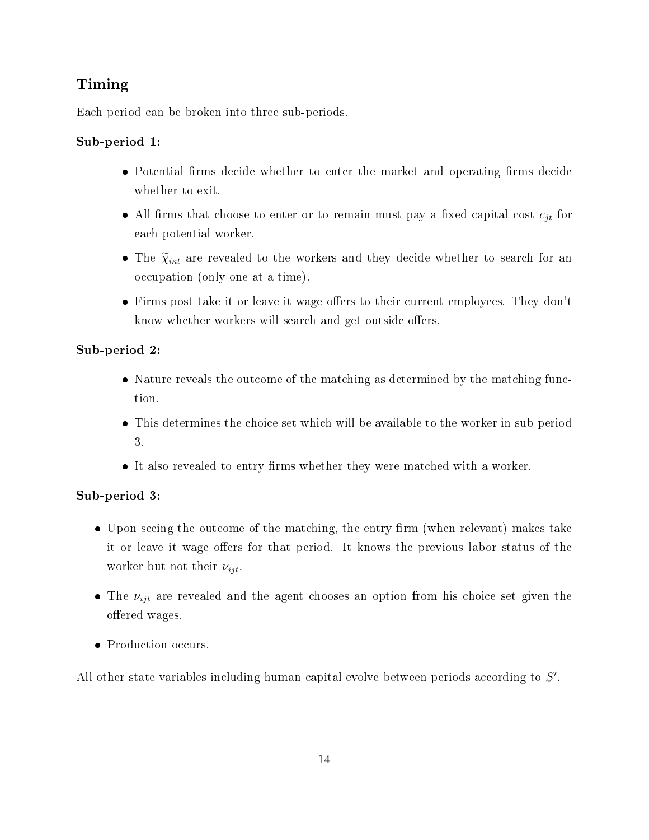# Timing

Each period can be broken into three sub-periods.

### Sub-period 1:

- Potential firms decide whether to enter the market and operating firms decide whether to exit.
- All firms that choose to enter or to remain must pay a fixed capital cost  $c_{jt}$  for each potential worker.
- The  $\tilde{\chi}_{i\kappa t}$  are revealed to the workers and they decide whether to search for an occupation (only one at a time).
- $\bullet$  Firms post take it or leave it wage offers to their current employees. They don't know whether workers will search and get outside offers.

### Sub-period 2:

- Nature reveals the outcome of the matching as determined by the matching function.
- This determines the choice set which will be available to the worker in sub-period 3.
- $\bullet$  It also revealed to entry firms whether they were matched with a worker.

### Sub-period 3:

- $\bullet$  Upon seeing the outcome of the matching, the entry firm (when relevant) makes take it or leave it wage offers for that period. It knows the previous labor status of the worker but not their  $\nu_{ijt}$ .
- The  $\nu_{ijt}$  are revealed and the agent chooses an option from his choice set given the offered wages.
- Production occurs.

All other state variables including human capital evolve between periods according to S'.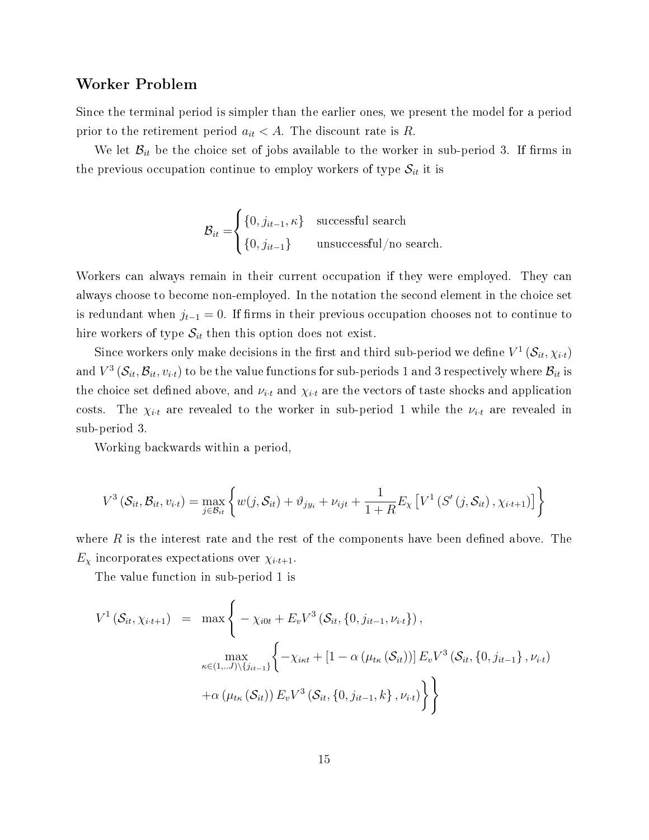#### Worker Problem

Since the terminal period is simpler than the earlier ones, we present the model for a period prior to the retirement period  $a_{it} < A$ . The discount rate is R.

We let  $\mathcal{B}_{it}$  be the choice set of jobs available to the worker in sub-period 3. If firms in the previous occupation continue to employ workers of type  $S_{it}$  it is

$$
\mathcal{B}_{it} = \begin{cases} \{0, j_{it-1}, \kappa\} & \text{successful search} \\ \{0, j_{it-1}\} & \text{unsuccessful/no search.} \end{cases}
$$

Workers can always remain in their current occupation if they were employed. They can always choose to become non-employed. In the notation the second element in the choice set is redundant when  $j_{t-1} = 0$ . If firms in their previous occupation chooses not to continue to hire workers of type  $S_{it}$  then this option does not exist.

Since workers only make decisions in the first and third sub-period we define  $V^1(\mathcal{S}_{it}, \chi_{i\cdot t})$ and  $V^3\left(\mathcal{S}_{it},\mathcal{B}_{it},v_{i\cdot t}\right)$  to be the value functions for sub-periods  $1$  and  $3$  respectively where  $\mathcal{B}_{it}$  is the choice set defined above, and  $\nu_{i\cdot t}$  and  $\chi_{i\cdot t}$  are the vectors of taste shocks and application costs. The  $\chi_{i,t}$  are revealed to the worker in sub-period 1 while the  $\nu_{i,t}$  are revealed in sub-period 3.

Working backwards within a period,

$$
V^3\left(S_{it}, \mathcal{B}_{it}, v_{i\cdot t}\right) = \max_{j \in \mathcal{B}_{it}} \left\{ w(j, \mathcal{S}_{it}) + \vartheta_{j y_i} + \nu_{ijt} + \frac{1}{1+R} E_{\chi} \left[ V^1\left(S'\left(j, \mathcal{S}_{it}\right), \chi_{i\cdot t+1}\right) \right] \right\}
$$

where  $R$  is the interest rate and the rest of the components have been defined above. The  $E_{\chi}$  incorporates expectations over  $\chi_{i \cdot t+1}$ .

The value function in sub-period 1 is

$$
V^{1}(\mathcal{S}_{it}, \chi_{i \cdot t+1}) = \max \left\{ -\chi_{i0t} + E_{v} V^{3}(\mathcal{S}_{it}, \{0, j_{it-1}, \nu_{i \cdot t}\}), \max_{\kappa \in (1, \ldots J) \setminus \{j_{it-1}\}} \left\{ -\chi_{i\kappa t} + \left[1 - \alpha \left(\mu_{t\kappa}(\mathcal{S}_{it})\right) \right] E_{v} V^{3}(\mathcal{S}_{it}, \{0, j_{it-1}\}, \nu_{i \cdot t}) + \alpha \left(\mu_{t\kappa}(\mathcal{S}_{it})\right) E_{v} V^{3}(\mathcal{S}_{it}, \{0, j_{it-1}, k\}, \nu_{i \cdot t}) \right\} \right\}
$$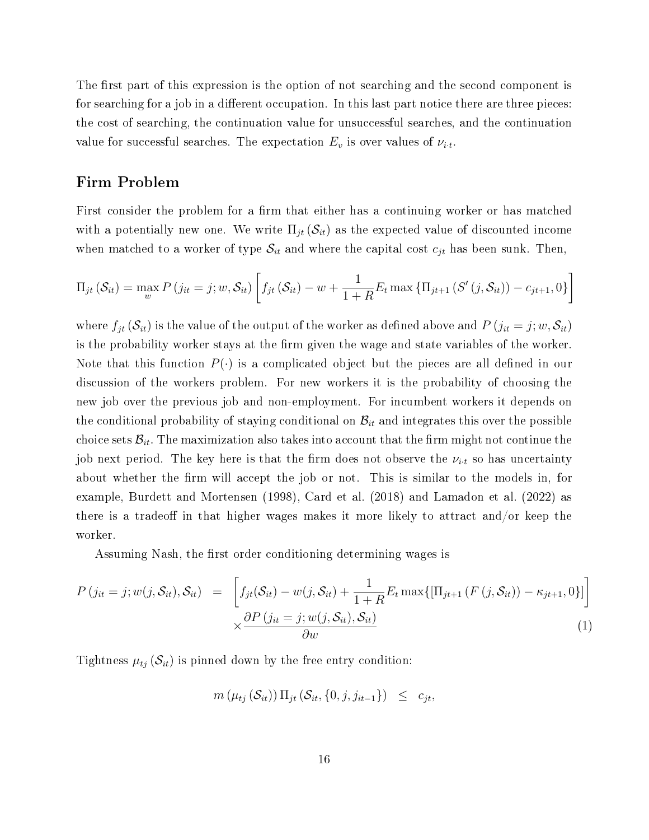The first part of this expression is the option of not searching and the second component is for searching for a job in a different occupation. In this last part notice there are three pieces: the cost of searching, the continuation value for unsuccessful searches, and the continuation value for successful searches. The expectation  $E_v$  is over values of  $\nu_{i.t.}$ 

### Firm Problem

First consider the problem for a firm that either has a continuing worker or has matched with a potentially new one. We write  $\Pi_{jt}(\mathcal{S}_{it})$  as the expected value of discounted income when matched to a worker of type  $S_{it}$  and where the capital cost  $c_{jt}$  has been sunk. Then,

$$
\Pi_{jt}(\mathcal{S}_{it}) = \max_{w} P(j_{it} = j; w, \mathcal{S}_{it}) \left[ f_{jt}(\mathcal{S}_{it}) - w + \frac{1}{1+R} E_t \max \{ \Pi_{jt+1} (S'(j, \mathcal{S}_{it})) - c_{jt+1}, 0 \} \right]
$$

where  $f_{jt}(\mathcal{S}_{it})$  is the value of the output of the worker as defined above and  $P(j_{it} = j; w, \mathcal{S}_{it})$ is the probability worker stays at the firm given the wage and state variables of the worker. Note that this function  $P(\cdot)$  is a complicated object but the pieces are all defined in our discussion of the workers problem. For new workers it is the probability of choosing the new job over the previous job and non-employment. For incumbent workers it depends on the conditional probability of staying conditional on  $\mathcal{B}_{it}$  and integrates this over the possible choice sets  $\mathcal{B}_{it}$ . The maximization also takes into account that the firm might not continue the job next period. The key here is that the firm does not observe the  $\nu_{i\cdot t}$  so has uncertainty about whether the firm will accept the job or not. This is similar to the models in, for example, Burdett and Mortensen (1998), Card et al. (2018) and Lamadon et al. (2022) as there is a tradeoff in that higher wages makes it more likely to attract and/or keep the worker.

Assuming Nash, the first order conditioning determining wages is

$$
P(j_{it} = j; w(j, \mathcal{S}_{it}), \mathcal{S}_{it}) = \left[ f_{jt}(\mathcal{S}_{it}) - w(j, \mathcal{S}_{it}) + \frac{1}{1+R} E_t \max\{[\Pi_{jt+1} (F(j, \mathcal{S}_{it})) - \kappa_{jt+1}, 0\}]\right] \times \frac{\partial P(j_{it} = j; w(j, \mathcal{S}_{it}), \mathcal{S}_{it})}{\partial w}
$$
\n(1)

Tightness  $\mu_{tj}$  ( $\mathcal{S}_{it}$ ) is pinned down by the free entry condition:

$$
m\left(\mu_{tj}\left(\mathcal{S}_{it}\right)\right)\Pi_{jt}\left(\mathcal{S}_{it},\{0,j,j_{it-1}\}\right) \leq c_{jt},
$$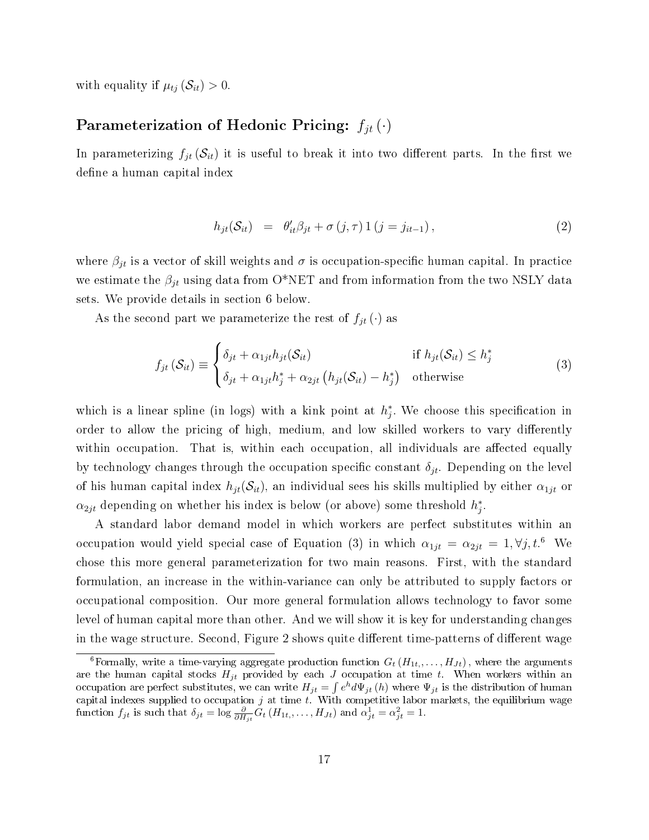with equality if  $\mu_{tj}(\mathcal{S}_{it}) > 0$ .

### Parameterization of Hedonic Pricing:  $f_{it}(\cdot)$

In parameterizing  $f_{it}(\mathcal{S}_{it})$  it is useful to break it into two different parts. In the first we define a human capital index

$$
h_{jt}(\mathcal{S}_{it}) = \theta'_{it}\beta_{jt} + \sigma(j,\tau)1(j=j_{it-1}), \qquad (2)
$$

where  $\beta_{jt}$  is a vector of skill weights and  $\sigma$  is occupation-specific human capital. In practice we estimate the  $\beta_{jt}$  using data from O\*NET and from information from the two NSLY data sets. We provide details in section 6 below.

As the second part we parameterize the rest of  $f_{jt}(\cdot)$  as

$$
f_{jt}(\mathcal{S}_{it}) \equiv \begin{cases} \delta_{jt} + \alpha_{1jt} h_{jt}(\mathcal{S}_{it}) & \text{if } h_{jt}(\mathcal{S}_{it}) \le h_j^* \\ \delta_{jt} + \alpha_{1jt} h_j^* + \alpha_{2jt} \left( h_{jt}(\mathcal{S}_{it}) - h_j^* \right) & \text{otherwise} \end{cases}
$$
(3)

which is a linear spline (in logs) with a kink point at  $h_j^*$ . We choose this specification in order to allow the pricing of high, medium, and low skilled workers to vary differently within occupation. That is, within each occupation, all individuals are affected equally by technology changes through the occupation specific constant  $\delta_{it}$ . Depending on the level of his human capital index  $h_{jt}(\mathcal{S}_{it})$ , an individual sees his skills multiplied by either  $\alpha_{1jt}$  or  $\alpha_{2jt}$  depending on whether his index is below (or above) some threshold  $h_j^*$ .

A standard labor demand model in which workers are perfect substitutes within an occupation would yield special case of Equation (3) in which  $\alpha_{1jt} = \alpha_{2jt} = 1, \forall j, t$ .<sup>6</sup> We chose this more general parameterization for two main reasons. First, with the standard formulation, an increase in the within-variance can only be attributed to supply factors or occupational composition. Our more general formulation allows technology to favor some level of human capital more than other. And we will show it is key for understanding changes in the wage structure. Second, Figure 2 shows quite different time-patterns of different wage

<sup>&</sup>lt;sup>6</sup>Formally, write a time-varying aggregate production function  $G_t(H_{1t},...,H_{Jt})$ , where the arguments are the human capital stocks  $H_{jt}$  provided by each J occupation at time t. When workers within an occupation are perfect substitutes, we can write  $H_{jt} = \int e^h d\Psi_{jt}(h)$  where  $\Psi_{jt}$  is the distribution of human capital indexes supplied to occupation  $j$  at time  $t$ . With competitive labor markets, the equilibrium wage function  $f_{jt}$  is such that  $\delta_{jt} = \log \frac{\partial}{\partial H_{jt}} G_t (H_{1t,}, \ldots, H_{Jt})$  and  $\alpha_{jt}^1 = \alpha_{jt}^2 = 1$ .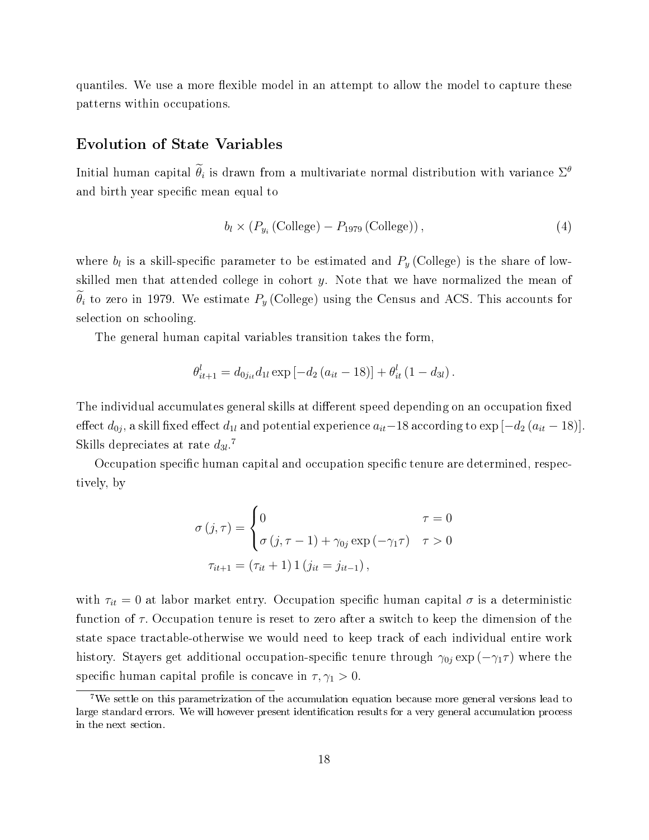quantiles. We use a more flexible model in an attempt to allow the model to capture these patterns within occupations.

### Evolution of State Variables

Initial human capital  $\hat{\theta}_i$  is drawn from a multivariate normal distribution with variance  $\Sigma^{\theta}$ and birth year specific mean equal to

$$
b_l \times (P_{y_i} \left( \text{College}) - P_{1979} \left( \text{College}) \right), \tag{4}
$$

where  $b_l$  is a skill-specific parameter to be estimated and  $P_y$  (College) is the share of lowskilled men that attended college in cohort  $y$ . Note that we have normalized the mean of  $\widetilde{\theta}_i$  to zero in 1979. We estimate  $P_y$  (College) using the Census and ACS. This accounts for selection on schooling.

The general human capital variables transition takes the form,

$$
\theta_{it+1}^l = d_{0j_{it}} d_{1l} \exp \left[ -d_2 \left( a_{it} - 18 \right) \right] + \theta_{it}^l \left( 1 - d_{3l} \right).
$$

The individual accumulates general skills at different speed depending on an occupation fixed effect  $d_{0j}$ , a skill fixed effect  $d_{1l}$  and potential experience  $a_{it}-18$  according to  $\exp{[-d_2 \left(a_{it}-18\right)]}$ . Skills depreciates at rate  $d_{3l}$ .<sup>7</sup>

Occupation specific human capital and occupation specific tenure are determined, respectively, by

$$
\sigma(j,\tau) = \begin{cases}\n0 & \tau = 0 \\
\sigma(j,\tau-1) + \gamma_{0j} \exp(-\gamma_1 \tau) & \tau > 0\n\end{cases}
$$
\n
$$
\tau_{it+1} = (\tau_{it} + 1) 1 (j_{it} = j_{it-1}),
$$

with  $\tau_{it} = 0$  at labor market entry. Occupation specific human capital  $\sigma$  is a deterministic function of  $\tau$ . Occupation tenure is reset to zero after a switch to keep the dimension of the state space tractable-otherwise we would need to keep track of each individual entire work history. Stayers get additional occupation-specific tenure through  $\gamma_{0j}$  exp ( $-\gamma_1\tau$ ) where the specific human capital profile is concave in  $\tau$ ,  $\gamma_1 > 0$ .

<sup>7</sup>We settle on this parametrization of the accumulation equation because more general versions lead to large standard errors. We will however present identification results for a very general accumulation process in the next section.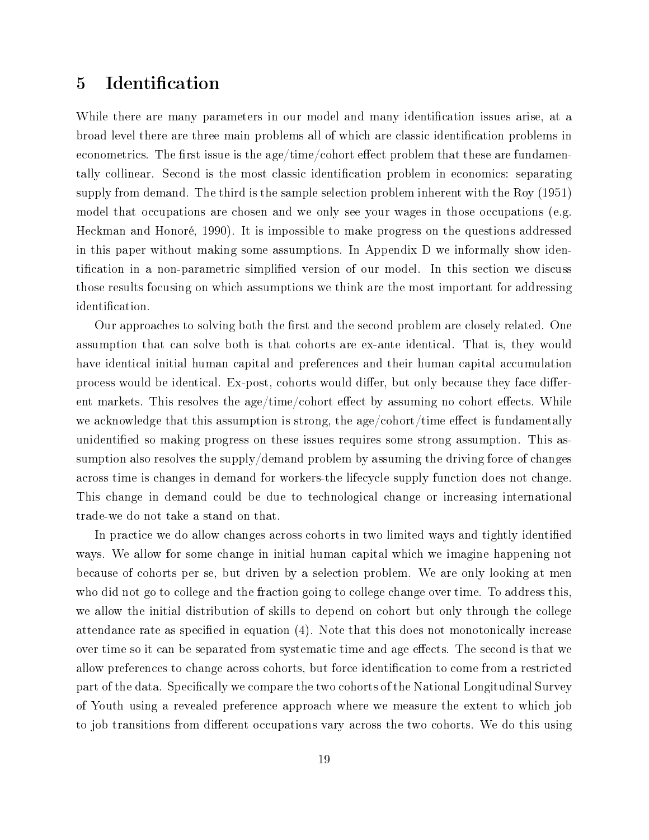# 5 Identification

While there are many parameters in our model and many identification issues arise, at a broad level there are three main problems all of which are classic identification problems in econometrics. The first issue is the age/time/cohort effect problem that these are fundamentally collinear. Second is the most classic identification problem in economics: separating supply from demand. The third is the sample selection problem inherent with the Roy (1951) model that occupations are chosen and we only see your wages in those occupations (e.g. Heckman and Honoré, 1990). It is impossible to make progress on the questions addressed in this paper without making some assumptions. In Appendix D we informally show identification in a non-parametric simplified version of our model. In this section we discuss those results focusing on which assumptions we think are the most important for addressing identification.

Our approaches to solving both the first and the second problem are closely related. One assumption that can solve both is that cohorts are ex-ante identical. That is, they would have identical initial human capital and preferences and their human capital accumulation process would be identical. Ex-post, cohorts would differ, but only because they face different markets. This resolves the age/time/cohort effect by assuming no cohort effects. While we acknowledge that this assumption is strong, the age/cohort/time effect is fundamentally unidentified so making progress on these issues requires some strong assumption. This assumption also resolves the supply/demand problem by assuming the driving force of changes across time is changes in demand for workers-the lifecycle supply function does not change. This change in demand could be due to technological change or increasing international trade-we do not take a stand on that.

In practice we do allow changes across cohorts in two limited ways and tightly identified ways. We allow for some change in initial human capital which we imagine happening not because of cohorts per se, but driven by a selection problem. We are only looking at men who did not go to college and the fraction going to college change over time. To address this, we allow the initial distribution of skills to depend on cohort but only through the college attendance rate as specified in equation  $(4)$ . Note that this does not monotonically increase over time so it can be separated from systematic time and age effects. The second is that we allow preferences to change across cohorts, but force identification to come from a restricted part of the data. Specifically we compare the two cohorts of the National Longitudinal Survey of Youth using a revealed preference approach where we measure the extent to which job to job transitions from different occupations vary across the two cohorts. We do this using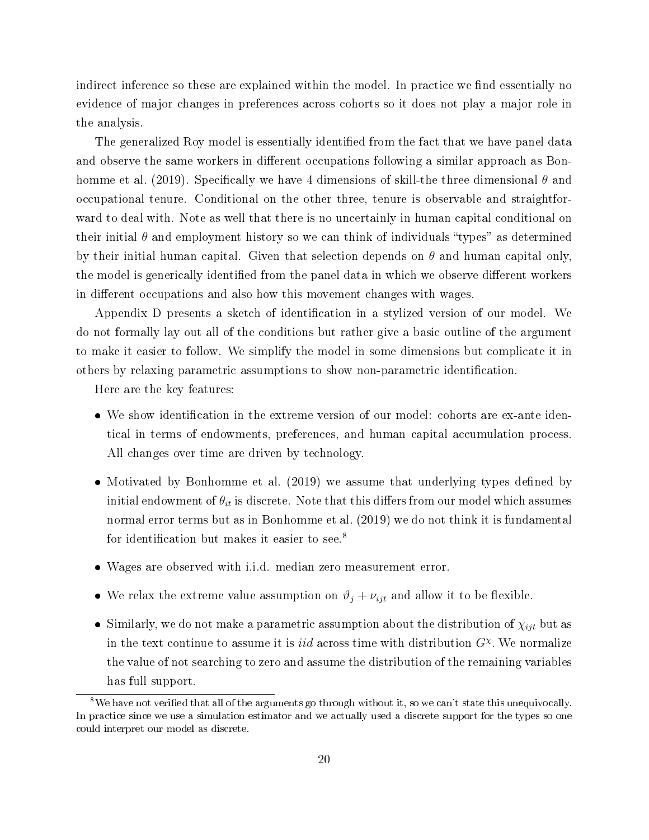indirect inference so these are explained within the model. In practice we find essentially no evidence of major changes in preferences across cohorts so it does not play a major role in the analysis.

The generalized Roy model is essentially identified from the fact that we have panel data and observe the same workers in different occupations following a similar approach as Bonhomme et al. (2019). Specifically we have 4 dimensions of skill-the three dimensional  $\theta$  and occupational tenure. Conditional on the other three, tenure is observable and straightforward to deal with. Note as well that there is no uncertainly in human capital conditional on their initial  $\theta$  and employment history so we can think of individuals "types" as determined by their initial human capital. Given that selection depends on  $\theta$  and human capital only, the model is generically identified from the panel data in which we observe different workers in different occupations and also how this movement changes with wages.

Appendix D presents a sketch of identification in a stylized version of our model. We do not formally lay out all of the conditions but rather give a basic outline of the argument to make it easier to follow. We simplify the model in some dimensions but complicate it in others by relaxing parametric assumptions to show non-parametric identification.

Here are the key features:

- We show identification in the extreme version of our model: cohorts are ex-ante identical in terms of endowments, preferences, and human capital accumulation process. All changes over time are driven by technology.
- Motivated by Bonhomme et al. (2019) we assume that underlying types defined by initial endowment of  $\theta_{it}$  is discrete. Note that this differs from our model which assumes normal error terms but as in Bonhomme et al. (2019) we do not think it is fundamental for identification but makes it easier to see.<sup>8</sup>
- Wages are observed with i.i.d. median zero measurement error.
- We relax the extreme value assumption on  $\vartheta_j + \nu_{ijt}$  and allow it to be flexible.
- Similarly, we do not make a parametric assumption about the distribution of  $\chi_{ijt}$  but as in the text continue to assume it is *iid* across time with distribution  $G^{\chi}$ . We normalize the value of not searching to zero and assume the distribution of the remaining variables has full support.

 $8$ We have not verified that all of the arguments go through without it, so we can't state this unequivocally. In practice since we use a simulation estimator and we actually used a discrete support for the types so one could interpret our model as discrete.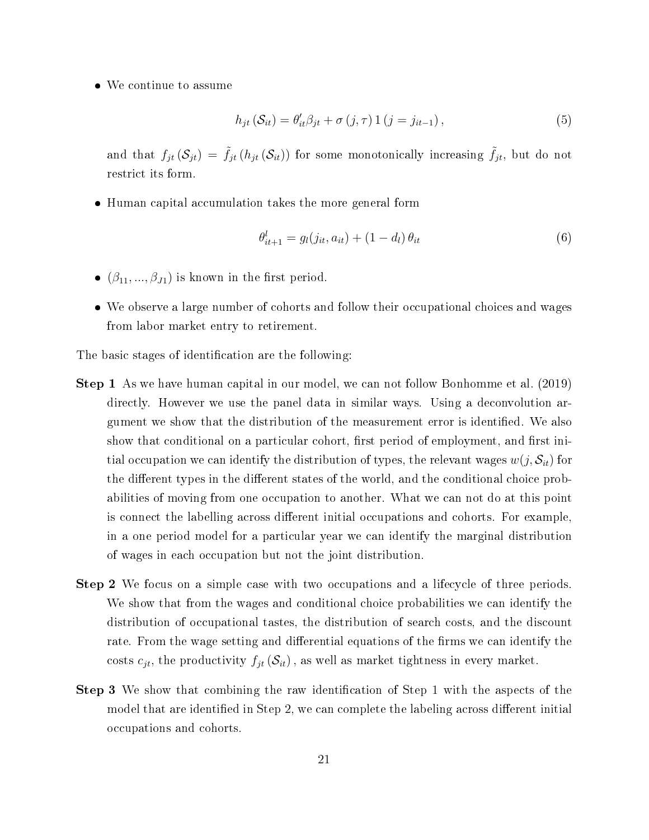We continue to assume

$$
h_{jt}(\mathcal{S}_{it}) = \theta'_{it}\beta_{jt} + \sigma(j,\tau)1(j=j_{it-1}),
$$
\n(5)

and that  $f_{jt}(\mathcal{S}_{jt}) = \tilde{f}_{jt}(h_{jt}(\mathcal{S}_{it}))$  for some monotonically increasing  $\tilde{f}_{jt}$ , but do not restrict its form.

Human capital accumulation takes the more general form

$$
\theta_{it+1}^l = g_l(j_{it}, a_{it}) + (1 - d_l) \theta_{it} \tag{6}
$$

- $(\beta_{11}, ..., \beta_{J1})$  is known in the first period.
- We observe a large number of cohorts and follow their occupational choices and wages from labor market entry to retirement.

The basic stages of identification are the following:

- Step 1 As we have human capital in our model, we can not follow Bonhomme et al. (2019) directly. However we use the panel data in similar ways. Using a deconvolution argument we show that the distribution of the measurement error is identified. We also show that conditional on a particular cohort, first period of employment, and first initial occupation we can identify the distribution of types, the relevant wages  $w(j, \mathcal{S}_{it})$  for the different types in the different states of the world, and the conditional choice probabilities of moving from one occupation to another. What we can not do at this point is connect the labelling across different initial occupations and cohorts. For example, in a one period model for a particular year we can identify the marginal distribution of wages in each occupation but not the joint distribution.
- Step 2 We focus on a simple case with two occupations and a lifecycle of three periods. We show that from the wages and conditional choice probabilities we can identify the distribution of occupational tastes, the distribution of search costs, and the discount rate. From the wage setting and differential equations of the firms we can identify the costs  $c_{jt}$ , the productivity  $f_{jt}(\mathcal{S}_{it})$ , as well as market tightness in every market.
- Step 3 We show that combining the raw identification of Step 1 with the aspects of the model that are identified in Step 2, we can complete the labeling across different initial occupations and cohorts.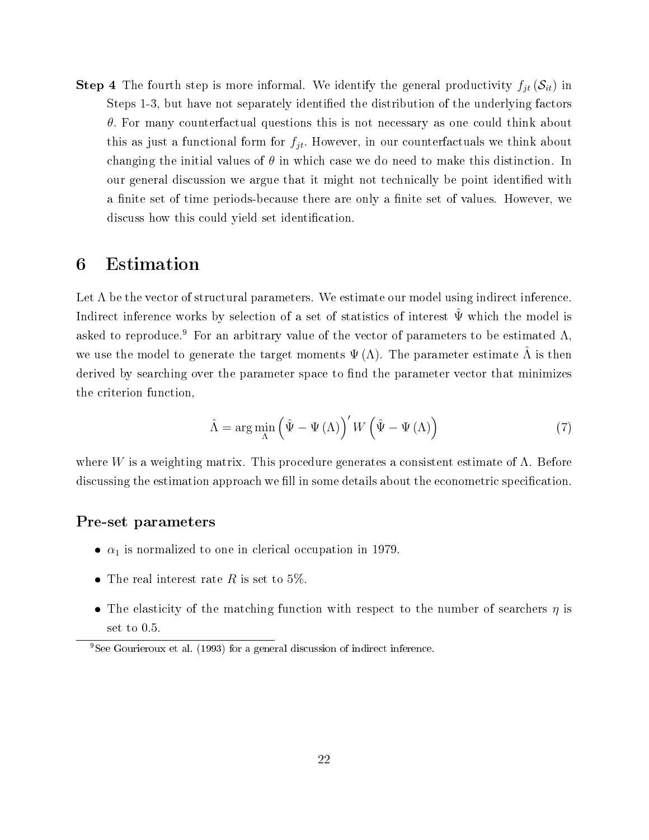**Step 4** The fourth step is more informal. We identify the general productivity  $f_{jt}(\mathcal{S}_{it})$  in Steps 1-3, but have not separately identified the distribution of the underlying factors  $\theta$ . For many counterfactual questions this is not necessary as one could think about this as just a functional form for  $f_{jt}$ . However, in our counterfactuals we think about changing the initial values of  $\theta$  in which case we do need to make this distinction. In our general discussion we argue that it might not technically be point identied with a finite set of time periods-because there are only a finite set of values. However, we discuss how this could yield set identification.

## 6 Estimation

Let  $\Lambda$  be the vector of structural parameters. We estimate our model using indirect inference. Indirect inference works by selection of a set of statistics of interest  $\hat{\Psi}$  which the model is asked to reproduce.<sup>9</sup> For an arbitrary value of the vector of parameters to be estimated  $\Lambda$ , we use the model to generate the target moments  $\Psi(\Lambda)$ . The parameter estimate  $\overline{\Lambda}$  is then derived by searching over the parameter space to find the parameter vector that minimizes the criterion function,

$$
\hat{\Lambda} = \arg\min_{\Lambda} \left( \hat{\Psi} - \Psi \left( \Lambda \right) \right)' W \left( \hat{\Psi} - \Psi \left( \Lambda \right) \right) \tag{7}
$$

where W is a weighting matrix. This procedure generates a consistent estimate of  $\Lambda$ . Before discussing the estimation approach we fill in some details about the econometric specification.

### Pre-set parameters

- $\bullet$   $\alpha_1$  is normalized to one in clerical occupation in 1979.
- The real interest rate  $R$  is set to 5%.
- The elasticity of the matching function with respect to the number of searchers  $\eta$  is set to 0.5.

<sup>9</sup>See Gourieroux et al. (1993) for a general discussion of indirect inference.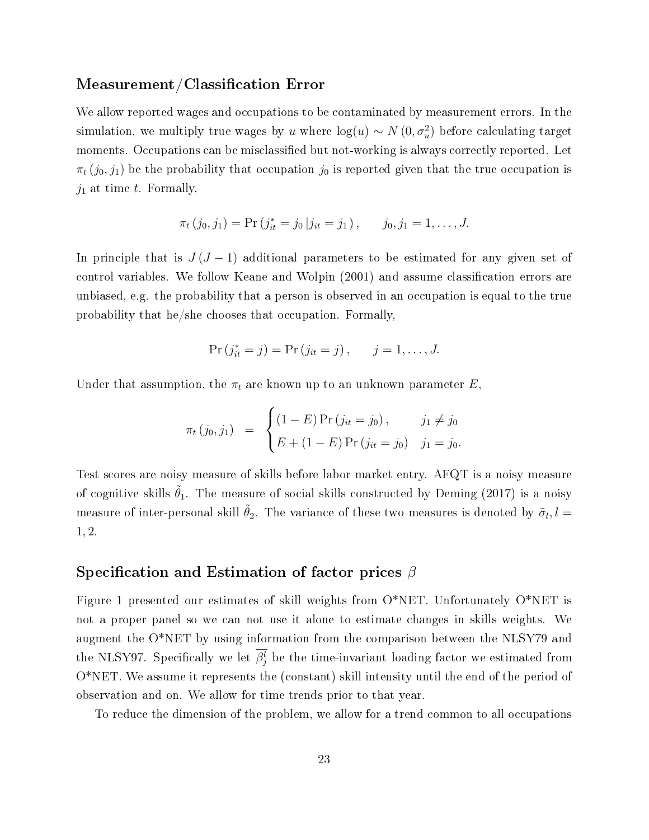### Measurement/Classification Error

We allow reported wages and occupations to be contaminated by measurement errors. In the simulation, we multiply true wages by u where  $\log(u) \sim N(0, \sigma_u^2)$  before calculating target moments. Occupations can be misclassified but not-working is always correctly reported. Let  $\pi_t$  (j<sub>0</sub>, j<sub>1</sub>) be the probability that occupation j<sub>0</sub> is reported given that the true occupation is  $j_1$  at time t. Formally,

$$
\pi_t(j_0, j_1) = \Pr(j_{it}^* = j_0 | j_{it} = j_1), \qquad j_0, j_1 = 1, \dots, J.
$$

In principle that is  $J(J-1)$  additional parameters to be estimated for any given set of control variables. We follow Keane and Wolpin (2001) and assume classification errors are unbiased, e.g. the probability that a person is observed in an occupation is equal to the true probability that he/she chooses that occupation. Formally,

$$
Pr(j_{it}^{*} = j) = Pr(j_{it} = j), \quad j = 1, ..., J.
$$

Under that assumption, the  $\pi_t$  are known up to an unknown parameter E,

$$
\pi_t (j_0, j_1) = \begin{cases} (1 - E) \Pr(j_{it} = j_0), & j_1 \neq j_0 \\ E + (1 - E) \Pr(j_{it} = j_0) & j_1 = j_0. \end{cases}
$$

Test scores are noisy measure of skills before labor market entry. AFQT is a noisy measure of cognitive skills  $\tilde{\theta}_1$ . The measure of social skills constructed by Deming (2017) is a noisy measure of inter-personal skill  $\tilde{\theta}_2$ . The variance of these two measures is denoted by  $\tilde{\sigma}_l, l =$ 1, 2.

### Specification and Estimation of factor prices  $\beta$

Figure 1 presented our estimates of skill weights from O\*NET. Unfortunately O\*NET is not a proper panel so we can not use it alone to estimate changes in skills weights. We augment the O\*NET by using information from the comparison between the NLSY79 and the NLSY97. Specifically we let  $\beta_j^l$  be the time-invariant loading factor we estimated from O\*NET. We assume it represents the (constant) skill intensity until the end of the period of observation and on. We allow for time trends prior to that year.

To reduce the dimension of the problem, we allow for a trend common to all occupations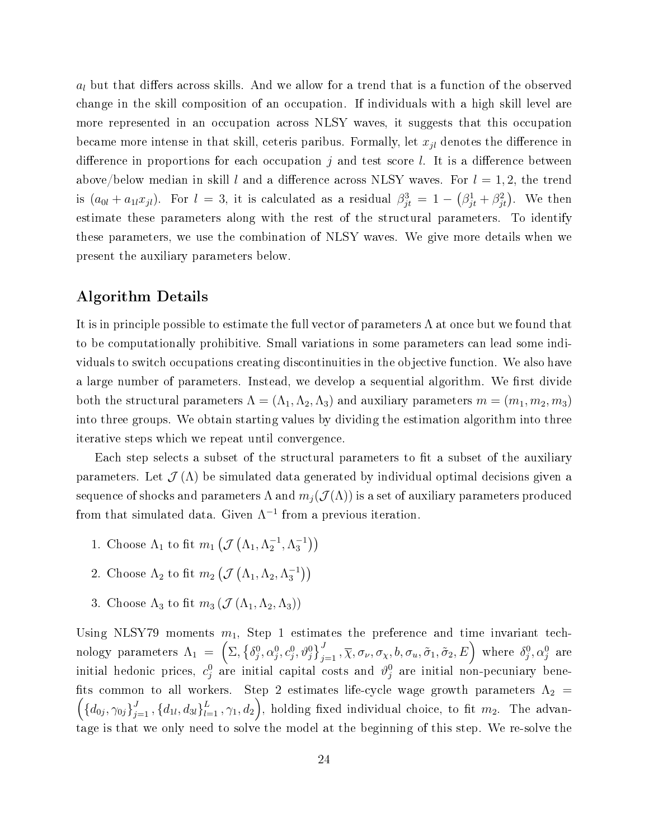$a_l$  but that differs across skills. And we allow for a trend that is a function of the observed change in the skill composition of an occupation. If individuals with a high skill level are more represented in an occupation across NLSY waves, it suggests that this occupation became more intense in that skill, ceteris paribus. Formally, let  $x_{jl}$  denotes the difference in difference in proportions for each occupation j and test score l. It is a difference between above/below median in skill l and a difference across NLSY waves. For  $l = 1, 2$ , the trend is  $(a_{0l} + a_{1l}x_{jl})$ . For  $l = 3$ , it is calculated as a residual  $\beta_{jt}^3 = 1 - (\beta_{jt}^1 + \beta_{jt}^2)$ . We then estimate these parameters along with the rest of the structural parameters. To identify these parameters, we use the combination of NLSY waves. We give more details when we present the auxiliary parameters below.

### Algorithm Details

It is in principle possible to estimate the full vector of parameters  $\Lambda$  at once but we found that to be computationally prohibitive. Small variations in some parameters can lead some individuals to switch occupations creating discontinuities in the objective function. We also have a large number of parameters. Instead, we develop a sequential algorithm. We first divide both the structural parameters  $\Lambda = (\Lambda_1, \Lambda_2, \Lambda_3)$  and auxiliary parameters  $m = (m_1, m_2, m_3)$ into three groups. We obtain starting values by dividing the estimation algorithm into three iterative steps which we repeat until convergence.

Each step selects a subset of the structural parameters to fit a subset of the auxiliary parameters. Let  $\mathcal{J}(\Lambda)$  be simulated data generated by individual optimal decisions given a sequence of shocks and parameters  $\Lambda$  and  $m_i(\mathcal{J}(\Lambda))$  is a set of auxiliary parameters produced from that simulated data. Given  $\Lambda^{-1}$  from a previous iteration.

- 1. Choose  $\Lambda_1$  to fit  $m_1\left(\mathcal{J}\left(\Lambda_1,\Lambda_2^{-1},\Lambda_3^{-1}\right)\right)$
- 2. Choose  $\Lambda_2$  to fit  $m_2(\mathcal{J}(\Lambda_1, \Lambda_2, \Lambda_3^{-1}))$
- 3. Choose  $\Lambda_3$  to fit  $m_3(\mathcal{J}(\Lambda_1,\Lambda_2,\Lambda_3))$

Using NLSY79 moments  $m_1$ , Step 1 estimates the preference and time invariant technology parameters  $\Lambda_1\;=\; \left(\Sigma, \left\{\delta^0_j,\alpha^0_j,c^0_j,\vartheta^0_j\right\}_{j=1}^J\,, \overline{\chi},\sigma_\nu,\sigma_\chi,b,\sigma_u,\tilde{\sigma}_1,\tilde{\sigma}_2,E\right)\,$  where  $\delta^0_j,\alpha^0_j$  are initial hedonic prices,  $c_j^0$  are initial capital costs and  $\vartheta_j^0$  are initial non-pecuniary benefits common to all workers. Step 2 estimates life-cycle wage growth parameters  $\Lambda_2$  =  $\left(\{d_{0j},\gamma_{0j}\}_{j=1}^J,\{d_{1l},d_{3l}\}_{l=1}^L,\gamma_1,d_2\right)$ , holding fixed individual choice, to fit  $m_2$ . The advantage is that we only need to solve the model at the beginning of this step. We re-solve the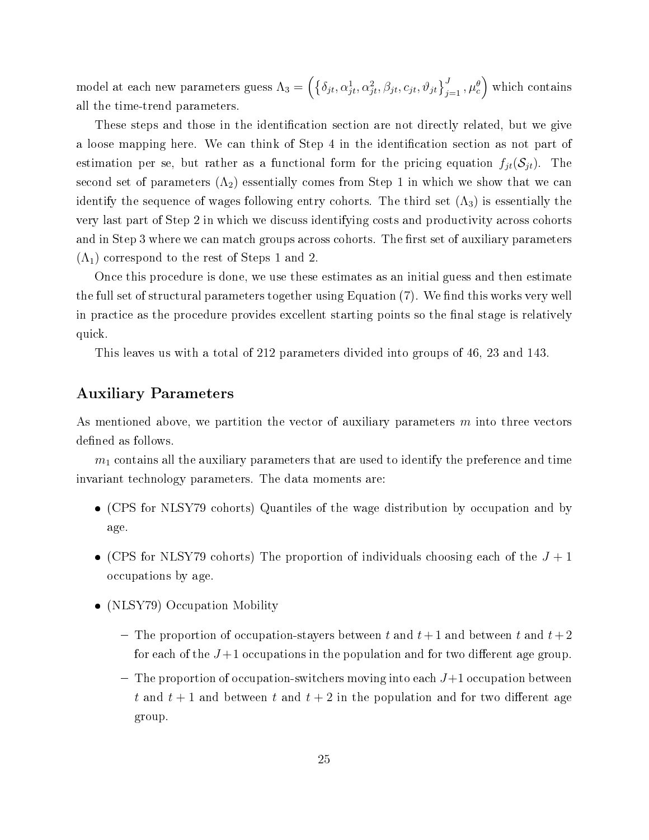model at each new parameters guess  $\Lambda_3=\left(\left\{\delta_{jt},\alpha_{jt}^1,\alpha_{jt}^2,\beta_{jt},c_{jt},\vartheta_{jt}\right\}_{j=1}^J,\mu_c^\theta\right)$  which contains all the time-trend parameters.

These steps and those in the identification section are not directly related, but we give a loose mapping here. We can think of Step 4 in the identification section as not part of estimation per se, but rather as a functional form for the pricing equation  $f_{jt}(S_{jt})$ . The second set of parameters  $(\Lambda_2)$  essentially comes from Step 1 in which we show that we can identify the sequence of wages following entry cohorts. The third set  $(\Lambda_3)$  is essentially the very last part of Step 2 in which we discuss identifying costs and productivity across cohorts and in Step 3 where we can match groups across cohorts. The first set of auxiliary parameters  $(\Lambda_1)$  correspond to the rest of Steps 1 and 2.

Once this procedure is done, we use these estimates as an initial guess and then estimate the full set of structural parameters together using Equation  $(7)$ . We find this works very well in practice as the procedure provides excellent starting points so the final stage is relatively quick.

This leaves us with a total of 212 parameters divided into groups of 46, 23 and 143.

### Auxiliary Parameters

As mentioned above, we partition the vector of auxiliary parameters  $m$  into three vectors defined as follows.

 $m_1$  contains all the auxiliary parameters that are used to identify the preference and time invariant technology parameters. The data moments are:

- (CPS for NLSY79 cohorts) Quantiles of the wage distribution by occupation and by age.
- (CPS for NLSY79 cohorts) The proportion of individuals choosing each of the  $J + 1$ occupations by age.
- (NLSY79) Occupation Mobility
	- The proportion of occupation-stayers between t and  $t+1$  and between t and  $t+2$ for each of the  $J+1$  occupations in the population and for two different age group.
	- $-$  The proportion of occupation-switchers moving into each  $J+1$  occupation between t and  $t + 1$  and between t and  $t + 2$  in the population and for two different age group.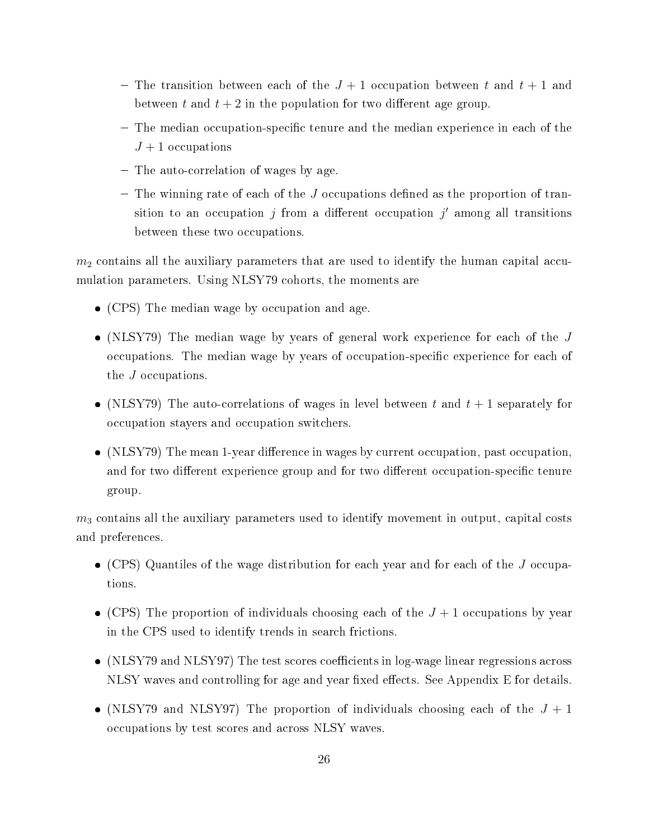- The transition between each of the  $J+1$  occupation between t and  $t+1$  and between t and  $t + 2$  in the population for two different age group.
- The median occupation-specific tenure and the median experience in each of the  $J+1$  occupations
- The auto-correlation of wages by age.
- $-$  The winning rate of each of the J occupations defined as the proportion of transition to an occupation  $j$  from a different occupation  $j'$  among all transitions between these two occupations.

 $m<sub>2</sub>$  contains all the auxiliary parameters that are used to identify the human capital accumulation parameters. Using NLSY79 cohorts, the moments are

- (CPS) The median wage by occupation and age.
- (NLSY79) The median wage by years of general work experience for each of the  $J$ occupations. The median wage by years of occupation-specific experience for each of the J occupations.
- (NLSY79) The auto-correlations of wages in level between t and  $t + 1$  separately for occupation stayers and occupation switchers.
- (NLSY79) The mean 1-year difference in wages by current occupation, past occupation, and for two different experience group and for two different occupation-specific tenure group.

 $m<sub>3</sub>$  contains all the auxiliary parameters used to identify movement in output, capital costs and preferences.

- (CPS) Quantiles of the wage distribution for each year and for each of the J occupations.
- (CPS) The proportion of individuals choosing each of the  $J + 1$  occupations by year in the CPS used to identify trends in search frictions.
- (NLSY79 and NLSY97) The test scores coefficients in log-wage linear regressions across NLSY waves and controlling for age and year fixed effects. See Appendix E for details.
- (NLSY79 and NLSY97) The proportion of individuals choosing each of the  $J + 1$ occupations by test scores and across NLSY waves.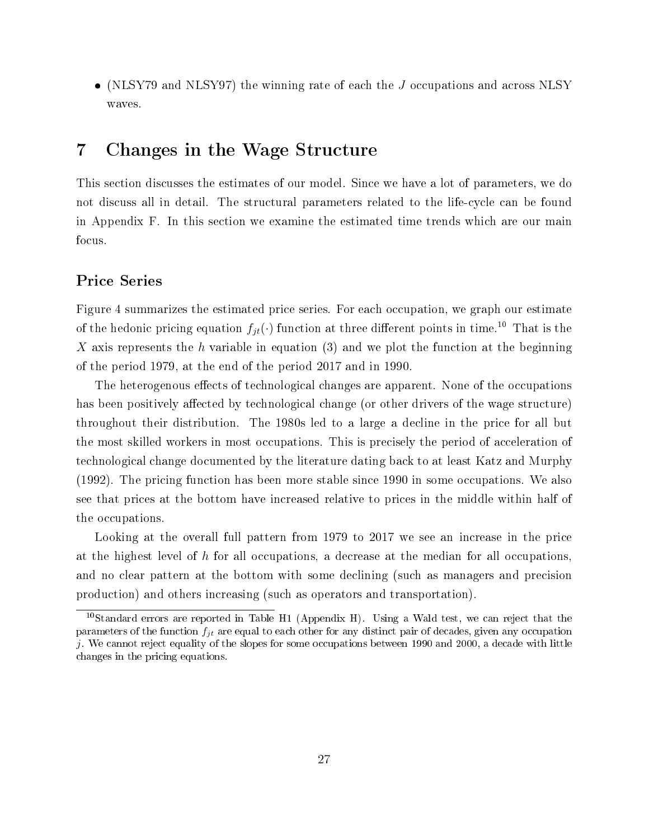(NLSY79 and NLSY97) the winning rate of each the J occupations and across NLSY waves.

## 7 Changes in the Wage Structure

This section discusses the estimates of our model. Since we have a lot of parameters, we do not discuss all in detail. The structural parameters related to the life-cycle can be found in Appendix F. In this section we examine the estimated time trends which are our main focus.

### Price Series

Figure 4 summarizes the estimated price series. For each occupation, we graph our estimate of the hedonic pricing equation  $f_{jt}(\cdot)$  function at three different points in time.<sup>10</sup> That is the X axis represents the h variable in equation  $(3)$  and we plot the function at the beginning of the period 1979, at the end of the period 2017 and in 1990.

The heterogenous effects of technological changes are apparent. None of the occupations has been positively affected by technological change (or other drivers of the wage structure) throughout their distribution. The 1980s led to a large a decline in the price for all but the most skilled workers in most occupations. This is precisely the period of acceleration of technological change documented by the literature dating back to at least Katz and Murphy (1992). The pricing function has been more stable since 1990 in some occupations. We also see that prices at the bottom have increased relative to prices in the middle within half of the occupations.

Looking at the overall full pattern from 1979 to 2017 we see an increase in the price at the highest level of h for all occupations, a decrease at the median for all occupations, and no clear pattern at the bottom with some declining (such as managers and precision production) and others increasing (such as operators and transportation).

<sup>10</sup>Standard errors are reported in Table H1 (Appendix H). Using a Wald test, we can reject that the parameters of the function  $f_{it}$  are equal to each other for any distinct pair of decades, given any occupation j. We cannot reject equality of the slopes for some occupations between 1990 and 2000, a decade with little changes in the pricing equations.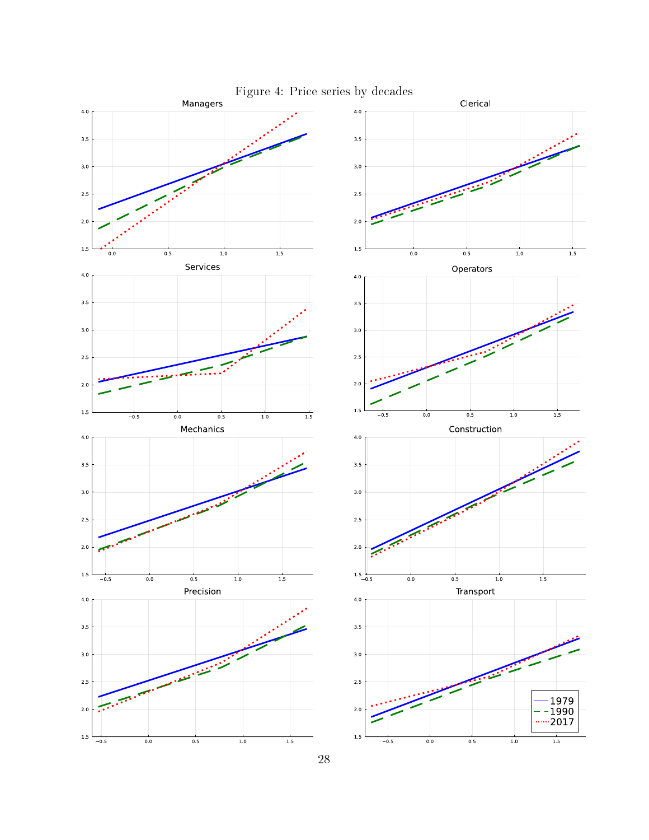

Figure 4: Price series by decades

28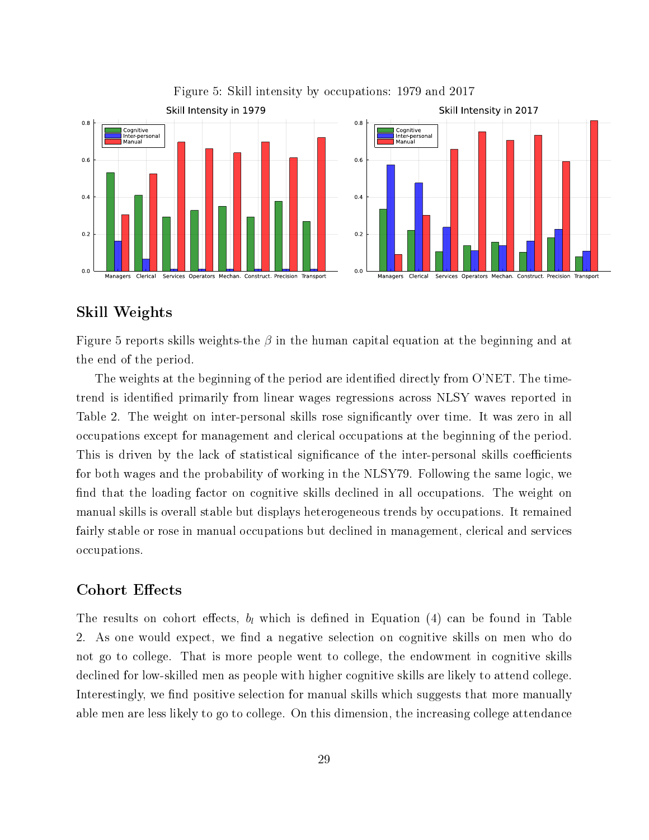

#### Figure 5: Skill intensity by occupations: 1979 and 2017

### Skill Weights

Figure 5 reports skills weights-the  $\beta$  in the human capital equation at the beginning and at the end of the period.

The weights at the beginning of the period are identified directly from O'NET. The timetrend is identified primarily from linear wages regressions across NLSY waves reported in Table 2. The weight on inter-personal skills rose significantly over time. It was zero in all occupations except for management and clerical occupations at the beginning of the period. This is driven by the lack of statistical significance of the inter-personal skills coefficients for both wages and the probability of working in the NLSY79. Following the same logic, we find that the loading factor on cognitive skills declined in all occupations. The weight on manual skills is overall stable but displays heterogeneous trends by occupations. It remained fairly stable or rose in manual occupations but declined in management, clerical and services occupations.

### Cohort Effects

The results on cohort effects,  $b_l$  which is defined in Equation (4) can be found in Table 2. As one would expect, we find a negative selection on cognitive skills on men who do not go to college. That is more people went to college, the endowment in cognitive skills declined for low-skilled men as people with higher cognitive skills are likely to attend college. Interestingly, we find positive selection for manual skills which suggests that more manually able men are less likely to go to college. On this dimension, the increasing college attendance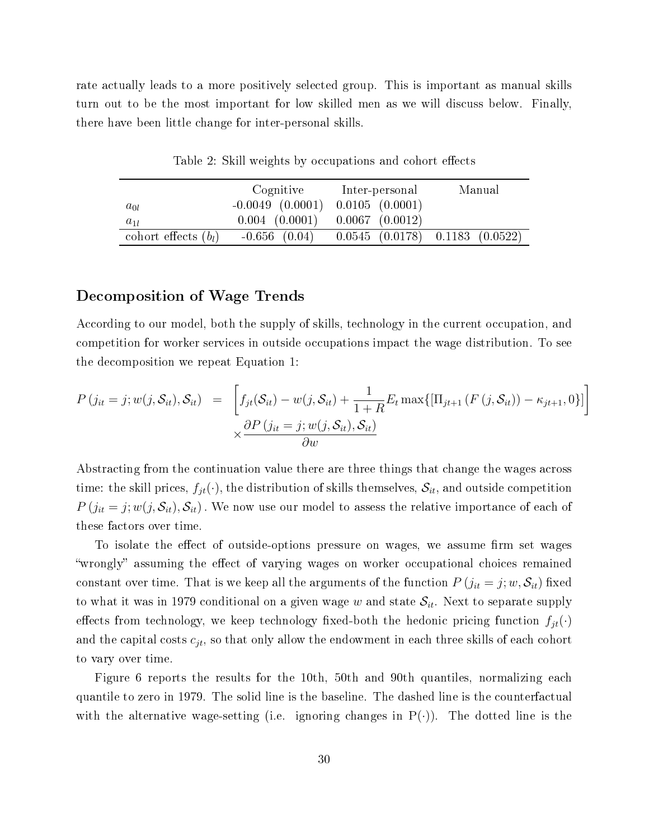rate actually leads to a more positively selected group. This is important as manual skills turn out to be the most important for low skilled men as we will discuss below. Finally, there have been little change for inter-personal skills.

|                        | Cognitive            | Inter-personal                          | Manual |  |
|------------------------|----------------------|-----------------------------------------|--------|--|
| $a_{0l}$               | $-0.0049$ $(0.0001)$ | $0.0105$ $(0.0001)$                     |        |  |
| $a_{1l}$               | $0.004$ $(0.0001)$   | $0.0067$ $(0.0012)$                     |        |  |
| cohort effects $(b_l)$ | $-0.656$ $(0.04)$    | $0.0545$ $(0.0178)$ $0.1183$ $(0.0522)$ |        |  |

Table 2: Skill weights by occupations and cohort effects

#### Decomposition of Wage Trends

According to our model, both the supply of skills, technology in the current occupation, and competition for worker services in outside occupations impact the wage distribution. To see the decomposition we repeat Equation 1:

$$
P(j_{it} = j; w(j, \mathcal{S}_{it}), \mathcal{S}_{it}) = \left[ f_{jt}(\mathcal{S}_{it}) - w(j, \mathcal{S}_{it}) + \frac{1}{1+R} E_t \max\{[\Pi_{jt+1} (F(j, \mathcal{S}_{it})) - \kappa_{jt+1}, 0\}]\right] \times \frac{\partial P(j_{it} = j; w(j, \mathcal{S}_{it}), \mathcal{S}_{it})}{\partial w}
$$

Abstracting from the continuation value there are three things that change the wages across time: the skill prices,  $f_{jt}(\cdot)$ , the distribution of skills themselves,  $\mathcal{S}_{it}$ , and outside competition  $P(j_{it} = j; w(j, S_{it}), S_{it})$ . We now use our model to assess the relative importance of each of these factors over time.

To isolate the effect of outside-options pressure on wages, we assume firm set wages wrongly" assuming the effect of varying wages on worker occupational choices remained constant over time. That is we keep all the arguments of the function  $P(j_{it} = j; w, \mathcal{S}_{it})$  fixed to what it was in 1979 conditional on a given wage w and state  $S_{it}$ . Next to separate supply effects from technology, we keep technology fixed-both the hedonic pricing function  $f_{jt}(\cdot)$ and the capital costs  $c_{jt}$ , so that only allow the endowment in each three skills of each cohort to vary over time.

Figure 6 reports the results for the 10th, 50th and 90th quantiles, normalizing each quantile to zero in 1979. The solid line is the baseline. The dashed line is the counterfactual with the alternative wage-setting (i.e. ignoring changes in  $P(\cdot)$ ). The dotted line is the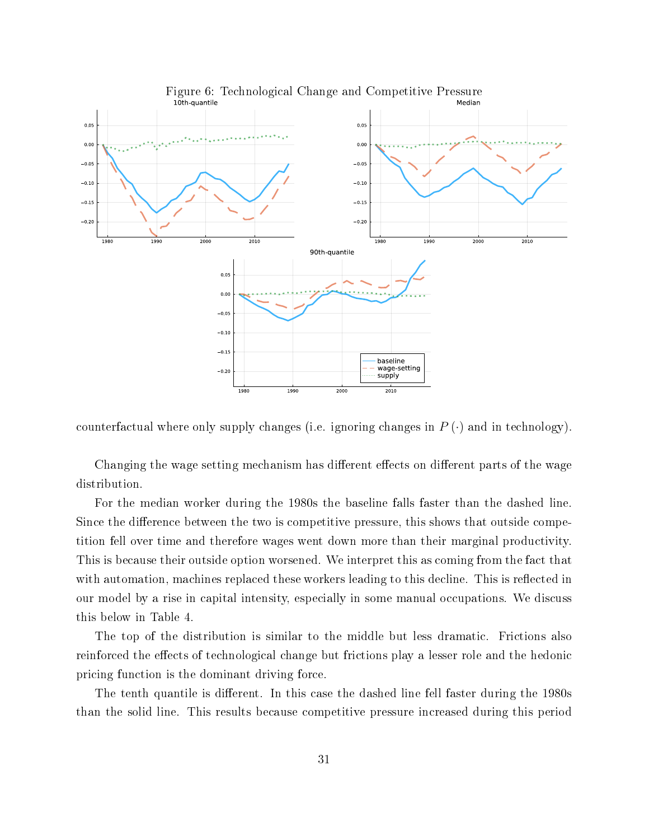

counterfactual where only supply changes (i.e. ignoring changes in  $P(\cdot)$  and in technology).

Changing the wage setting mechanism has different effects on different parts of the wage distribution.

For the median worker during the 1980s the baseline falls faster than the dashed line. Since the difference between the two is competitive pressure, this shows that outside competition fell over time and therefore wages went down more than their marginal productivity. This is because their outside option worsened. We interpret this as coming from the fact that with automation, machines replaced these workers leading to this decline. This is reflected in our model by a rise in capital intensity, especially in some manual occupations. We discuss this below in Table 4.

The top of the distribution is similar to the middle but less dramatic. Frictions also reinforced the effects of technological change but frictions play a lesser role and the hedonic pricing function is the dominant driving force.

The tenth quantile is different. In this case the dashed line fell faster during the 1980s than the solid line. This results because competitive pressure increased during this period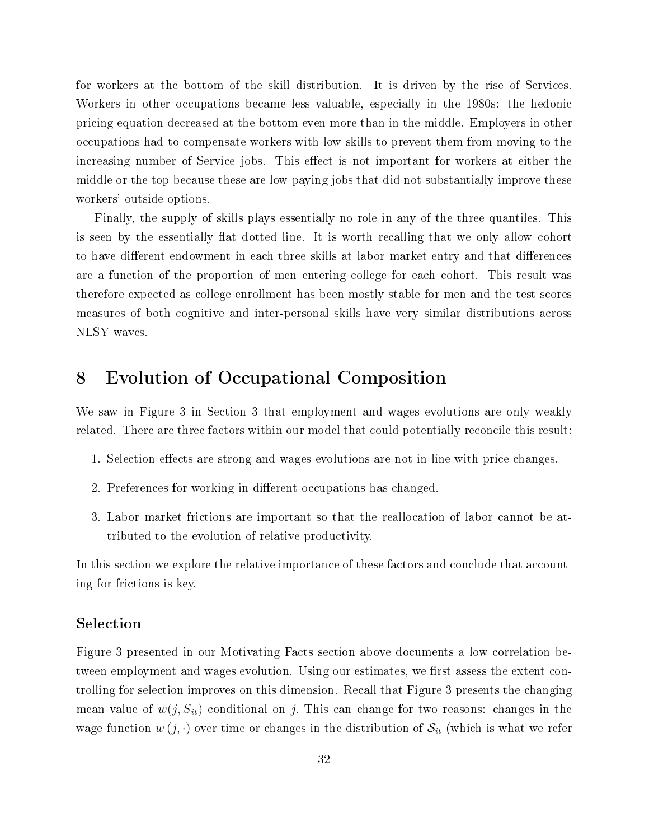for workers at the bottom of the skill distribution. It is driven by the rise of Services. Workers in other occupations became less valuable, especially in the 1980s: the hedonic pricing equation decreased at the bottom even more than in the middle. Employers in other occupations had to compensate workers with low skills to prevent them from moving to the increasing number of Service jobs. This effect is not important for workers at either the middle or the top because these are low-paying jobs that did not substantially improve these workers' outside options.

Finally, the supply of skills plays essentially no role in any of the three quantiles. This is seen by the essentially flat dotted line. It is worth recalling that we only allow cohort to have different endowment in each three skills at labor market entry and that differences are a function of the proportion of men entering college for each cohort. This result was therefore expected as college enrollment has been mostly stable for men and the test scores measures of both cognitive and inter-personal skills have very similar distributions across NLSY waves.

## 8 Evolution of Occupational Composition

We saw in Figure 3 in Section 3 that employment and wages evolutions are only weakly related. There are three factors within our model that could potentially reconcile this result:

- 1. Selection effects are strong and wages evolutions are not in line with price changes.
- 2. Preferences for working in different occupations has changed.
- 3. Labor market frictions are important so that the reallocation of labor cannot be attributed to the evolution of relative productivity.

In this section we explore the relative importance of these factors and conclude that accounting for frictions is key.

### Selection

Figure 3 presented in our Motivating Facts section above documents a low correlation between employment and wages evolution. Using our estimates, we first assess the extent controlling for selection improves on this dimension. Recall that Figure 3 presents the changing mean value of  $w(j, S_{it})$  conditional on j. This can change for two reasons: changes in the wage function  $w(j, \cdot)$  over time or changes in the distribution of  $S_{it}$  (which is what we refer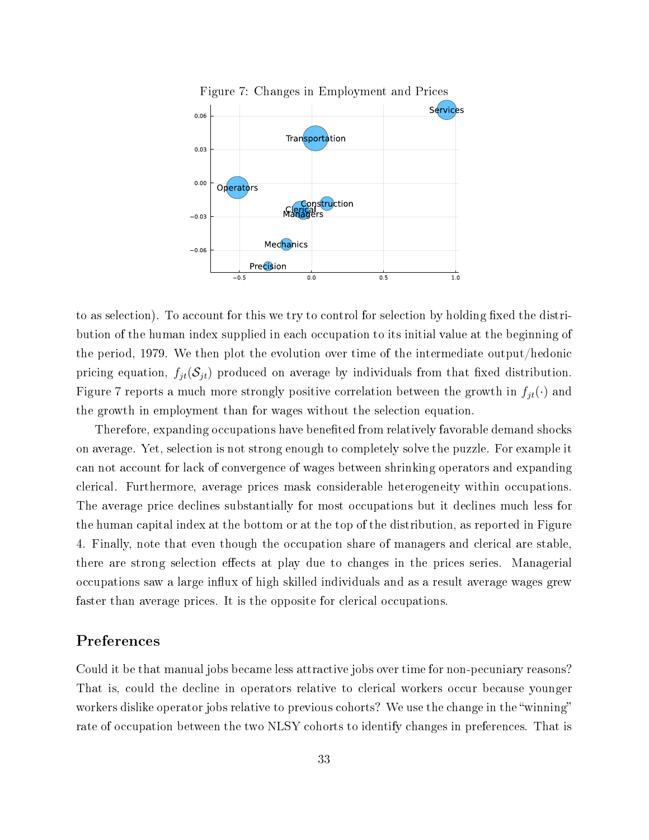

to as selection). To account for this we try to control for selection by holding fixed the distribution of the human index supplied in each occupation to its initial value at the beginning of the period, 1979. We then plot the evolution over time of the intermediate output/hedonic pricing equation,  $f_{jt}(\mathcal{S}_{jt})$  produced on average by individuals from that fixed distribution. Figure 7 reports a much more strongly positive correlation between the growth in  $f_{jt}(\cdot)$  and the growth in employment than for wages without the selection equation.

Therefore, expanding occupations have benefited from relatively favorable demand shocks on average. Yet, selection is not strong enough to completely solve the puzzle. For example it can not account for lack of convergence of wages between shrinking operators and expanding clerical. Furthermore, average prices mask considerable heterogeneity within occupations. The average price declines substantially for most occupations but it declines much less for the human capital index at the bottom or at the top of the distribution, as reported in Figure 4. Finally, note that even though the occupation share of managers and clerical are stable, there are strong selection effects at play due to changes in the prices series. Managerial occupations saw a large influx of high skilled individuals and as a result average wages grew faster than average prices. It is the opposite for clerical occupations.

### Preferences

Could it be that manual jobs became less attractive jobs over time for non-pecuniary reasons? That is, could the decline in operators relative to clerical workers occur because younger workers dislike operator jobs relative to previous cohorts? We use the change in the "winning" rate of occupation between the two NLSY cohorts to identify changes in preferences. That is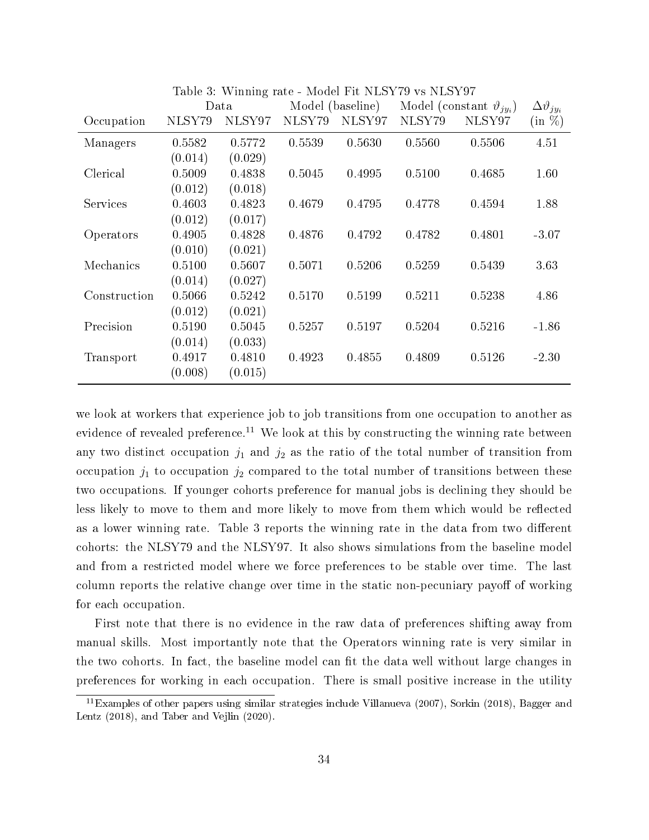|              | Tapic of willing face<br>THOUGH IT IT THAT IT AN ITEM IT IT<br>Model (baseline)<br>Data |         | Model (constant $\vartheta_{i u_i}$ ) |        | $\Delta \vartheta_{j y_i}$ |        |           |
|--------------|-----------------------------------------------------------------------------------------|---------|---------------------------------------|--------|----------------------------|--------|-----------|
| Occupation   | NLSY79                                                                                  | NLSY97  | NLSY79                                | NLSY97 | NLSY79                     | NLSY97 | $(in \%)$ |
| Managers     | 0.5582                                                                                  | 0.5772  | 0.5539                                | 0.5630 | 0.5560                     | 0.5506 | 4.51      |
|              | (0.014)                                                                                 | (0.029) |                                       |        |                            |        |           |
| Clerical     | 0.5009                                                                                  | 0.4838  | 0.5045                                | 0.4995 | 0.5100                     | 0.4685 | 1.60      |
|              | (0.012)                                                                                 | (0.018) |                                       |        |                            |        |           |
| Services     | 0.4603                                                                                  | 0.4823  | 0.4679                                | 0.4795 | 0.4778                     | 0.4594 | 1.88      |
|              | (0.012)                                                                                 | (0.017) |                                       |        |                            |        |           |
| Operators    | 0.4905                                                                                  | 0.4828  | 0.4876                                | 0.4792 | 0.4782                     | 0.4801 | $-3.07$   |
|              | (0.010)                                                                                 | (0.021) |                                       |        |                            |        |           |
| Mechanics    | 0.5100                                                                                  | 0.5607  | 0.5071                                | 0.5206 | 0.5259                     | 0.5439 | 3.63      |
|              | (0.014)                                                                                 | (0.027) |                                       |        |                            |        |           |
| Construction | 0.5066                                                                                  | 0.5242  | 0.5170                                | 0.5199 | 0.5211                     | 0.5238 | 4.86      |
|              | (0.012)                                                                                 | (0.021) |                                       |        |                            |        |           |
| Precision    | 0.5190                                                                                  | 0.5045  | 0.5257                                | 0.5197 | 0.5204                     | 0.5216 | $-1.86$   |
|              | (0.014)                                                                                 | (0.033) |                                       |        |                            |        |           |
| Transport    | 0.4917                                                                                  | 0.4810  | 0.4923                                | 0.4855 | 0.4809                     | 0.5126 | $-2.30$   |
|              | (0.008)                                                                                 | (0.015) |                                       |        |                            |        |           |

Table 3: Winning rate - Model Fit NLSY79 vs NLSY97

we look at workers that experience job to job transitions from one occupation to another as evidence of revealed preference.<sup>11</sup> We look at this by constructing the winning rate between any two distinct occupation  $j_1$  and  $j_2$  as the ratio of the total number of transition from occupation  $j_1$  to occupation  $j_2$  compared to the total number of transitions between these two occupations. If younger cohorts preference for manual jobs is declining they should be less likely to move to them and more likely to move from them which would be reflected as a lower winning rate. Table 3 reports the winning rate in the data from two different cohorts: the NLSY79 and the NLSY97. It also shows simulations from the baseline model and from a restricted model where we force preferences to be stable over time. The last column reports the relative change over time in the static non-pecuniary payoff of working for each occupation.

First note that there is no evidence in the raw data of preferences shifting away from manual skills. Most importantly note that the Operators winning rate is very similar in the two cohorts. In fact, the baseline model can fit the data well without large changes in preferences for working in each occupation. There is small positive increase in the utility

<sup>11</sup>Examples of other papers using similar strategies include Villanueva (2007), Sorkin (2018), Bagger and Lentz (2018), and Taber and Vejlin (2020).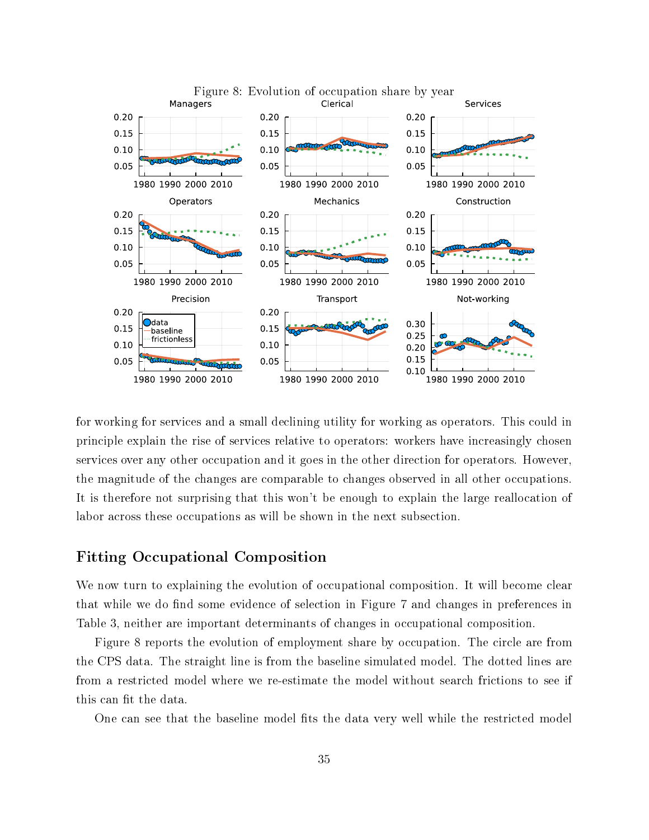

for working for services and a small declining utility for working as operators. This could in principle explain the rise of services relative to operators: workers have increasingly chosen services over any other occupation and it goes in the other direction for operators. However, the magnitude of the changes are comparable to changes observed in all other occupations. It is therefore not surprising that this won't be enough to explain the large reallocation of labor across these occupations as will be shown in the next subsection.

### Fitting Occupational Composition

We now turn to explaining the evolution of occupational composition. It will become clear that while we do find some evidence of selection in Figure 7 and changes in preferences in Table 3, neither are important determinants of changes in occupational composition.

Figure 8 reports the evolution of employment share by occupation. The circle are from the CPS data. The straight line is from the baseline simulated model. The dotted lines are from a restricted model where we re-estimate the model without search frictions to see if this can fit the data.

One can see that the baseline model fits the data very well while the restricted model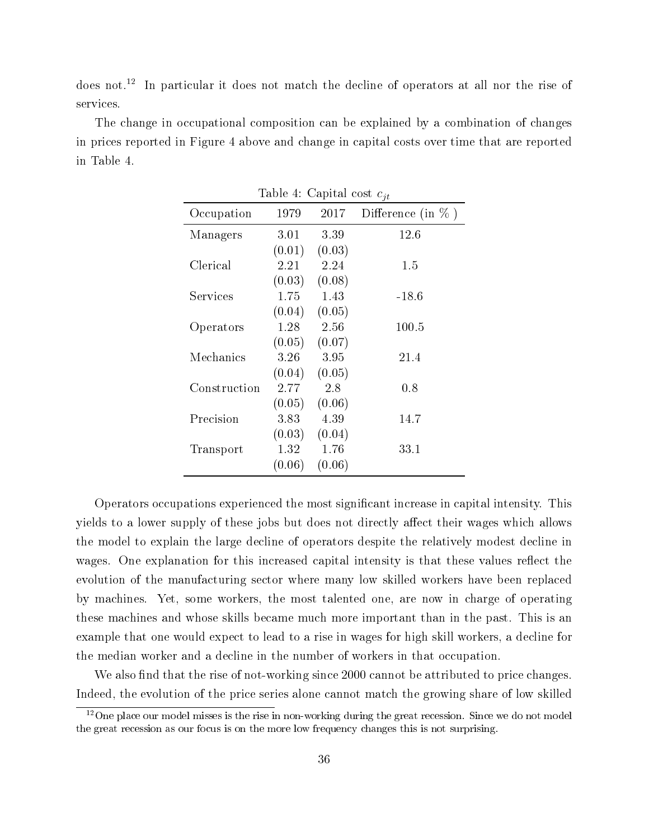does not.<sup>12</sup> In particular it does not match the decline of operators at all nor the rise of services.

The change in occupational composition can be explained by a combination of changes in prices reported in Figure 4 above and change in capital costs over time that are reported in Table 4.

| Table 4: Capital cost $c_{it}$ |        |        |                       |  |  |
|--------------------------------|--------|--------|-----------------------|--|--|
| Occupation                     | 1979   | 2017   | Difference (in $\%$ ) |  |  |
| Managers                       | 3.01   | 3.39   | 12.6                  |  |  |
|                                | (0.01) | (0.03) |                       |  |  |
| Clerical                       | 2.21   | 2.24   | 1.5                   |  |  |
|                                | (0.03) | (0.08) |                       |  |  |
| Services                       | 1.75   | 1.43   | $-18.6$               |  |  |
|                                | (0.04) | (0.05) |                       |  |  |
| Operators                      | 1.28   | 2.56   | 100.5                 |  |  |
|                                | (0.05) | (0.07) |                       |  |  |
| Mechanics                      | 3.26   | 3.95   | 21.4                  |  |  |
|                                | (0.04) | (0.05) |                       |  |  |
| Construction                   | 2.77   | 2.8    | $0.8\,$               |  |  |
|                                | (0.05) | (0.06) |                       |  |  |
| Precision                      | 3.83   | 4.39   | 14.7                  |  |  |
|                                | (0.03) | (0.04) |                       |  |  |
| Transport                      | 1.32   | 1.76   | 33.1                  |  |  |
|                                | (0.06) | (0.06) |                       |  |  |

Operators occupations experienced the most signicant increase in capital intensity. This yields to a lower supply of these jobs but does not directly affect their wages which allows the model to explain the large decline of operators despite the relatively modest decline in wages. One explanation for this increased capital intensity is that these values reflect the evolution of the manufacturing sector where many low skilled workers have been replaced by machines. Yet, some workers, the most talented one, are now in charge of operating these machines and whose skills became much more important than in the past. This is an example that one would expect to lead to a rise in wages for high skill workers, a decline for the median worker and a decline in the number of workers in that occupation.

We also find that the rise of not-working since 2000 cannot be attributed to price changes. Indeed, the evolution of the price series alone cannot match the growing share of low skilled

 $12$ One place our model misses is the rise in non-working during the great recession. Since we do not model the great recession as our focus is on the more low frequency changes this is not surprising.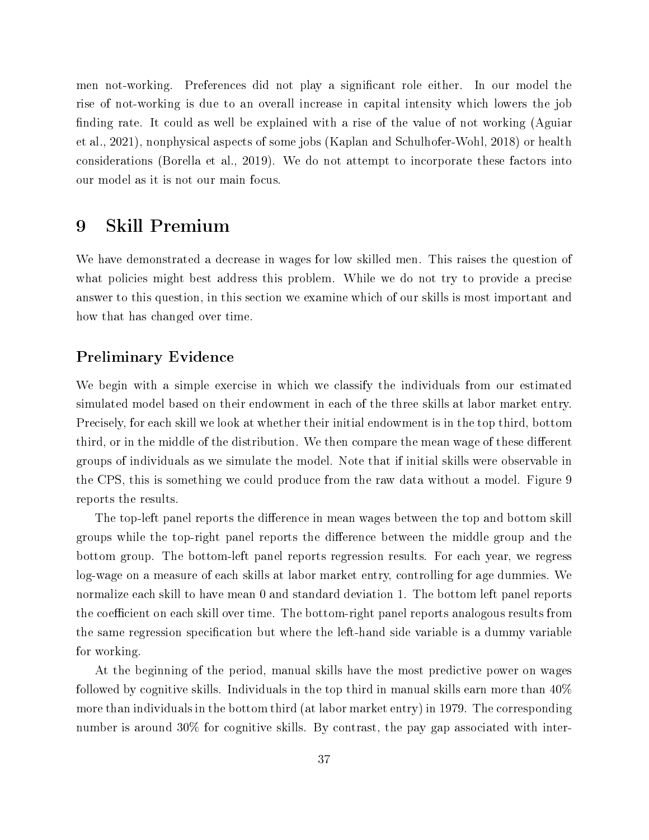men not-working. Preferences did not play a signicant role either. In our model the rise of not-working is due to an overall increase in capital intensity which lowers the job finding rate. It could as well be explained with a rise of the value of not working (Aguiar et al., 2021), nonphysical aspects of some jobs (Kaplan and Schulhofer-Wohl, 2018) or health considerations (Borella et al., 2019). We do not attempt to incorporate these factors into our model as it is not our main focus.

# 9 Skill Premium

We have demonstrated a decrease in wages for low skilled men. This raises the question of what policies might best address this problem. While we do not try to provide a precise answer to this question, in this section we examine which of our skills is most important and how that has changed over time.

### Preliminary Evidence

We begin with a simple exercise in which we classify the individuals from our estimated simulated model based on their endowment in each of the three skills at labor market entry. Precisely, for each skill we look at whether their initial endowment is in the top third, bottom third, or in the middle of the distribution. We then compare the mean wage of these different groups of individuals as we simulate the model. Note that if initial skills were observable in the CPS, this is something we could produce from the raw data without a model. Figure 9 reports the results.

The top-left panel reports the difference in mean wages between the top and bottom skill groups while the top-right panel reports the difference between the middle group and the bottom group. The bottom-left panel reports regression results. For each year, we regress log-wage on a measure of each skills at labor market entry, controlling for age dummies. We normalize each skill to have mean 0 and standard deviation 1. The bottom left panel reports the coefficient on each skill over time. The bottom-right panel reports analogous results from the same regression specification but where the left-hand side variable is a dummy variable for working.

At the beginning of the period, manual skills have the most predictive power on wages followed by cognitive skills. Individuals in the top third in manual skills earn more than 40% more than individuals in the bottom third (at labor market entry) in 1979. The corresponding number is around 30% for cognitive skills. By contrast, the pay gap associated with inter-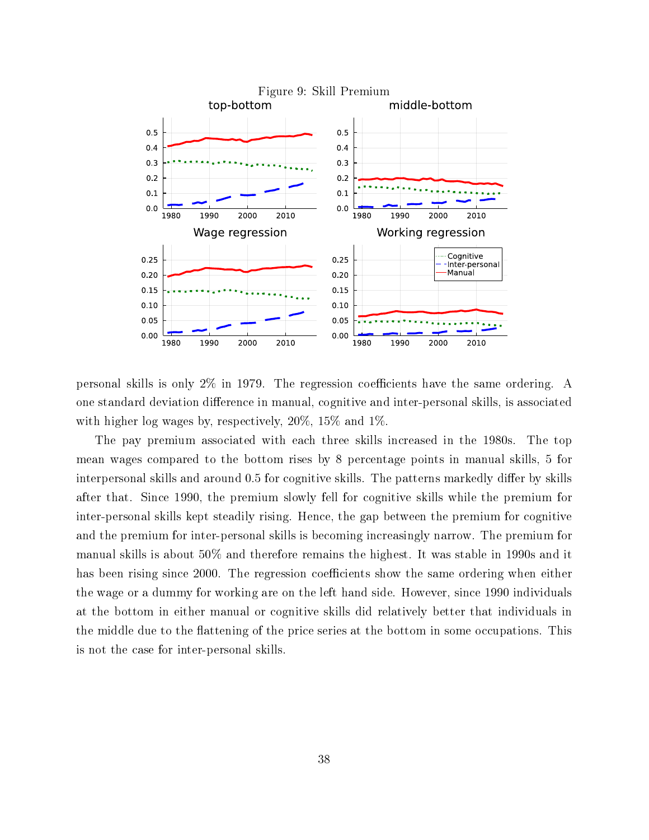

personal skills is only  $2\%$  in 1979. The regression coefficients have the same ordering. A one standard deviation difference in manual, cognitive and inter-personal skills, is associated with higher log wages by, respectively, 20%, 15% and 1%.

The pay premium associated with each three skills increased in the 1980s. The top mean wages compared to the bottom rises by 8 percentage points in manual skills, 5 for interpersonal skills and around 0.5 for cognitive skills. The patterns markedly differ by skills after that. Since 1990, the premium slowly fell for cognitive skills while the premium for inter-personal skills kept steadily rising. Hence, the gap between the premium for cognitive and the premium for inter-personal skills is becoming increasingly narrow. The premium for manual skills is about 50% and therefore remains the highest. It was stable in 1990s and it has been rising since 2000. The regression coefficients show the same ordering when either the wage or a dummy for working are on the left hand side. However, since 1990 individuals at the bottom in either manual or cognitive skills did relatively better that individuals in the middle due to the flattening of the price series at the bottom in some occupations. This is not the case for inter-personal skills.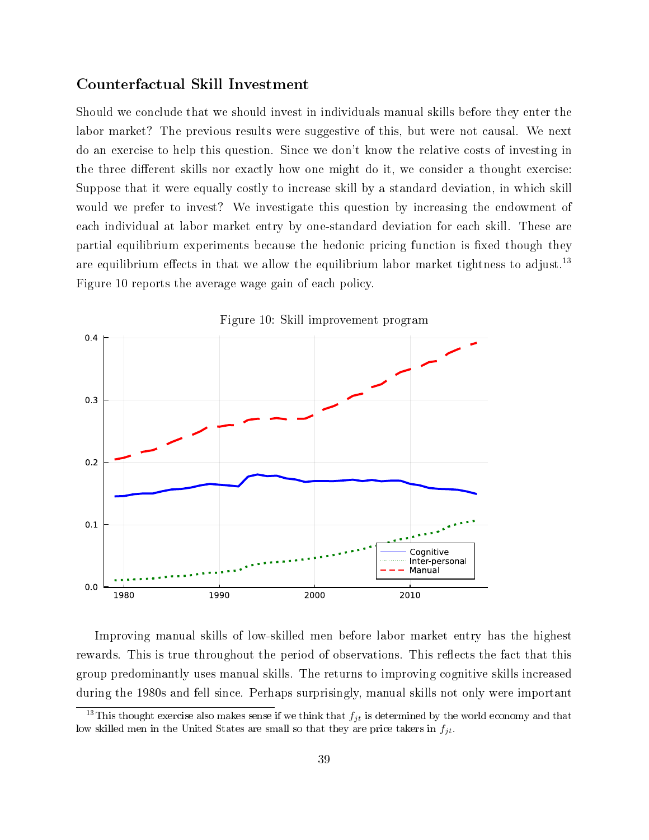### Counterfactual Skill Investment

Should we conclude that we should invest in individuals manual skills before they enter the labor market? The previous results were suggestive of this, but were not causal. We next do an exercise to help this question. Since we don't know the relative costs of investing in the three different skills nor exactly how one might do it, we consider a thought exercise: Suppose that it were equally costly to increase skill by a standard deviation, in which skill would we prefer to invest? We investigate this question by increasing the endowment of each individual at labor market entry by one-standard deviation for each skill. These are partial equilibrium experiments because the hedonic pricing function is fixed though they are equilibrium effects in that we allow the equilibrium labor market tightness to adjust.<sup>13</sup> Figure 10 reports the average wage gain of each policy.



Figure 10: Skill improvement program

Improving manual skills of low-skilled men before labor market entry has the highest rewards. This is true throughout the period of observations. This reflects the fact that this group predominantly uses manual skills. The returns to improving cognitive skills increased during the 1980s and fell since. Perhaps surprisingly, manual skills not only were important

<sup>&</sup>lt;sup>13</sup>This thought exercise also makes sense if we think that  $f_{jt}$  is determined by the world economy and that low skilled men in the United States are small so that they are price takers in  $f_{jt}$ .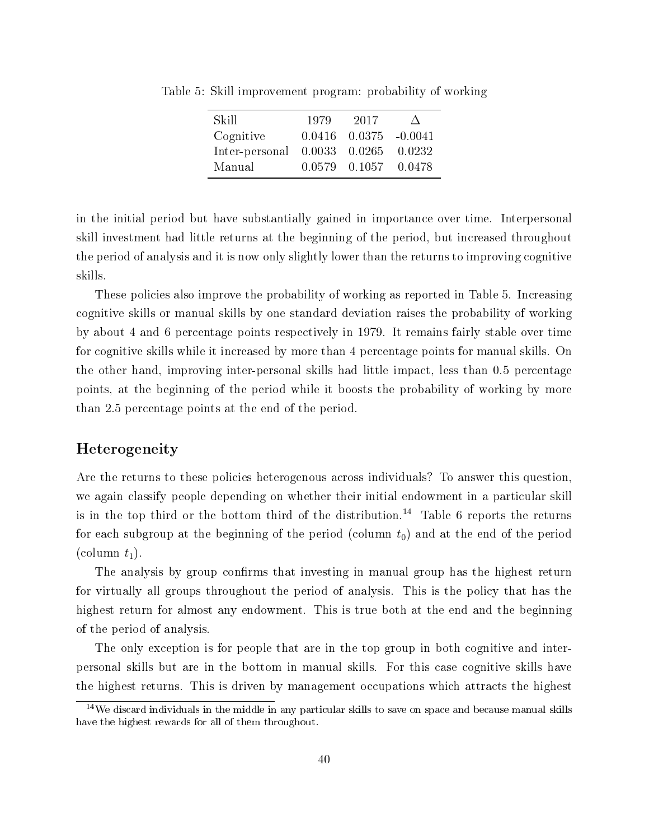| Skill          | 1979          | 2017                        |          |
|----------------|---------------|-----------------------------|----------|
| Cognitive      |               | $0.0416$ $0.0375$ $-0.0041$ |          |
| Inter-personal | 0.0033 0.0265 |                             | 0.0232   |
| Manual         |               | 0.0579 0.1057               | - 0.0478 |

Table 5: Skill improvement program: probability of working

in the initial period but have substantially gained in importance over time. Interpersonal skill investment had little returns at the beginning of the period, but increased throughout the period of analysis and it is now only slightly lower than the returns to improving cognitive skills.

These policies also improve the probability of working as reported in Table 5. Increasing cognitive skills or manual skills by one standard deviation raises the probability of working by about 4 and 6 percentage points respectively in 1979. It remains fairly stable over time for cognitive skills while it increased by more than 4 percentage points for manual skills. On the other hand, improving inter-personal skills had little impact, less than 0.5 percentage points, at the beginning of the period while it boosts the probability of working by more than 2.5 percentage points at the end of the period.

### Heterogeneity

Are the returns to these policies heterogenous across individuals? To answer this question, we again classify people depending on whether their initial endowment in a particular skill is in the top third or the bottom third of the distribution.<sup>14</sup> Table 6 reports the returns for each subgroup at the beginning of the period (column  $t_0$ ) and at the end of the period (column  $t_1$ ).

The analysis by group confirms that investing in manual group has the highest return for virtually all groups throughout the period of analysis. This is the policy that has the highest return for almost any endowment. This is true both at the end and the beginning of the period of analysis.

The only exception is for people that are in the top group in both cognitive and interpersonal skills but are in the bottom in manual skills. For this case cognitive skills have the highest returns. This is driven by management occupations which attracts the highest

 $14$ We discard individuals in the middle in any particular skills to save on space and because manual skills have the highest rewards for all of them throughout.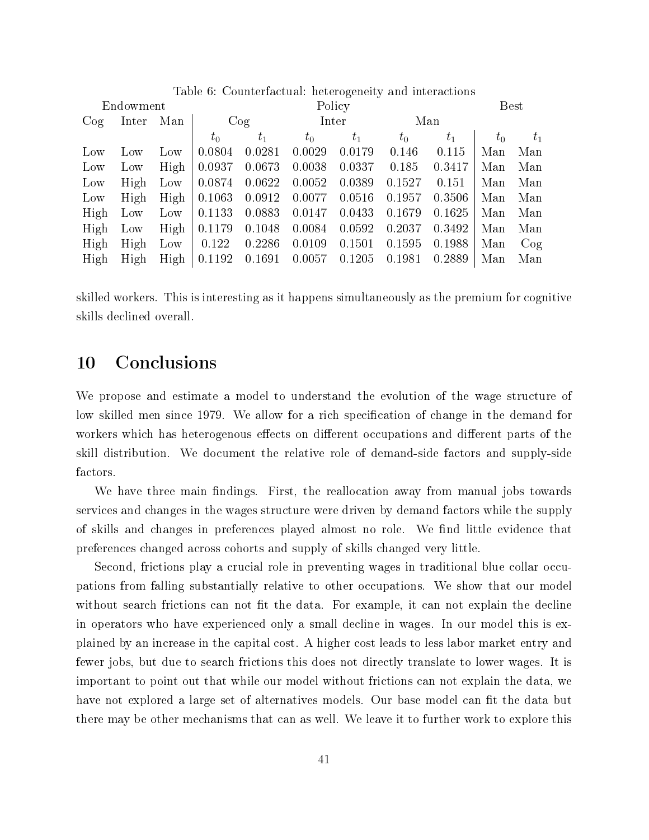| Table 6: Counterfactual: heterogeneity and interactions |       |      |         |         |        |        |         |        |             |       |
|---------------------------------------------------------|-------|------|---------|---------|--------|--------|---------|--------|-------------|-------|
| Endowment                                               |       |      |         | Policy  |        |        |         |        | <b>Best</b> |       |
| $\cos$                                                  | Inter | Man  | Cog     |         | Inter  |        | Man     |        |             |       |
|                                                         |       |      | $t_{0}$ | $t_{1}$ | $t_0$  | $t_1$  | $t_{0}$ | $t_1$  | $t_0$       | $t_1$ |
| Low                                                     | Low   | Low  | 0.0804  | 0.0281  | 0.0029 | 0.0179 | 0.146   | 0.115  | Man         | Man   |
| Low                                                     | Low   | High | 0.0937  | 0.0673  | 0.0038 | 0.0337 | 0.185   | 0.3417 | Man         | Man   |
| Low                                                     | High  | Low  | 0.0874  | 0.0622  | 0.0052 | 0.0389 | 0.1527  | 0.151  | Man         | Man   |
| Low                                                     | High  | High | 0.1063  | 0.0912  | 0.0077 | 0.0516 | 0.1957  | 0.3506 | Man         | Man   |
| High                                                    | Low   | Low  | 0.1133  | 0.0883  | 0.0147 | 0.0433 | 0.1679  | 0.1625 | Man         | Man   |
| High                                                    | Low   | High | 0.1179  | 0.1048  | 0.0084 | 0.0592 | 0.2037  | 0.3492 | Man         | Man   |
| High                                                    | High  | Low  | 0.122   | 0.2286  | 0.0109 | 0.1501 | 0.1595  | 0.1988 | Man         | Cog   |
| High                                                    | High  | High | 0.1192  | 0.1691  | 0.0057 | 0.1205 | 0.1981  | 0.2889 | Man         | Man   |

skilled workers. This is interesting as it happens simultaneously as the premium for cognitive skills declined overall.

### 10 Conclusions

We propose and estimate a model to understand the evolution of the wage structure of low skilled men since 1979. We allow for a rich specification of change in the demand for workers which has heterogenous effects on different occupations and different parts of the skill distribution. We document the relative role of demand-side factors and supply-side factors.

We have three main findings. First, the reallocation away from manual jobs towards services and changes in the wages structure were driven by demand factors while the supply of skills and changes in preferences played almost no role. We find little evidence that preferences changed across cohorts and supply of skills changed very little.

Second, frictions play a crucial role in preventing wages in traditional blue collar occupations from falling substantially relative to other occupations. We show that our model without search frictions can not fit the data. For example, it can not explain the decline in operators who have experienced only a small decline in wages. In our model this is explained by an increase in the capital cost. A higher cost leads to less labor market entry and fewer jobs, but due to search frictions this does not directly translate to lower wages. It is important to point out that while our model without frictions can not explain the data, we have not explored a large set of alternatives models. Our base model can fit the data but there may be other mechanisms that can as well. We leave it to further work to explore this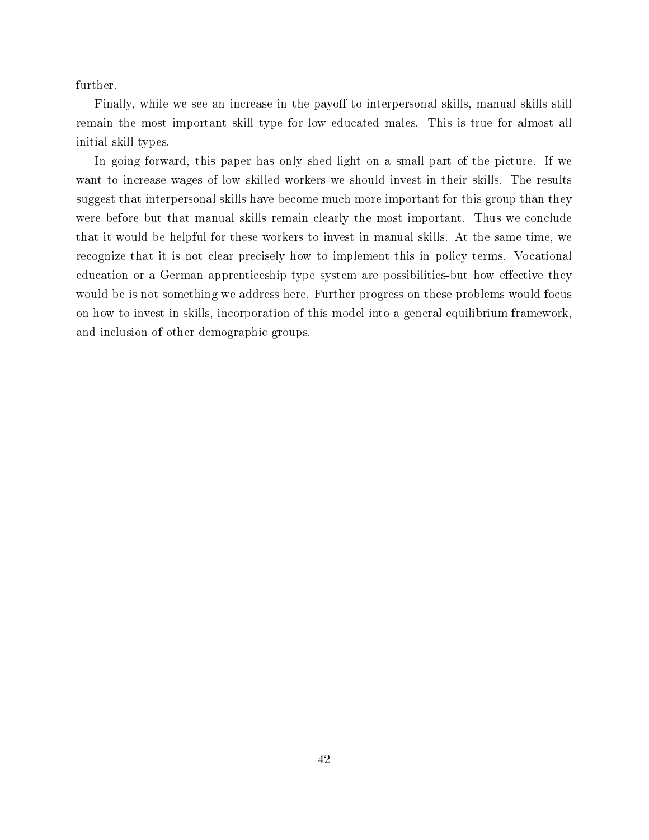further.

Finally, while we see an increase in the payoff to interpersonal skills, manual skills still remain the most important skill type for low educated males. This is true for almost all initial skill types.

In going forward, this paper has only shed light on a small part of the picture. If we want to increase wages of low skilled workers we should invest in their skills. The results suggest that interpersonal skills have become much more important for this group than they were before but that manual skills remain clearly the most important. Thus we conclude that it would be helpful for these workers to invest in manual skills. At the same time, we recognize that it is not clear precisely how to implement this in policy terms. Vocational education or a German apprenticeship type system are possibilities-but how effective they would be is not something we address here. Further progress on these problems would focus on how to invest in skills, incorporation of this model into a general equilibrium framework, and inclusion of other demographic groups.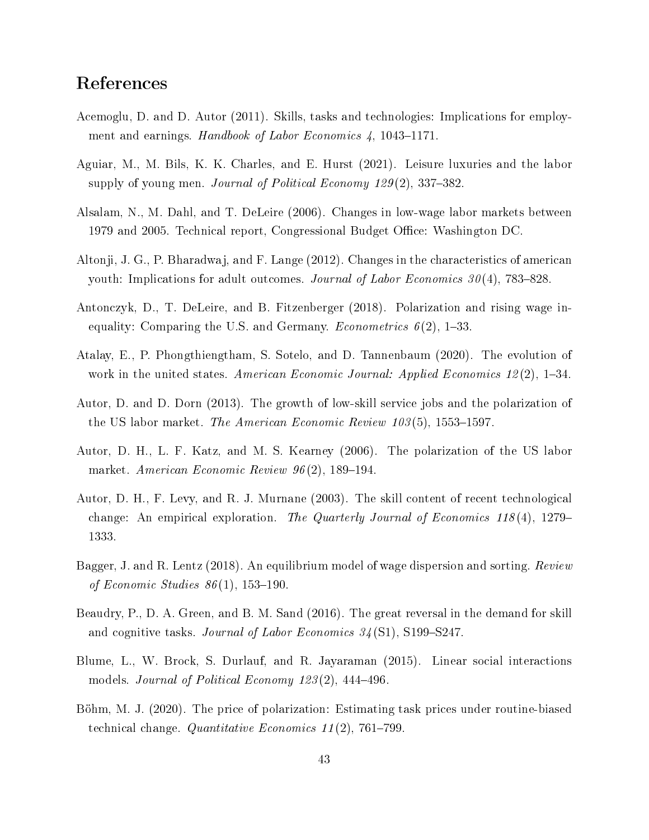# References

- Acemoglu, D. and D. Autor (2011). Skills, tasks and technologies: Implications for employment and earnings. Handbook of Labor Economics  $\lambda$ , 1043–1171.
- Aguiar, M., M. Bils, K. K. Charles, and E. Hurst (2021). Leisure luxuries and the labor supply of young men. *Journal of Political Economy 129* $(2)$ , 337–382.
- Alsalam, N., M. Dahl, and T. DeLeire (2006). Changes in low-wage labor markets between 1979 and 2005. Technical report, Congressional Budget Office: Washington DC.
- Altonji, J. G., P. Bharadwaj, and F. Lange (2012). Changes in the characteristics of american youth: Implications for adult outcomes. Journal of Labor Economics  $30(4)$ , 783–828.
- Antonczyk, D., T. DeLeire, and B. Fitzenberger (2018). Polarization and rising wage inequality: Comparing the U.S. and Germany. *Econometrics*  $6(2)$ , 1–33.
- Atalay, E., P. Phongthiengtham, S. Sotelo, and D. Tannenbaum (2020). The evolution of work in the united states. American Economic Journal: Applied Economics  $12(2)$ , 1–34.
- Autor, D. and D. Dorn (2013). The growth of low-skill service jobs and the polarization of the US labor market. The American Economic Review  $103(5)$ , 1553–1597.
- Autor, D. H., L. F. Katz, and M. S. Kearney (2006). The polarization of the US labor market. American Economic Review  $96(2)$ , 189-194.
- Autor, D. H., F. Levy, and R. J. Murnane (2003). The skill content of recent technological change: An empirical exploration. The Quarterly Journal of Economics 118(4), 1279– 1333.
- Bagger, J. and R. Lentz (2018). An equilibrium model of wage dispersion and sorting. Review of Economic Studies  $86(1)$ , 153-190.
- Beaudry, P., D. A. Green, and B. M. Sand (2016). The great reversal in the demand for skill and cognitive tasks. Journal of Labor Economics  $34(S1)$ , S199-S247.
- Blume, L., W. Brock, S. Durlauf, and R. Jayaraman (2015). Linear social interactions models. Journal of Political Economy  $123(2)$ , 444-496.
- Böhm, M. J. (2020). The price of polarization: Estimating task prices under routine-biased technical change. Quantitative Economics  $11(2)$ , 761–799.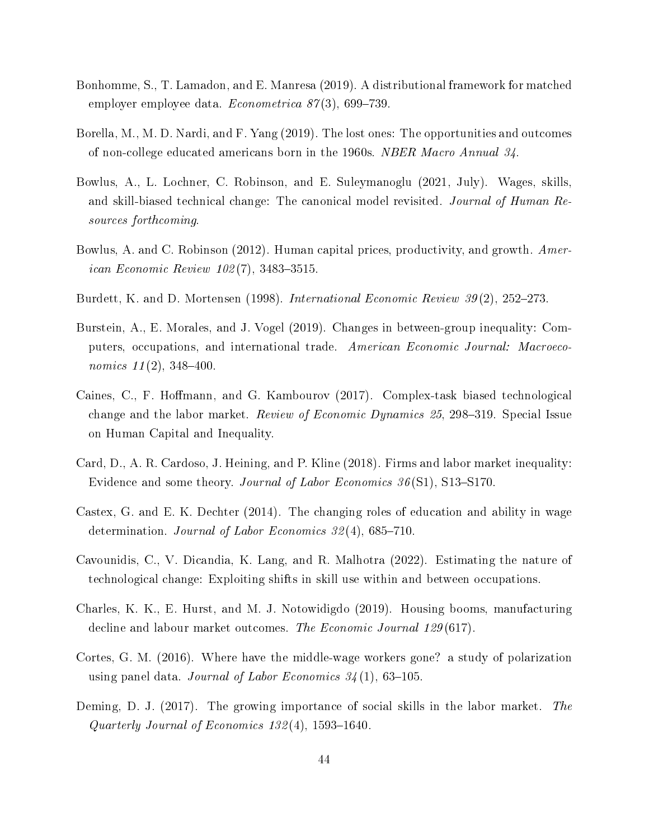- Bonhomme, S., T. Lamadon, and E. Manresa (2019). A distributional framework for matched employer employee data.  $Econometrica 87(3), 699-739.$
- Borella, M., M. D. Nardi, and F. Yang (2019). The lost ones: The opportunities and outcomes of non-college educated americans born in the 1960s. NBER Macro Annual 34.
- Bowlus, A., L. Lochner, C. Robinson, and E. Suleymanoglu (2021, July). Wages, skills, and skill-biased technical change: The canonical model revisited. Journal of Human Resources forthcoming.
- Bowlus, A. and C. Robinson (2012). Human capital prices, productivity, and growth. Amer*ican Economic Review 102(7), 3483-3515.*
- Burdett, K. and D. Mortensen (1998). International Economic Review 39(2), 252–273.
- Burstein, A., E. Morales, and J. Vogel (2019). Changes in between-group inequality: Computers, occupations, and international trade. American Economic Journal: Macroeconomics  $11(2)$ , 348-400.
- Caines, C., F. Hoffmann, and G. Kambourov (2017). Complex-task biased technological change and the labor market. Review of Economic Dynamics  $25$ , 298-319. Special Issue on Human Capital and Inequality.
- Card, D., A. R. Cardoso, J. Heining, and P. Kline (2018). Firms and labor market inequality: Evidence and some theory. Journal of Labor Economics  $36(S1)$ , S13-S170.
- Castex, G. and E. K. Dechter (2014). The changing roles of education and ability in wage determination. Journal of Labor Economics  $32(4)$ , 685-710.
- Cavounidis, C., V. Dicandia, K. Lang, and R. Malhotra (2022). Estimating the nature of technological change: Exploiting shifts in skill use within and between occupations.
- Charles, K. K., E. Hurst, and M. J. Notowidigdo (2019). Housing booms, manufacturing decline and labour market outcomes. The Economic Journal 129(617).
- Cortes, G. M. (2016). Where have the middle-wage workers gone? a study of polarization using panel data. Journal of Labor Economics  $34(1)$ , 63-105.
- Deming, D. J. (2017). The growing importance of social skills in the labor market. The Quarterly Journal of Economics  $132(4)$ , 1593-1640.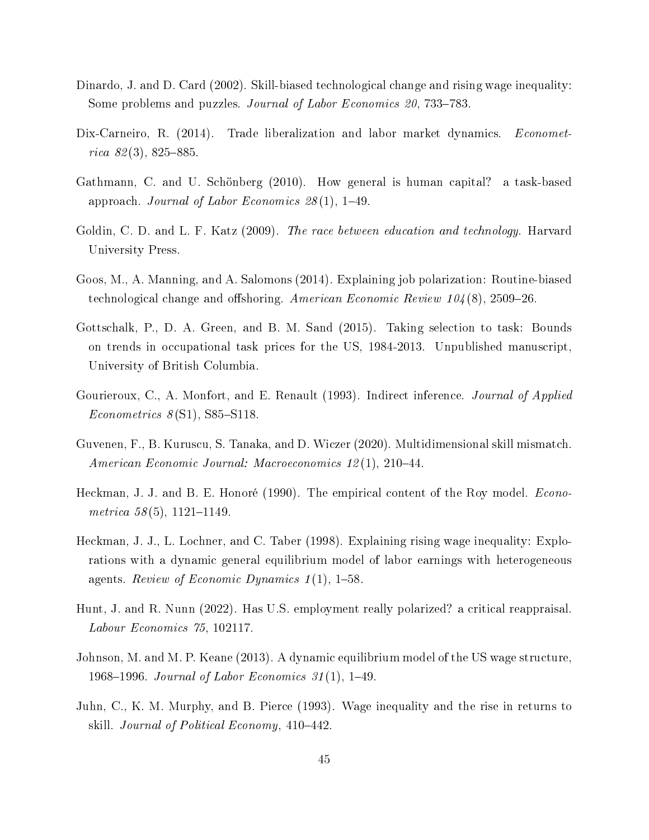- Dinardo, J. and D. Card (2002). Skill-biased technological change and rising wage inequality: Some problems and puzzles. Journal of Labor Economics 20, 733–783.
- Dix-Carneiro, R. (2014). Trade liberalization and labor market dynamics. Econometrica  $82(3)$ ,  $825-885$ .
- Gathmann, C. and U. Schönberg (2010). How general is human capital? a task-based approach. Journal of Labor Economics  $28(1)$ , 1-49.
- Goldin, C. D. and L. F. Katz (2009). The race between education and technology. Harvard University Press.
- Goos, M., A. Manning, and A. Salomons (2014). Explaining job polarization: Routine-biased technological change and offshoring. American Economic Review  $104(8)$ , 2509-26.
- Gottschalk, P., D. A. Green, and B. M. Sand (2015). Taking selection to task: Bounds on trends in occupational task prices for the US, 1984-2013. Unpublished manuscript, University of British Columbia.
- Gourieroux, C., A. Monfort, and E. Renault (1993). Indirect inference. *Journal of Applied*  $Econometrics 8(S1), S85-S118.$
- Guvenen, F., B. Kuruscu, S. Tanaka, and D. Wiczer (2020). Multidimensional skill mismatch. American Economic Journal: Macroeconomics  $12(1)$ ,  $210-44$ .
- Heckman, J. J. and B. E. Honoré (1990). The empirical content of the Roy model. *Econo*metrica  $58(5)$ , 1121-1149.
- Heckman, J. J., L. Lochner, and C. Taber (1998). Explaining rising wage inequality: Explorations with a dynamic general equilibrium model of labor earnings with heterogeneous agents. Review of Economic Dynamics  $1(1)$ , 1-58.
- Hunt, J. and R. Nunn (2022). Has U.S. employment really polarized? a critical reappraisal. Labour Economics 75, 102117.
- Johnson, M. and M. P. Keane (2013). A dynamic equilibrium model of the US wage structure, 1968–1996. Journal of Labor Economics  $31(1)$ , 1–49.
- Juhn, C., K. M. Murphy, and B. Pierce (1993). Wage inequality and the rise in returns to skill. *Journal of Political Economy*, 410–442.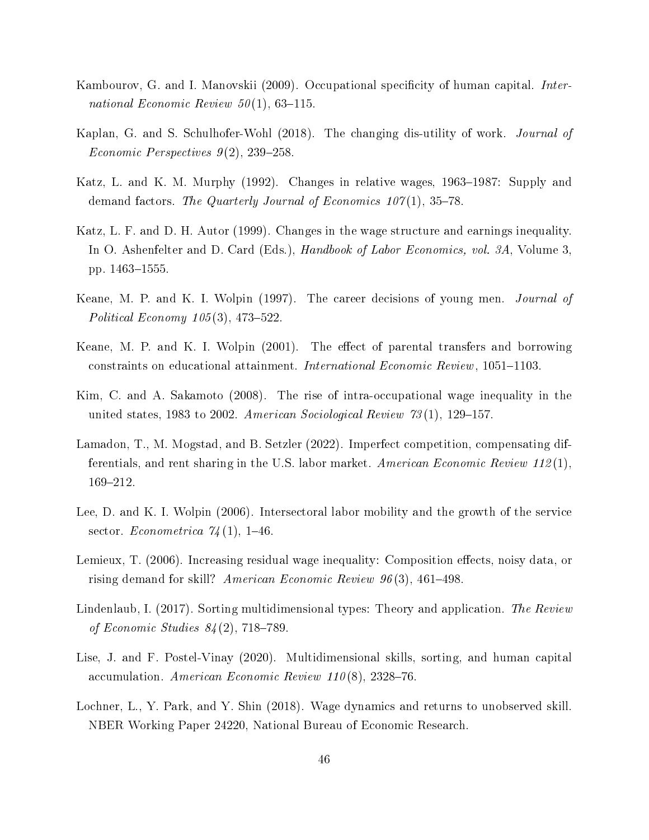- Kambourov, G. and I. Manovskii (2009). Occupational specificity of human capital. *Inter*national Economic Review  $50(1)$ , 63-115.
- Kaplan, G. and S. Schulhofer-Wohl (2018). The changing dis-utility of work. Journal of Economic Perspectives  $9(2)$ , 239-258.
- Katz, L. and K. M. Murphy (1992). Changes in relative wages, 1963–1987: Supply and demand factors. The Quarterly Journal of Economics  $107(1)$ , 35-78.
- Katz, L. F. and D. H. Autor (1999). Changes in the wage structure and earnings inequality. In O. Ashenfelter and D. Card (Eds.), *Handbook of Labor Economics*, vol. 3A, Volume 3, pp. 1463-1555.
- Keane, M. P. and K. I. Wolpin (1997). The career decisions of young men. Journal of Political Economy  $105(3)$ , 473-522.
- Keane, M. P. and K. I. Wolpin  $(2001)$ . The effect of parental transfers and borrowing constraints on educational attainment. International Economic Review, 1051-1103.
- Kim, C. and A. Sakamoto (2008). The rise of intra-occupational wage inequality in the united states, 1983 to 2002. American Sociological Review  $73(1)$ , 129-157.
- Lamadon, T., M. Mogstad, and B. Setzler (2022). Imperfect competition, compensating differentials, and rent sharing in the U.S. labor market. American Economic Review 112(1). 169-212.
- Lee, D. and K. I. Wolpin (2006). Intersectoral labor mobility and the growth of the service sector. Econometrica  $74(1)$ , 1-46.
- Lemieux, T. (2006). Increasing residual wage inequality: Composition effects, noisy data, or rising demand for skill? American Economic Review  $96(3)$ , 461–498.
- Lindenlaub, I. (2017). Sorting multidimensional types: Theory and application. The Review of Economic Studies  $84(2)$ , 718-789.
- Lise, J. and F. Postel-Vinay (2020). Multidimensional skills, sorting, and human capital accumulation. American Economic Review 110(8), 2328-76.
- Lochner, L., Y. Park, and Y. Shin (2018). Wage dynamics and returns to unobserved skill. NBER Working Paper 24220, National Bureau of Economic Research.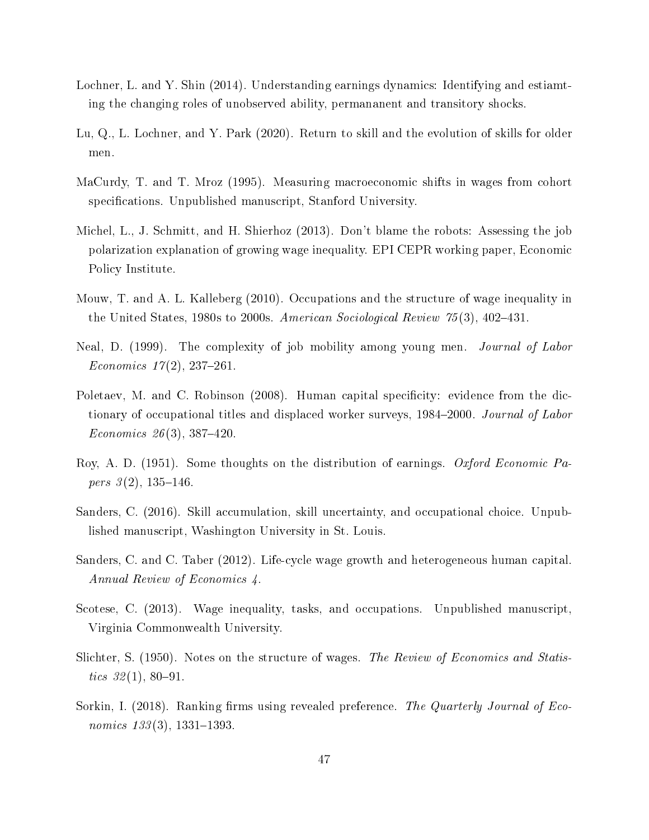- Lochner, L. and Y. Shin (2014). Understanding earnings dynamics: Identifying and estiamting the changing roles of unobserved ability, permananent and transitory shocks.
- Lu, Q., L. Lochner, and Y. Park (2020). Return to skill and the evolution of skills for older men.
- MaCurdy, T. and T. Mroz (1995). Measuring macroeconomic shifts in wages from cohort specifications. Unpublished manuscript, Stanford University.
- Michel, L., J. Schmitt, and H. Shierhoz (2013). Don't blame the robots: Assessing the job polarization explanation of growing wage inequality. EPI CEPR working paper, Economic Policy Institute.
- Mouw, T. and A. L. Kalleberg (2010). Occupations and the structure of wage inequality in the United States, 1980s to 2000s. American Sociological Review  $75(3)$ , 402-431.
- Neal, D. (1999). The complexity of job mobility among young men. Journal of Labor Economics  $17(2)$ , 237-261.
- Poletaev, M. and C. Robinson (2008). Human capital specificity: evidence from the dictionary of occupational titles and displaced worker surveys, 1984–2000. Journal of Labor Economics 26(3), 387-420.
- Roy, A. D. (1951). Some thoughts on the distribution of earnings. Oxford Economic Papers  $3(2)$ , 135-146.
- Sanders, C. (2016). Skill accumulation, skill uncertainty, and occupational choice. Unpublished manuscript, Washington University in St. Louis.
- Sanders, C. and C. Taber (2012). Life-cycle wage growth and heterogeneous human capital. Annual Review of Economics 4.
- Scotese, C. (2013). Wage inequality, tasks, and occupations. Unpublished manuscript, Virginia Commonwealth University.
- Slichter, S. (1950). Notes on the structure of wages. The Review of Economics and Statistics  $32(1), 80-91.$
- Sorkin, I. (2018). Ranking firms using revealed preference. The Quarterly Journal of Economics  $133(3)$ , 1331-1393.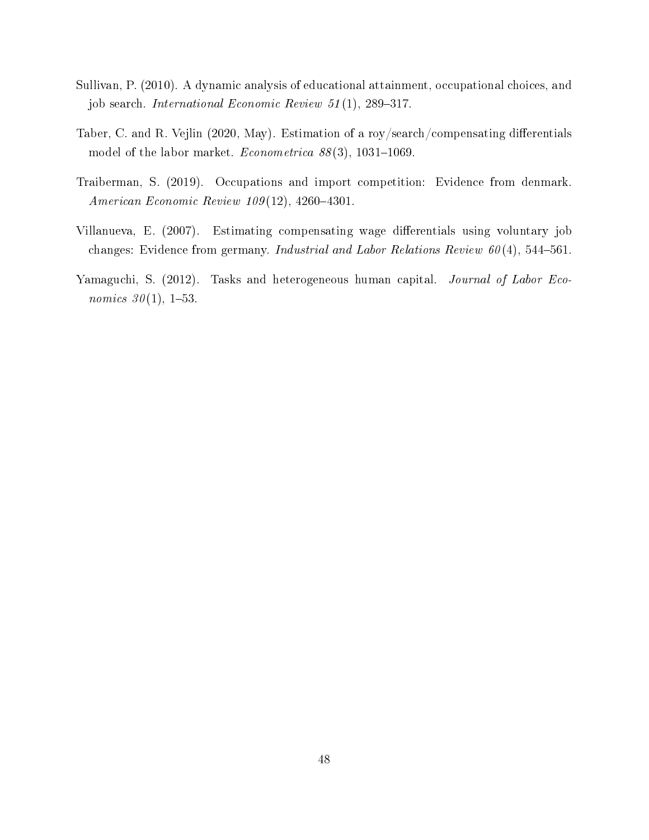- Sullivan, P. (2010). A dynamic analysis of educational attainment, occupational choices, and job search. International Economic Review  $51(1)$ , 289-317.
- Taber, C. and R. Vejlin (2020, May). Estimation of a roy/search/compensating differentials model of the labor market. *Econometrica*  $88(3)$ , 1031-1069.
- Traiberman, S. (2019). Occupations and import competition: Evidence from denmark. American Economic Review  $109(12)$ , 4260-4301.
- Villanueva, E. (2007). Estimating compensating wage differentials using voluntary job changes: Evidence from germany. Industrial and Labor Relations Review  $60(4)$ , 544–561.
- Yamaguchi, S. (2012). Tasks and heterogeneous human capital. Journal of Labor Eco*nomics*  $30(1)$ , 1-53.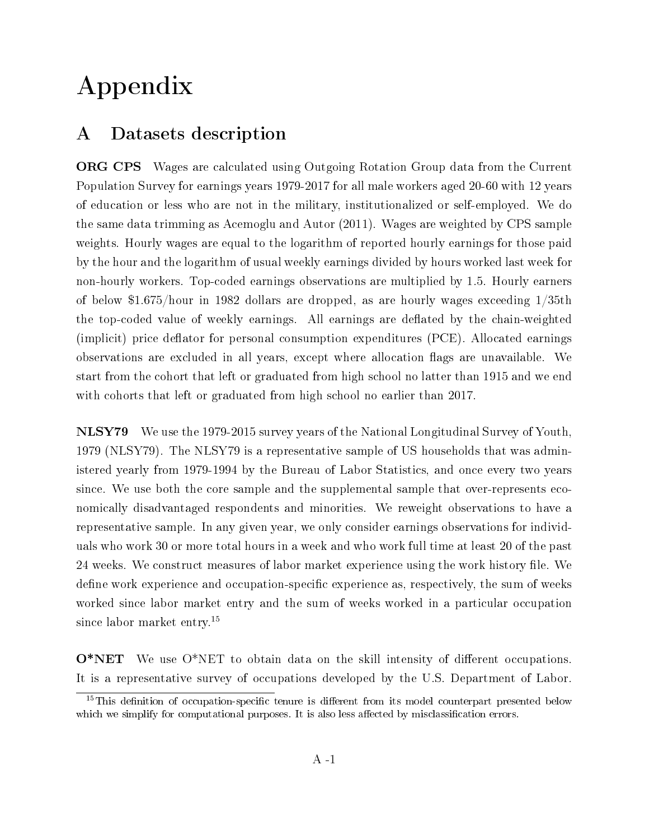# Appendix

# A Datasets description

ORG CPS Wages are calculated using Outgoing Rotation Group data from the Current Population Survey for earnings years 1979-2017 for all male workers aged 20-60 with 12 years of education or less who are not in the military, institutionalized or self-employed. We do the same data trimming as Acemoglu and Autor (2011). Wages are weighted by CPS sample weights. Hourly wages are equal to the logarithm of reported hourly earnings for those paid by the hour and the logarithm of usual weekly earnings divided by hours worked last week for non-hourly workers. Top-coded earnings observations are multiplied by 1.5. Hourly earners of below \$1.675/hour in 1982 dollars are dropped, as are hourly wages exceeding 1/35th the top-coded value of weekly earnings. All earnings are deflated by the chain-weighted  $(implicit)$  price deflator for personal consumption expenditures  $(PCE)$ . Allocated earnings observations are excluded in all years, except where allocation flags are unavailable. We start from the cohort that left or graduated from high school no latter than 1915 and we end with cohorts that left or graduated from high school no earlier than 2017.

NLSY79 We use the 1979-2015 survey years of the National Longitudinal Survey of Youth, 1979 (NLSY79). The NLSY79 is a representative sample of US households that was administered yearly from 1979-1994 by the Bureau of Labor Statistics, and once every two years since. We use both the core sample and the supplemental sample that over-represents economically disadvantaged respondents and minorities. We reweight observations to have a representative sample. In any given year, we only consider earnings observations for individuals who work 30 or more total hours in a week and who work full time at least 20 of the past 24 weeks. We construct measures of labor market experience using the work history file. We define work experience and occupation-specific experience as, respectively, the sum of weeks worked since labor market entry and the sum of weeks worked in a particular occupation since labor market entry.<sup>15</sup>

 $O*NET$  We use  $O*NET$  to obtain data on the skill intensity of different occupations. It is a representative survey of occupations developed by the U.S. Department of Labor.

 $15$ This definition of occupation-specific tenure is different from its model counterpart presented below which we simplify for computational purposes. It is also less affected by misclassification errors.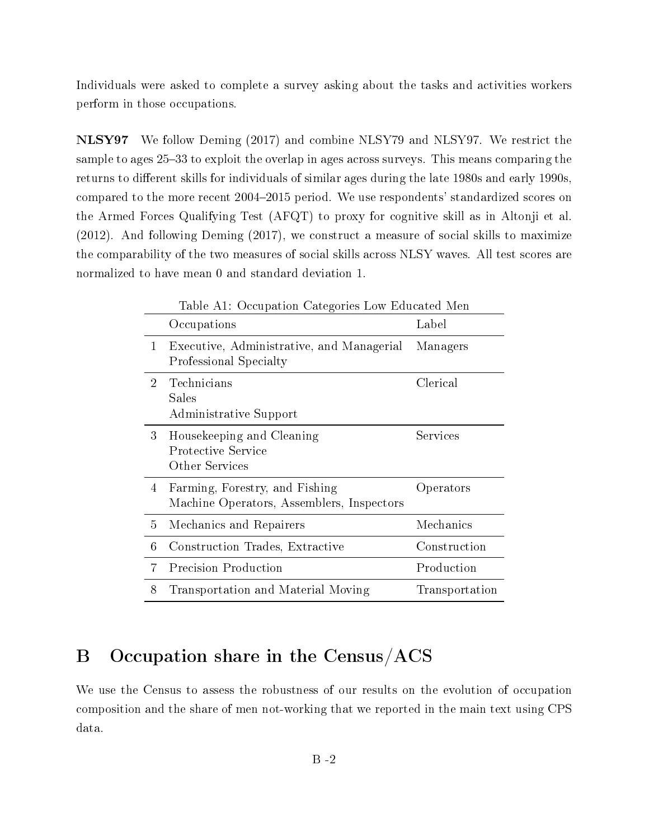Individuals were asked to complete a survey asking about the tasks and activities workers perform in those occupations.

NLSY97 We follow Deming (2017) and combine NLSY79 and NLSY97. We restrict the sample to ages 25–33 to exploit the overlap in ages across surveys. This means comparing the returns to different skills for individuals of similar ages during the late 1980s and early 1990s, compared to the more recent 2004–2015 period. We use respondents' standardized scores on the Armed Forces Qualifying Test (AFQT) to proxy for cognitive skill as in Altonji et al. (2012). And following Deming (2017), we construct a measure of social skills to maximize the comparability of the two measures of social skills across NLSY waves. All test scores are normalized to have mean 0 and standard deviation 1.

|                | Table A1: Occupation Categories Low Educated Men                            |                |  |  |  |
|----------------|-----------------------------------------------------------------------------|----------------|--|--|--|
|                | Occupations                                                                 | Label          |  |  |  |
| 1              | Executive, Administrative, and Managerial<br>Professional Specialty         | Managers       |  |  |  |
| $\overline{2}$ | Technicians<br>Sales<br>Administrative Support                              | Clerical       |  |  |  |
| 3              | Housekeeping and Cleaning<br>Protective Service<br>Other Services           | Services       |  |  |  |
| 4              | Farming, Forestry, and Fishing<br>Machine Operators, Assemblers, Inspectors | Operators      |  |  |  |
| 5              | Mechanics and Repairers                                                     | Mechanics      |  |  |  |
| 6              | Construction Trades, Extractive                                             | Construction   |  |  |  |
| 7              | <b>Precision Production</b>                                                 | Production     |  |  |  |
| 8              | Transportation and Material Moving                                          | Transportation |  |  |  |

# B Occupation share in the Census/ACS

We use the Census to assess the robustness of our results on the evolution of occupation composition and the share of men not-working that we reported in the main text using CPS data.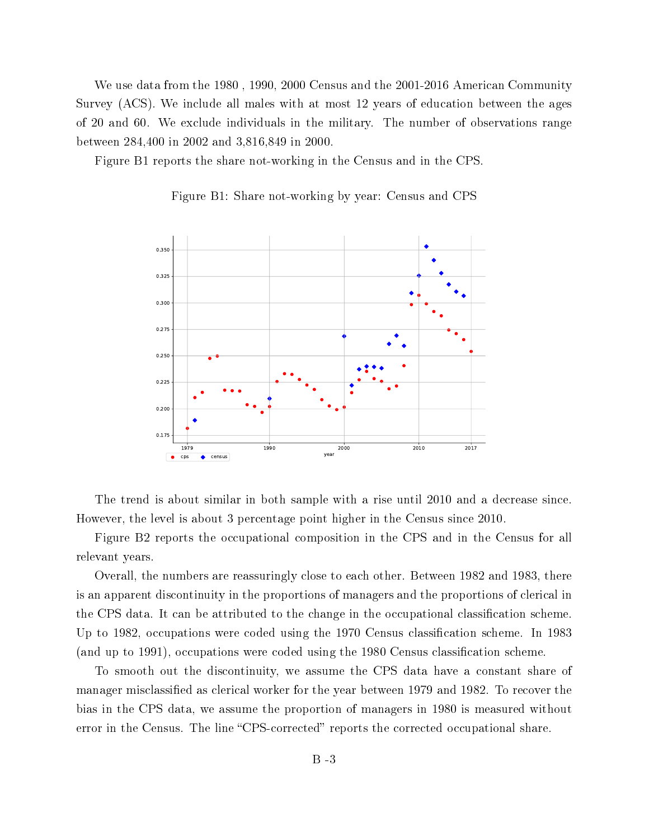We use data from the 1980 , 1990, 2000 Census and the 2001-2016 American Community Survey (ACS). We include all males with at most 12 years of education between the ages of 20 and 60. We exclude individuals in the military. The number of observations range between 284,400 in 2002 and 3,816,849 in 2000.

Figure B1 reports the share not-working in the Census and in the CPS.



Figure B1: Share not-working by year: Census and CPS

The trend is about similar in both sample with a rise until 2010 and a decrease since. However, the level is about 3 percentage point higher in the Census since 2010.

Figure B2 reports the occupational composition in the CPS and in the Census for all relevant years.

Overall, the numbers are reassuringly close to each other. Between 1982 and 1983, there is an apparent discontinuity in the proportions of managers and the proportions of clerical in the CPS data. It can be attributed to the change in the occupational classification scheme. Up to 1982, occupations were coded using the 1970 Census classication scheme. In 1983 (and up to 1991), occupations were coded using the 1980 Census classification scheme.

To smooth out the discontinuity, we assume the CPS data have a constant share of manager misclassified as clerical worker for the year between 1979 and 1982. To recover the bias in the CPS data, we assume the proportion of managers in 1980 is measured without error in the Census. The line "CPS-corrected" reports the corrected occupational share.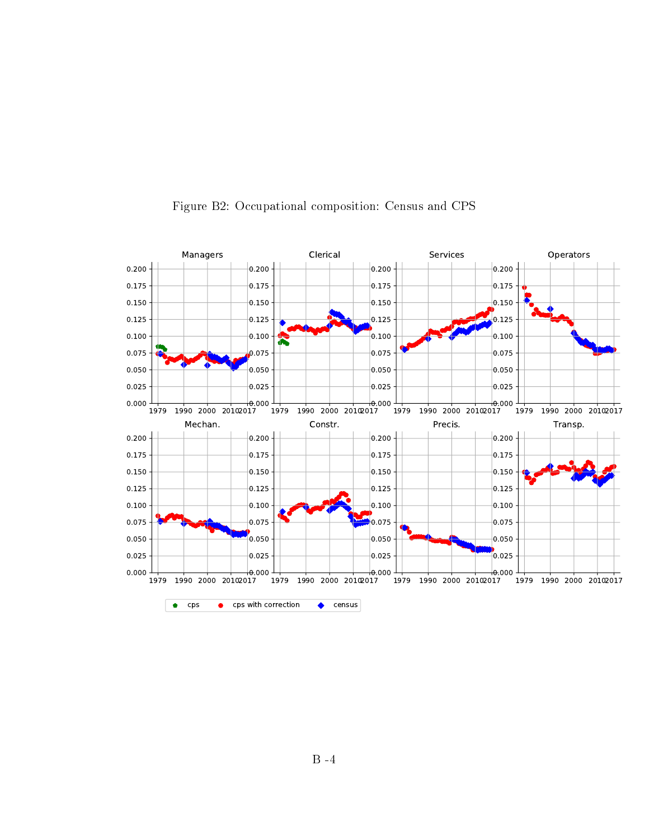

### Figure B2: Occupational composition: Census and CPS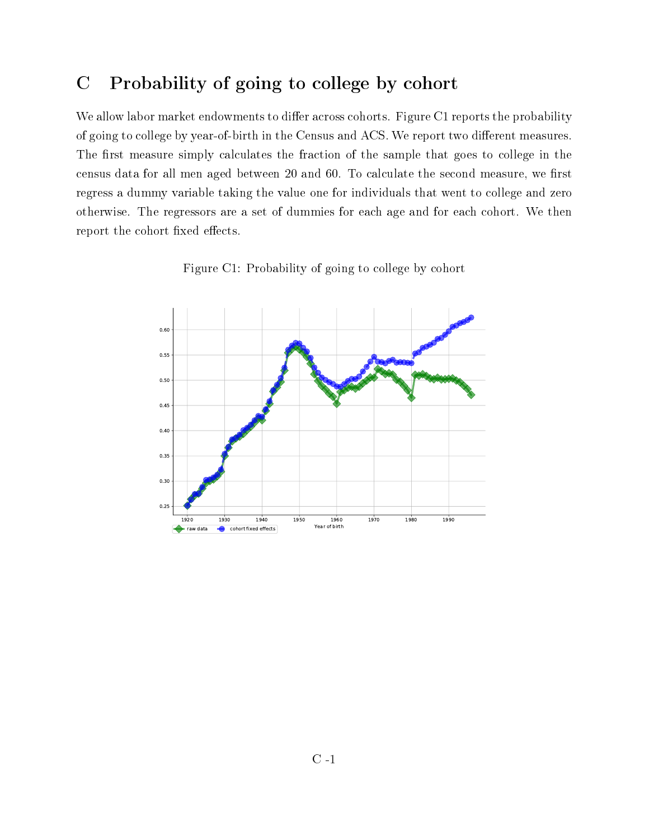# C Probability of going to college by cohort

We allow labor market endowments to differ across cohorts. Figure C1 reports the probability of going to college by year-of-birth in the Census and ACS. We report two different measures. The first measure simply calculates the fraction of the sample that goes to college in the census data for all men aged between 20 and 60. To calculate the second measure, we first regress a dummy variable taking the value one for individuals that went to college and zero otherwise. The regressors are a set of dummies for each age and for each cohort. We then report the cohort fixed effects.



Figure C1: Probability of going to college by cohort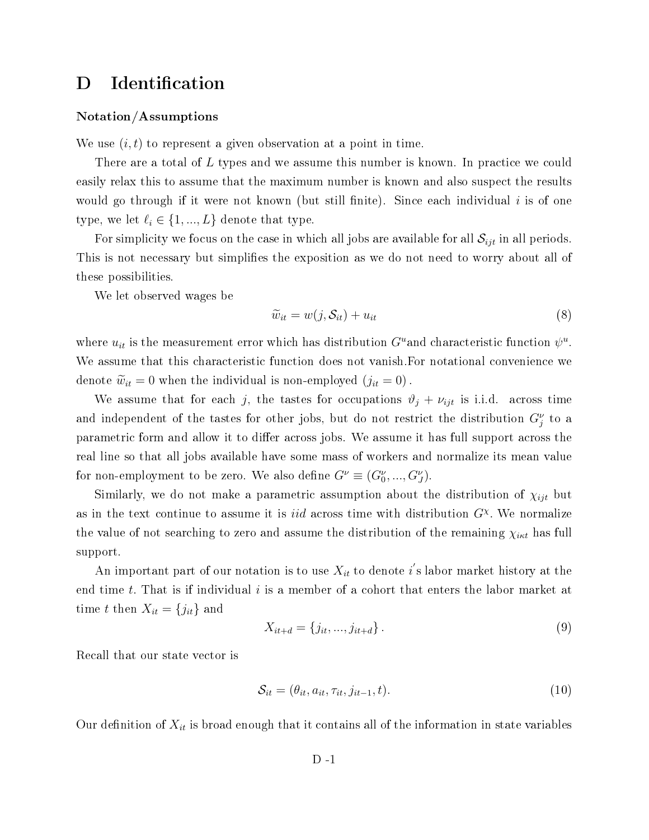# D Identification

#### Notation/Assumptions

We use  $(i, t)$  to represent a given observation at a point in time.

There are a total of L types and we assume this number is known. In practice we could easily relax this to assume that the maximum number is known and also suspect the results would go through if it were not known (but still finite). Since each individual  $i$  is of one type, we let  $\ell_i \in \{1, ..., L\}$  denote that type.

For simplicity we focus on the case in which all jobs are available for all  $\mathcal{S}_{ijt}$  in all periods. This is not necessary but simplies the exposition as we do not need to worry about all of these possibilities.

We let observed wages be

$$
\widetilde{w}_{it} = w(j, \mathcal{S}_{it}) + u_{it} \tag{8}
$$

where  $u_{it}$  is the measurement error which has distribution  $G^u$  and characteristic function  $\psi^u$ . We assume that this characteristic function does not vanish.For notational convenience we denote  $\widetilde{w}_{it} = 0$  when the individual is non-employed  $(j_{it} = 0)$ .

We assume that for each j, the tastes for occupations  $\vartheta_j + \nu_{ijt}$  is i.i.d. across time and independent of the tastes for other jobs, but do not restrict the distribution  $G_j^{\nu}$  to a parametric form and allow it to differ across jobs. We assume it has full support across the real line so that all jobs available have some mass of workers and normalize its mean value for non-employment to be zero. We also define  $G^{\nu} \equiv (G^{\nu}_0, ..., G^{\nu}_J)$ .

Similarly, we do not make a parametric assumption about the distribution of  $\chi_{ijt}$  but as in the text continue to assume it is *iid* across time with distribution  $G^{\chi}$ . We normalize the value of not searching to zero and assume the distribution of the remaining  $\chi_{i\kappa t}$  has full support.

An important part of our notation is to use  $X_{it}$  to denote  $i^{'}$ s labor market history at the end time  $t$ . That is if individual  $i$  is a member of a cohort that enters the labor market at time t then  $X_{it} = \{j_{it}\}\$ and

$$
X_{it+d} = \{j_{it}, \ldots, j_{it+d}\}.
$$
\n(9)

Recall that our state vector is

$$
\mathcal{S}_{it} = (\theta_{it}, a_{it}, \tau_{it}, j_{it-1}, t). \tag{10}
$$

Our definition of  $X_{it}$  is broad enough that it contains all of the information in state variables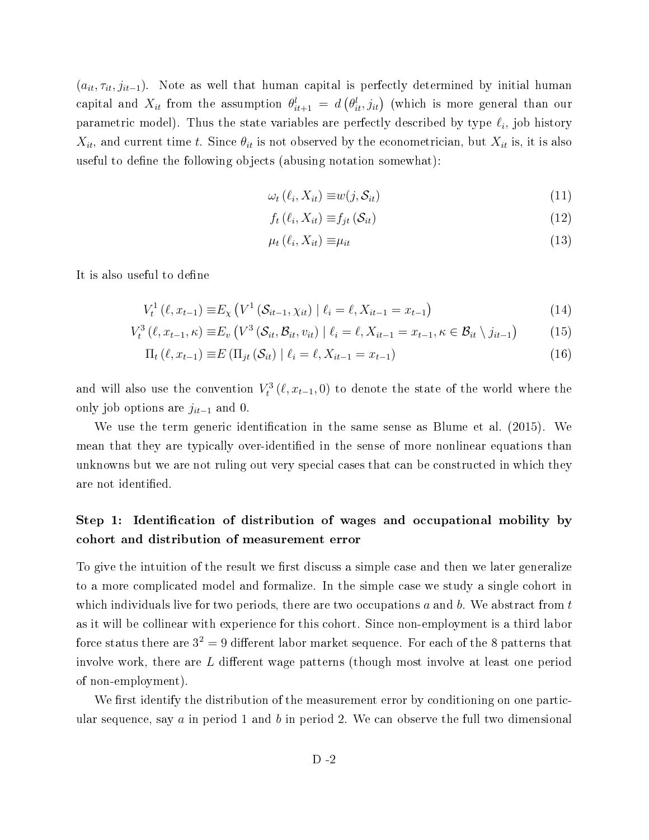$(a_{it}, \tau_{it}, j_{it-1})$ . Note as well that human capital is perfectly determined by initial human capital and  $X_{it}$  from the assumption  $\theta_{it+1}^l = d\left(\theta_{it}^l,j_{it}\right)$  (which is more general than our parametric model). Thus the state variables are perfectly described by type  $\ell_i$ , job history  $X_{it}$ , and current time t. Since  $\theta_{it}$  is not observed by the econometrician, but  $X_{it}$  is, it is also useful to define the following objects (abusing notation somewhat):

$$
\omega_t\left(\ell_i, X_{it}\right) \equiv w(j, \mathcal{S}_{it})\tag{11}
$$

$$
f_t\left(\ell_i, X_{it}\right) \equiv f_{jt}\left(\mathcal{S}_{it}\right) \tag{12}
$$

$$
\mu_t(\ell_i, X_{it}) \equiv \mu_{it} \tag{13}
$$

It is also useful to define

$$
V_t^1(\ell, x_{t-1}) \equiv E_{\chi} \left( V^1 \left( \mathcal{S}_{it-1}, \chi_{it} \right) \mid \ell_i = \ell, X_{it-1} = x_{t-1} \right) \tag{14}
$$

$$
V_t^3(\ell, x_{t-1}, \kappa) \equiv E_v \left( V^3 \left( S_{it}, \mathcal{B}_{it}, v_{it} \right) \mid \ell_i = \ell, X_{it-1} = x_{t-1}, \kappa \in \mathcal{B}_{it} \setminus j_{it-1} \right) \tag{15}
$$

$$
\Pi_t (\ell, x_{t-1}) \equiv E (\Pi_{jt} (\mathcal{S}_{it}) \mid \ell_i = \ell, X_{it-1} = x_{t-1})
$$
\n(16)

and will also use the convention  $V_t^3(\ell, x_{t-1}, 0)$  to denote the state of the world where the only job options are  $j_{it-1}$  and 0.

We use the term generic identification in the same sense as Blume et al.  $(2015)$ . We mean that they are typically over-identified in the sense of more nonlinear equations than unknowns but we are not ruling out very special cases that can be constructed in which they are not identified.

### Step 1: Identification of distribution of wages and occupational mobility by cohort and distribution of measurement error

To give the intuition of the result we first discuss a simple case and then we later generalize to a more complicated model and formalize. In the simple case we study a single cohort in which individuals live for two periods, there are two occupations  $a$  and  $b$ . We abstract from  $t$ as it will be collinear with experience for this cohort. Since non-employment is a third labor force status there are  $3^2 = 9$  different labor market sequence. For each of the 8 patterns that involve work, there are  $L$  different wage patterns (though most involve at least one period of non-employment).

We first identify the distribution of the measurement error by conditioning on one particular sequence, say a in period 1 and b in period 2. We can observe the full two dimensional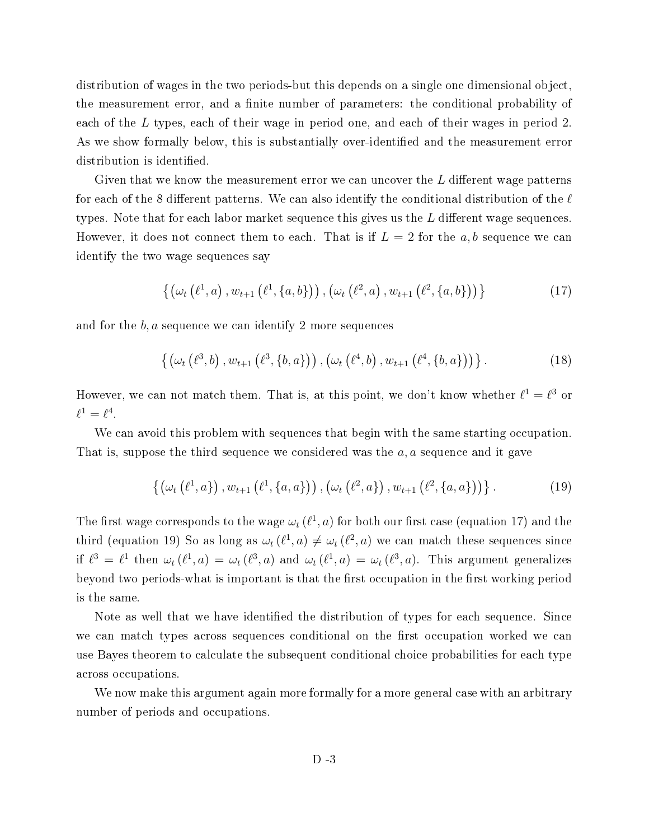distribution of wages in the two periods-but this depends on a single one dimensional object, the measurement error, and a finite number of parameters: the conditional probability of each of the L types, each of their wage in period one, and each of their wages in period 2. As we show formally below, this is substantially over-identified and the measurement error distribution is identified.

Given that we know the measurement error we can uncover the  $L$  different wage patterns for each of the 8 different patterns. We can also identify the conditional distribution of the  $\ell$ types. Note that for each labor market sequence this gives us the  $L$  different wage sequences. However, it does not connect them to each. That is if  $L = 2$  for the a, b sequence we can identify the two wage sequences say

$$
\{ (\omega_t (\ell^1, a), w_{t+1} (\ell^1, \{a, b\})) , (\omega_t (\ell^2, a), w_{t+1} (\ell^2, \{a, b\})) \}
$$
(17)

and for the  $b, a$  sequence we can identify 2 more sequences

$$
\{ (\omega_t (\ell^3, b), w_{t+1} (\ell^3, \{b, a\})) , (\omega_t (\ell^4, b), w_{t+1} (\ell^4, \{b, a\})) \}.
$$
 (18)

However, we can not match them. That is, at this point, we don't know whether  $\ell^1 = \ell^3$  or  $\ell^1=\ell^4.$ 

We can avoid this problem with sequences that begin with the same starting occupation. That is, suppose the third sequence we considered was the  $a, a$  sequence and it gave

$$
\left\{ \left( \omega_{t} \left( \ell^{1}, a \right) \right), w_{t+1} \left( \ell^{1}, \{a, a\} \right) \right), \left( \omega_{t} \left( \ell^{2}, a \right) \right), w_{t+1} \left( \ell^{2}, \{a, a\} \right) \right) \right\}.
$$
 (19)

The first wage corresponds to the wage  $\omega_t$  ( $\ell^1$ , a) for both our first case (equation 17) and the third (equation 19) So as long as  $\omega_t(\ell^1, a) \neq \omega_t(\ell^2, a)$  we can match these sequences since if  $\ell^3 = \ell^1$  then  $\omega_t(\ell^1, a) = \omega_t(\ell^3, a)$  and  $\omega_t(\ell^1, a) = \omega_t(\ell^3, a)$ . This argument generalizes beyond two periods-what is important is that the first occupation in the first working period is the same.

Note as well that we have identified the distribution of types for each sequence. Since we can match types across sequences conditional on the first occupation worked we can use Bayes theorem to calculate the subsequent conditional choice probabilities for each type across occupations.

We now make this argument again more formally for a more general case with an arbitrary number of periods and occupations.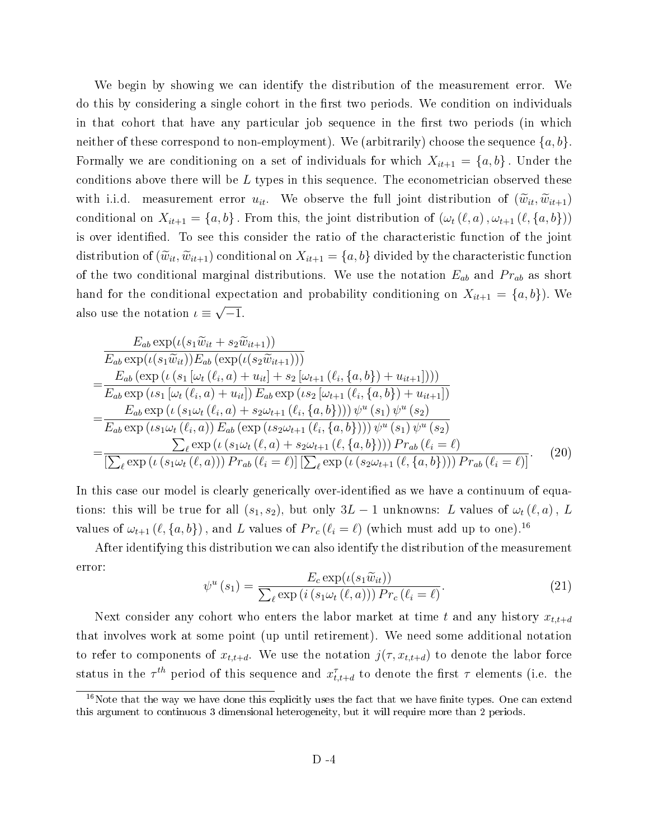We begin by showing we can identify the distribution of the measurement error. We do this by considering a single cohort in the first two periods. We condition on individuals in that cohort that have any particular job sequence in the first two periods (in which neither of these correspond to non-employment). We (arbitrarily) choose the sequence  $\{a, b\}$ . Formally we are conditioning on a set of individuals for which  $X_{it+1} = \{a, b\}$ . Under the conditions above there will be  $L$  types in this sequence. The econometrician observed these with i.i.d. measurement error  $u_{it}$ . We observe the full joint distribution of  $(\widetilde{w}_{it}, \widetilde{w}_{it+1})$ conditional on  $X_{it+1} = \{a, b\}$ . From this, the joint distribution of  $(\omega_t(\ell, a), \omega_{t+1}(\ell, \{a, b\}))$ is over identified. To see this consider the ratio of the characteristic function of the joint distribution of  $(\widetilde{w}_{it},\widetilde{w}_{it+1})$  conditional on  $X_{it+1} = \{a,b\}$  divided by the characteristic function of the two conditional marginal distributions. We use the notation  $E_{ab}$  and  $Pr_{ab}$  as short hand for the conditional expectation and probability conditioning on  $X_{it+1} = \{a, b\}$ . We also use the notation  $\iota \equiv \sqrt{-1}$ .

$$
\frac{E_{ab} \exp(\iota(s_{1}\widetilde{w}_{it} + s_{2}\widetilde{w}_{it+1}))}{E_{ab} \exp(\iota(s_{1}\widetilde{w}_{it}))E_{ab} (\exp(\iota(s_{2}\widetilde{w}_{it+1})))}
$$
\n
$$
= \frac{E_{ab} (\exp(\iota(s_{1}\widetilde{w}_{it}))E_{ab} (\exp(\iota(s_{2}\widetilde{w}_{it+1})))}{E_{ab} \exp(\iota(s_{1}\left[\omega_{t}(\ell_{i},a)+u_{it}\right])E_{ab} \exp(\iota(s_{2}\left[\omega_{t+1}(\ell_{i},\{a,b\})+u_{it+1}\right]))}
$$
\n
$$
= \frac{E_{ab} \exp(\iota(s_{1}\omega_{t}(\ell_{i},a)+s_{2}\omega_{t+1}(\ell_{i},\{a,b\})))\psi^{u}(s_{1})\psi^{u}(s_{2})}{E_{ab} \exp(\iota(s_{1}\omega_{t}(\ell_{i},a))E_{ab} (\exp(\iota s_{2}\omega_{t+1}(\ell_{i},\{a,b\})))\psi^{u}(s_{1})\psi^{u}(s_{2})}
$$
\n
$$
= \frac{\sum_{\ell} \exp(\iota(s_{1}\omega_{t}(\ell,a)+s_{2}\omega_{t+1}(\ell,\{a,b\})))\Pr_{ab}(\ell_{i} = \ell)}{[\sum_{\ell} \exp(\iota(s_{1}\omega_{t}(\ell,a)))\Pr_{ab}(\ell_{i} = \ell)][\sum_{\ell} \exp(\iota(s_{2}\omega_{t+1}(\ell,\{a,b\})))\Pr_{ab}(\ell_{i} = \ell)]}.
$$
\n(20)

In this case our model is clearly generically over-identified as we have a continuum of equations: this will be true for all  $(s_1, s_2)$ , but only  $3L - 1$  unknowns: L values of  $\omega_t(\ell, a)$ , L values of  $\omega_{t+1}$  ( $\ell$ ,  $\{a, b\}$ ), and L values of  $Pr_c$  ( $\ell_i = \ell$ ) (which must add up to one).<sup>16</sup>

After identifying this distribution we can also identify the distribution of the measurement error:

$$
\psi^u(s_1) = \frac{E_c \exp(\iota(s_1 \widetilde{w}_{it}))}{\sum_{\ell} \exp(i \left(s_1 \omega_t (\ell, a)\right))} Pr_c(\ell_i = \ell).
$$
\n(21)

Next consider any cohort who enters the labor market at time t and any history  $x_{t,t+d}$ that involves work at some point (up until retirement). We need some additional notation to refer to components of  $x_{t,t+d}$ . We use the notation  $j(\tau, x_{t,t+d})$  to denote the labor force status in the  $\tau^{th}$  period of this sequence and  $x_{t,t+d}^{\tau}$  to denote the first  $\tau$  elements (i.e. the

 $16$ Note that the way we have done this explicitly uses the fact that we have finite types. One can extend this argument to continuous 3 dimensional heterogeneity, but it will require more than 2 periods.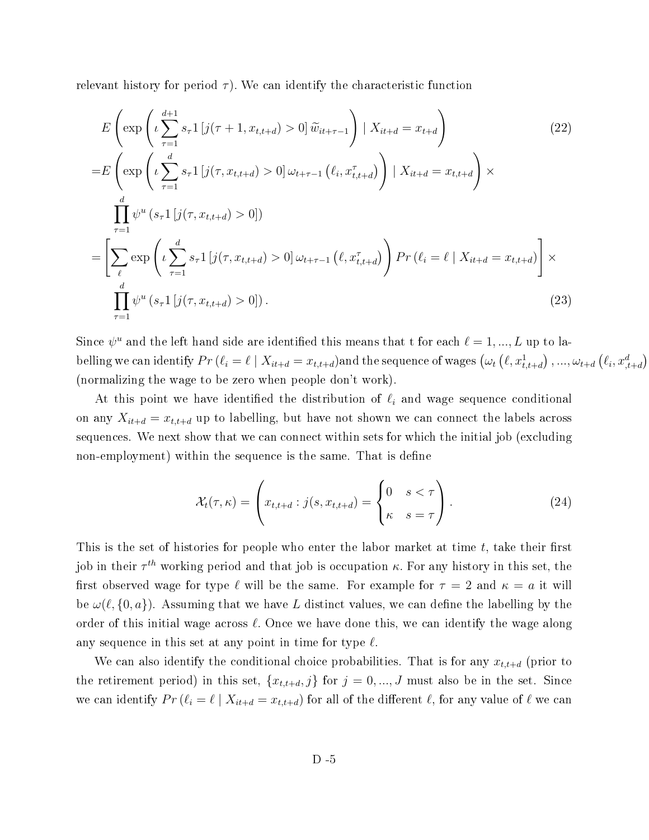relevant history for period  $\tau$ ). We can identify the characteristic function

$$
E\left(\exp\left(\iota \sum_{\tau=1}^{d+1} s_{\tau} 1 \left[j(\tau+1, x_{t,t+d}) > 0\right] \tilde{w}_{it+\tau-1}\right) | X_{it+d} = x_{t+d}\right) \tag{22}
$$
\n
$$
= E\left(\exp\left(\iota \sum_{\tau=1}^{d} s_{\tau} 1 \left[j(\tau, x_{t,t+d}) > 0\right] \omega_{t+\tau-1} \left(\ell_{i}, x_{t,t+d}^{\tau}\right)\right) | X_{it+d} = x_{t,t+d}\right) \times \prod_{\tau=1}^{d} \psi^{u} \left(s_{\tau} 1 \left[j(\tau, x_{t,t+d}) > 0\right] \right)
$$
\n
$$
= \left[\sum_{\ell} \exp\left(\iota \sum_{\tau=1}^{d} s_{\tau} 1 \left[j(\tau, x_{t,t+d}) > 0\right] \omega_{t+\tau-1} \left(\ell, x_{t,t+d}^{\tau}\right)\right) Pr\left(\ell_{i} = \ell \mid X_{it+d} = x_{t,t+d}\right)\right] \times \prod_{\tau=1}^{d} \psi^{u} \left(s_{\tau} 1 \left[j(\tau, x_{t,t+d}) > 0\right] \right).
$$
\n(23)

Since  $\psi^u$  and the left hand side are identified this means that t for each  $\ell = 1, ..., L$  up to labelling we can identify  $Pr(\ell_i = \ell \mid X_{it+d} = x_{t,t+d})$ and the sequence of wages  $(\omega_t (\ell, x_{t,t+d}^1), ..., \omega_{t+d} (\ell_i, x_{t+d}^d))$ (normalizing the wage to be zero when people don't work).

At this point we have identified the distribution of  $\ell_i$  and wage sequence conditional on any  $X_{it+d} = x_{t,t+d}$  up to labelling, but have not shown we can connect the labels across sequences. We next show that we can connect within sets for which the initial job (excluding non-employment) within the sequence is the same. That is define

$$
\mathcal{X}_t(\tau,\kappa) = \left(x_{t,t+d} : j(s, x_{t,t+d}) = \begin{cases} 0 & s < \tau \\ \kappa & s = \tau \end{cases}\right).
$$
 (24)

This is the set of histories for people who enter the labor market at time  $t$ , take their first job in their  $\tau^{th}$  working period and that job is occupation  $\kappa$ . For any history in this set, the first observed wage for type  $\ell$  will be the same. For example for  $\tau = 2$  and  $\kappa = a$  it will be  $\omega(\ell, \{0, a\})$ . Assuming that we have L distinct values, we can define the labelling by the order of this initial wage across  $\ell$ . Once we have done this, we can identify the wage along any sequence in this set at any point in time for type  $\ell$ .

We can also identify the conditional choice probabilities. That is for any  $x_{t,t+d}$  (prior to the retirement period) in this set,  $\{x_{t,t+d}, j\}$  for  $j = 0, ..., J$  must also be in the set. Since we can identify  $Pr(\ell_i = \ell \mid X_{it+d} = x_{t,t+d})$  for all of the different  $\ell$ , for any value of  $\ell$  we can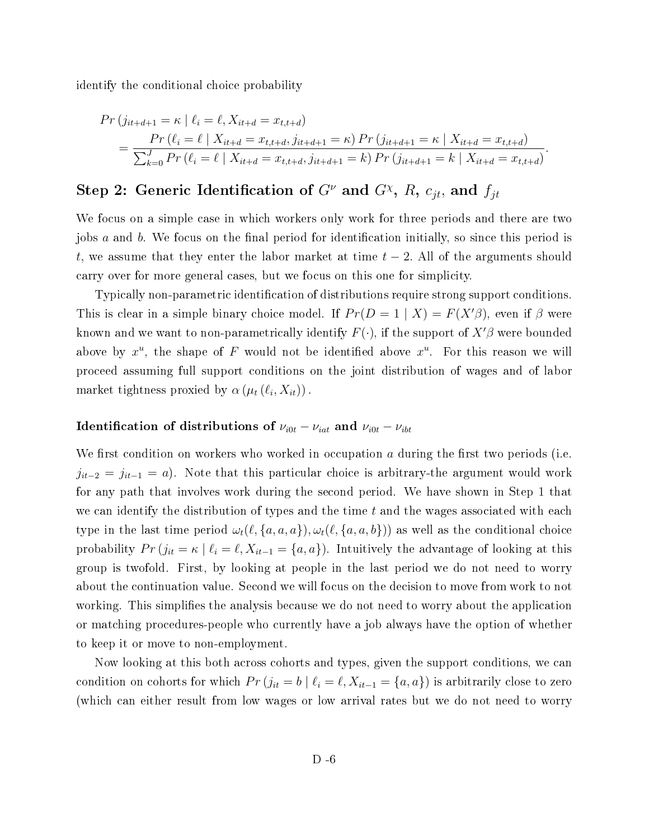identify the conditional choice probability

$$
Pr(j_{it+d+1} = \kappa | \ell_i = \ell, X_{it+d} = x_{t,t+d})
$$
  
= 
$$
\frac{Pr(\ell_i = \ell | X_{it+d} = x_{t,t+d}, j_{it+d+1} = \kappa) Pr(j_{it+d+1} = \kappa | X_{it+d} = x_{t,t+d})}{\sum_{k=0}^{J} Pr(\ell_i = \ell | X_{it+d} = x_{t,t+d}, j_{it+d+1} = k) Pr(j_{it+d+1} = k | X_{it+d} = x_{t,t+d})}.
$$

# Step 2: Generic Identification of  $G^{\nu}$  and  $G^{\chi}$ , R,  $c_{jt}$ , and  $f_{jt}$

We focus on a simple case in which workers only work for three periods and there are two jobs  $a$  and  $b$ . We focus on the final period for identification initially, so since this period is t, we assume that they enter the labor market at time  $t-2$ . All of the arguments should carry over for more general cases, but we focus on this one for simplicity.

Typically non-parametric identification of distributions require strong support conditions. This is clear in a simple binary choice model. If  $Pr(D = 1 | X) = F(X'\beta)$ , even if  $\beta$  were known and we want to non-parametrically identify  $F(\cdot)$ , if the support of  $X'\beta$  were bounded above by  $x^u$ , the shape of F would not be identified above  $x^u$ . For this reason we will proceed assuming full support conditions on the joint distribution of wages and of labor market tightness proxied by  $\alpha(\mu_t(\ell_i, X_{it}))$ .

### Identification of distributions of  $\nu_{i0t} - \nu_{iat}$  and  $\nu_{i0t} - \nu_{ibt}$

We first condition on workers who worked in occupation a during the first two periods (i.e.  $j_{it-2} = j_{it-1} = a$ ). Note that this particular choice is arbitrary-the argument would work for any path that involves work during the second period. We have shown in Step 1 that we can identify the distribution of types and the time  $t$  and the wages associated with each type in the last time period  $\omega_t(\ell, \{a, a, b\}), \omega_t(\ell, \{a, a, b\})$  as well as the conditional choice probability  $Pr(j_{it} = \kappa | \ell_i = \ell, X_{it-1} = \{a, a\})$ . Intuitively the advantage of looking at this group is twofold. First, by looking at people in the last period we do not need to worry about the continuation value. Second we will focus on the decision to move from work to not working. This simplifies the analysis because we do not need to worry about the application or matching procedures-people who currently have a job always have the option of whether to keep it or move to non-employment.

Now looking at this both across cohorts and types, given the support conditions, we can condition on cohorts for which  $Pr(j_{it} = b \mid \ell_i = \ell, X_{it-1} = \{a, a\})$  is arbitrarily close to zero (which can either result from low wages or low arrival rates but we do not need to worry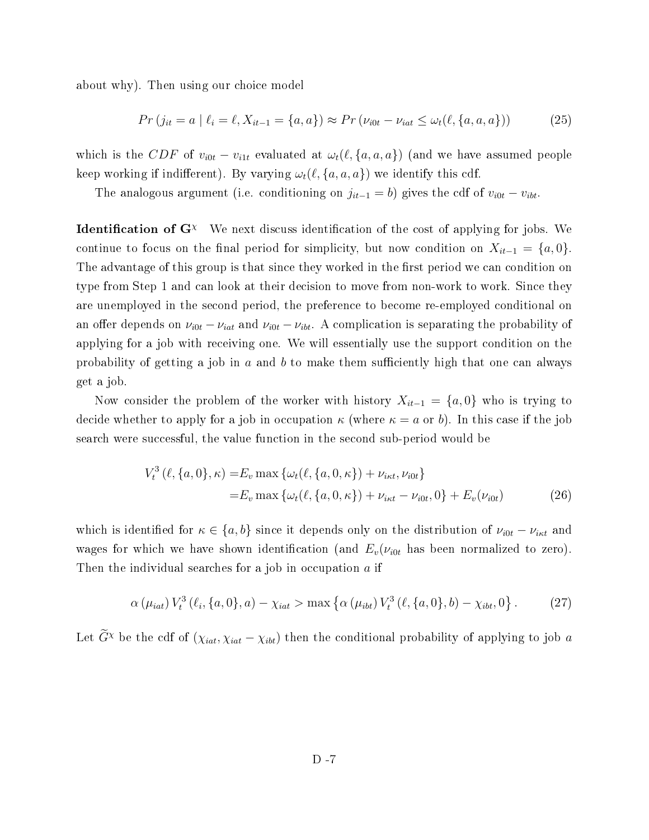about why). Then using our choice model

$$
Pr(j_{it} = a | \ell_i = \ell, X_{it-1} = \{a, a\}) \approx Pr(\nu_{i0t} - \nu_{iat} \leq \omega_t(\ell, \{a, a, a\}))
$$
(25)

which is the CDF of  $v_{i0t} - v_{i1t}$  evaluated at  $\omega_t(\ell, \{a, a, a\})$  (and we have assumed people keep working if indifferent). By varying  $\omega_t(\ell, \{a, a, a\})$  we identify this cdf.

The analogous argument (i.e. conditioning on  $j_{it-1} = b$ ) gives the cdf of  $v_{i0t} - v_{ibt}$ .

**Identification of G**<sup> $\chi$ </sup> We next discuss identification of the cost of applying for jobs. We continue to focus on the final period for simplicity, but now condition on  $X_{it-1} = \{a, 0\}.$ The advantage of this group is that since they worked in the first period we can condition on type from Step 1 and can look at their decision to move from non-work to work. Since they are unemployed in the second period, the preference to become re-employed conditional on an offer depends on  $\nu_{i0t} - \nu_{iat}$  and  $\nu_{i0t} - \nu_{ibt}$ . A complication is separating the probability of applying for a job with receiving one. We will essentially use the support condition on the probability of getting a job in a and b to make them sufficiently high that one can always get a job.

Now consider the problem of the worker with history  $X_{it-1} = \{a, 0\}$  who is trying to decide whether to apply for a job in occupation  $\kappa$  (where  $\kappa = a$  or b). In this case if the job search were successful, the value function in the second sub-period would be

$$
V_t^3(\ell, \{a, 0\}, \kappa) = E_v \max \{ \omega_t(\ell, \{a, 0, \kappa\}) + \nu_{int}, \nu_{i0t} \}
$$
  
=  $E_v \max \{ \omega_t(\ell, \{a, 0, \kappa\}) + \nu_{int} - \nu_{i0t}, 0 \} + E_v(\nu_{i0t})$  (26)

which is identified for  $\kappa \in \{a, b\}$  since it depends only on the distribution of  $\nu_{i0t} - \nu_{i\kappa t}$  and wages for which we have shown identification (and  $E_v(\nu_{i0t}$  has been normalized to zero). Then the individual searches for a job in occupation  $a$  if

$$
\alpha(\mu_{iat}) V_t^3(\ell_i, \{a, 0\}, a) - \chi_{iat} > \max \left\{ \alpha(\mu_{ibt}) V_t^3(\ell, \{a, 0\}, b) - \chi_{ibt}, 0 \right\}.
$$
 (27)

Let  $\widetilde{G}^{\chi}$  be the cdf of  $(\chi_{iat}, \chi_{iat} - \chi_{ibt})$  then the conditional probability of applying to job a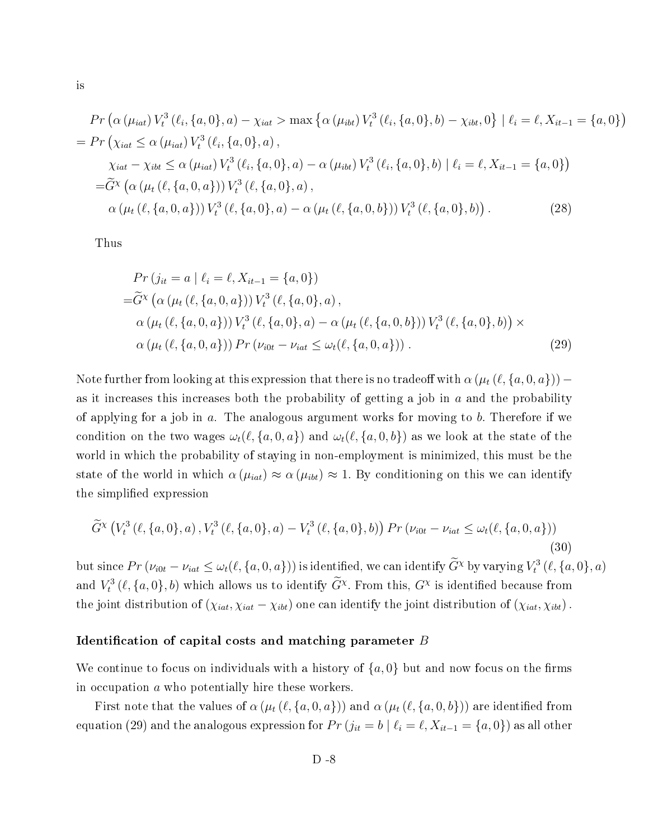$$
Pr\left(\alpha\left(\mu_{iat}\right)V_t^3\left(\ell_i, \{a, 0\}, a\right) - \chi_{iat} > \max\left\{\alpha\left(\mu_{ibt}\right)V_t^3\left(\ell_i, \{a, 0\}, b\right) - \chi_{ibt}, 0\right\} \mid \ell_i = \ell, X_{it-1} = \{a, 0\}
$$
\n
$$
= Pr\left(\chi_{iat} \le \alpha\left(\mu_{iat}\right)V_t^3\left(\ell_i, \{a, 0\}, a\right),
$$
\n
$$
\chi_{iat} - \chi_{ibt} \le \alpha\left(\mu_{iat}\right)V_t^3\left(\ell_i, \{a, 0\}, a\right) - \alpha\left(\mu_{ibt}\right)V_t^3\left(\ell_i, \{a, 0\}, b\right) \mid \ell_i = \ell, X_{it-1} = \{a, 0\}\right)
$$
\n
$$
= \widetilde{G}^{\chi}\left(\alpha\left(\mu_t\left(\ell, \{a, 0, a\}\right)\right)V_t^3\left(\ell, \{a, 0\}, a\right),
$$
\n
$$
\alpha\left(\mu_t\left(\ell, \{a, 0, a\}\right)\right)V_t^3\left(\ell, \{a, 0\}, a\right) - \alpha\left(\mu_t\left(\ell, \{a, 0, b\}\right)\right)V_t^3\left(\ell, \{a, 0\}, b\right)\right).
$$
\n(28)

 $\mathcal{L}$ 

Thus

$$
Pr(j_{it} = a | \ell_i = \ell, X_{it-1} = \{a, 0\})
$$
  
= $\tilde{G}^{\chi} (\alpha (\mu_t (\ell, \{a, 0, a\})) V_t^3 (\ell, \{a, 0\}, a),$   
 $\alpha (\mu_t (\ell, \{a, 0, a\})) V_t^3 (\ell, \{a, 0\}, a) - \alpha (\mu_t (\ell, \{a, 0, b\})) V_t^3 (\ell, \{a, 0\}, b)) \times$   
 $\alpha (\mu_t (\ell, \{a, 0, a\})) Pr (\nu_{i0t} - \nu_{iat} \leq \omega_t (\ell, \{a, 0, a\}))$ . (29)

Note further from looking at this expression that there is no tradeoff with  $\alpha(\mu_t(\ell, \{a, 0, a\}))$  – as it increases this increases both the probability of getting a job in  $a$  and the probability of applying for a job in a. The analogous argument works for moving to b. Therefore if we condition on the two wages  $\omega_t(\ell, \{a, 0, a\})$  and  $\omega_t(\ell, \{a, 0, b\})$  as we look at the state of the world in which the probability of staying in non-employment is minimized, this must be the state of the world in which  $\alpha(\mu_{int}) \approx \alpha(\mu_{ibt}) \approx 1$ . By conditioning on this we can identify the simplified expression

$$
\widetilde{G}^{\chi}\left(V_t^3\left(\ell, \{a, 0\}, a\right), V_t^3\left(\ell, \{a, 0\}, a\right) - V_t^3\left(\ell, \{a, 0\}, b\right)\right) \Pr\left(\nu_{i0t} - \nu_{iat} \le \omega_t(\ell, \{a, 0, a\})\right) \tag{30}
$$

but since  $Pr(\nu_{i0t} - \nu_{iat} \leq \omega_t(\ell, \{a, 0, a\}))$  is identified, we can identify  $\tilde{G}^{\chi}$  by varying  $V_t^3(\ell, \{a, 0\}, a)$ and  $V_t^3$  ( $\ell$ ,  $\{a, 0\}$ , b) which allows us to identify  $\tilde{G}^{\chi}$ . From this,  $G^{\chi}$  is identified because from the joint distribution of  $(\chi_{iat}, \chi_{iat} - \chi_{ibt})$  one can identify the joint distribution of  $(\chi_{iat}, \chi_{ibt})$ .

#### Identification of capital costs and matching parameter  $B$

We continue to focus on individuals with a history of  $\{a, 0\}$  but and now focus on the firms in occupation a who potentially hire these workers.

First note that the values of  $\alpha(\mu_t(\ell, \{a, 0, a\}))$  and  $\alpha(\mu_t(\ell, \{a, 0, b\}))$  are identified from equation (29) and the analogous expression for  $Pr(j_{it} = b | \ell_i = \ell, X_{it-1} = \{a, 0\})$  as all other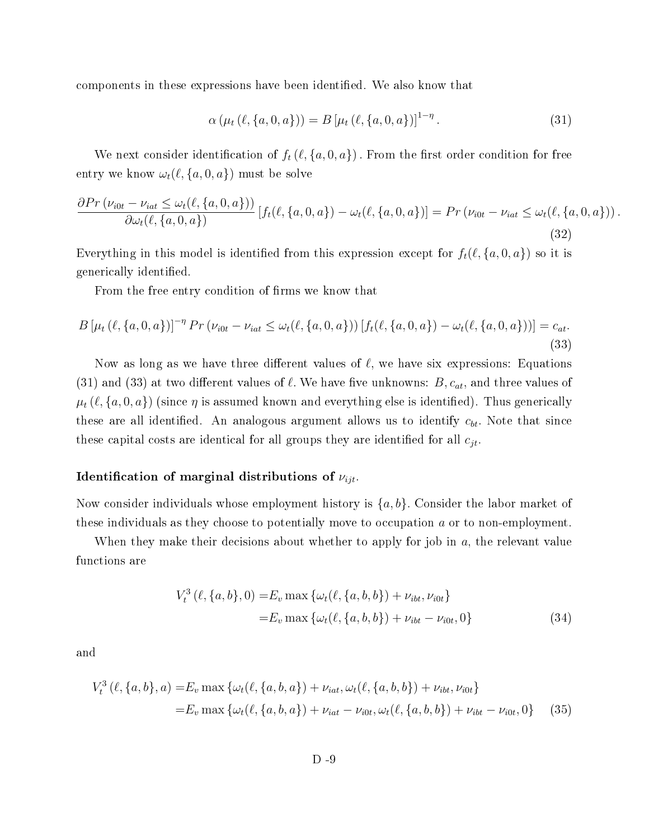components in these expressions have been identified. We also know that

$$
\alpha \left( \mu_t \left( \ell, \{a, 0, a\} \right) \right) = B \left[ \mu_t \left( \ell, \{a, 0, a\} \right) \right]^{1 - \eta} . \tag{31}
$$

We next consider identification of  $f_t(\ell, \{a, 0, a\})$ . From the first order condition for free entry we know  $\omega_t(\ell, \{a, 0, a\})$  must be solve

$$
\frac{\partial Pr(\nu_{i0t} - \nu_{iat} \le \omega_t(\ell, \{a, 0, a\}))}{\partial \omega_t(\ell, \{a, 0, a\})} [f_t(\ell, \{a, 0, a\}) - \omega_t(\ell, \{a, 0, a\})] = Pr(\nu_{i0t} - \nu_{iat} \le \omega_t(\ell, \{a, 0, a\}))
$$
\n(32)

Everything in this model is identified from this expression except for  $f_t(\ell, \{a, 0, a\})$  so it is generically identified.

From the free entry condition of firms we know that

$$
B\left[\mu_t\left(\ell, \{a, 0, a\}\right)\right]^{-\eta} \Pr\left(\nu_{i0t} - \nu_{iat} \le \omega_t(\ell, \{a, 0, a\})\right) \left[f_t(\ell, \{a, 0, a\}) - \omega_t(\ell, \{a, 0, a\})\right] = c_{at}.
$$
\n(33)

Now as long as we have three different values of  $\ell$ , we have six expressions: Equations (31) and (33) at two different values of  $\ell$ . We have five unknowns:  $B, c_{at}$ , and three values of  $\mu_t(\ell, \{a, 0, a\})$  (since  $\eta$  is assumed known and everything else is identified). Thus generically these are all identified. An analogous argument allows us to identify  $c_{bt}$ . Note that since these capital costs are identical for all groups they are identified for all  $c_{it}$ .

### Identification of marginal distributions of  $\nu_{ijt}$ .

Now consider individuals whose employment history is  $\{a, b\}$ . Consider the labor market of these individuals as they choose to potentially move to occupation a or to non-employment.

When they make their decisions about whether to apply for job in  $a$ , the relevant value functions are

$$
V_t^3(\ell, \{a, b\}, 0) = E_v \max \{ \omega_t(\ell, \{a, b, b\}) + \nu_{ibt}, \nu_{i0t} \}
$$
  
=  $E_v \max \{ \omega_t(\ell, \{a, b, b\}) + \nu_{ibt} - \nu_{i0t}, 0 \}$  (34)

and

$$
V_t^3(\ell, \{a, b\}, a) = E_v \max \{ \omega_t(\ell, \{a, b, a\}) + \nu_{iat}, \omega_t(\ell, \{a, b, b\}) + \nu_{ibt}, \nu_{i0t} \}
$$
  
=  $E_v \max \{ \omega_t(\ell, \{a, b, a\}) + \nu_{iat} - \nu_{i0t}, \omega_t(\ell, \{a, b, b\}) + \nu_{ibt} - \nu_{i0t}, 0 \}$  (35)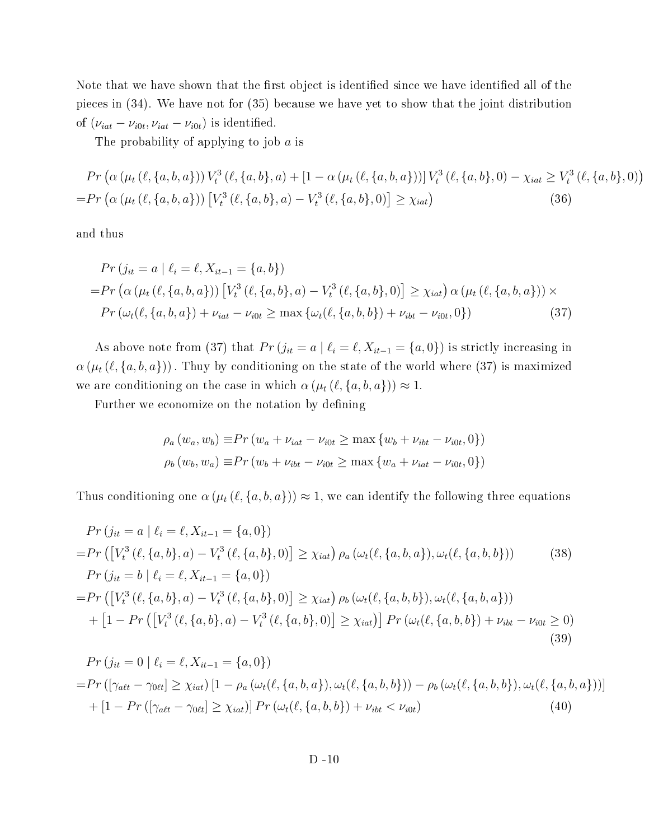Note that we have shown that the first object is identified since we have identified all of the pieces in (34). We have not for (35) because we have yet to show that the joint distribution of  $(\nu_{iat} - \nu_{i0t}, \nu_{iat} - \nu_{i0t})$  is identified.

The probability of applying to job  $a$  is

$$
Pr\left(\alpha\left(\mu_t\left(\ell,\{a,b,a\}\right)\right)V_t^3\left(\ell,\{a,b\},a\right) + \left[1 - \alpha\left(\mu_t\left(\ell,\{a,b,a\}\right)\right)\right]V_t^3\left(\ell,\{a,b\},0\right) - \chi_{iat} \ge V_t^3\left(\ell,\{a,b\},0\right)\right) = Pr\left(\alpha\left(\mu_t\left(\ell,\{a,b,a\}\right)\right)\left[V_t^3\left(\ell,\{a,b\},a\right) - V_t^3\left(\ell,\{a,b\},0\right)\right] \ge \chi_{iat}\right) \tag{36}
$$

and thus

$$
Pr(j_{it} = a | \ell_i = \ell, X_{it-1} = \{a, b\})
$$
  
=
$$
Pr(\alpha (\mu_t (\ell, \{a, b, a\})) [V_t^3 (\ell, \{a, b\}, a) - V_t^3 (\ell, \{a, b\}, 0)] \ge \chi_{iat}) \alpha (\mu_t (\ell, \{a, b, a\})) \times
$$
  

$$
Pr(\omega_t (\ell, \{a, b, a\}) + \nu_{iat} - \nu_{i0t} \ge \max \{\omega_t (\ell, \{a, b, b\}) + \nu_{ibt} - \nu_{i0t}, 0\})
$$
(37)

As above note from (37) that  $Pr(j_{it} = a | \ell_i = \ell, X_{it-1} = \{a, 0\})$  is strictly increasing in  $\alpha(\mu_t(\ell, \{a, b, a\}))$ . Thuy by conditioning on the state of the world where (37) is maximized we are conditioning on the case in which  $\alpha (\mu_t (\ell, \{a, b, a\})) \approx 1$ .

Further we economize on the notation by defining

$$
\rho_a (w_a, w_b) \equiv Pr (w_a + \nu_{iat} - \nu_{i0t} \ge \max \{w_b + \nu_{ibt} - \nu_{i0t}, 0\})
$$
  

$$
\rho_b (w_b, w_a) \equiv Pr (w_b + \nu_{ibt} - \nu_{i0t} \ge \max \{w_a + \nu_{iat} - \nu_{i0t}, 0\})
$$

Thus conditioning one  $\alpha(\mu_t(\ell, \{a, b, a\})) \approx 1$ , we can identify the following three equations

$$
Pr(j_{it} = a | \ell_i = \ell, X_{it-1} = \{a, 0\})
$$
  
=
$$
Pr([V_t^3(\ell, \{a, b\}, a) - V_t^3(\ell, \{a, b\}, 0)] \ge \chi_{iat}) \rho_a(\omega_t(\ell, \{a, b, a\}), \omega_t(\ell, \{a, b, b\}))
$$
(38)  

$$
Pr(j_{it} = b | \ell_i = \ell, X_{it-1} = \{a, 0\})
$$
  
=
$$
Pr([V_t^3(\ell, \{a, b\}, a) - V_t^3(\ell, \{a, b\}, 0)] \ge \chi_{iat}) \rho_b(\omega_t(\ell, \{a, b, b\}), \omega_t(\ell, \{a, b, a\}))
$$
  
+ 
$$
[1 - Pr([V_t^3(\ell, \{a, b\}, a) - V_t^3(\ell, \{a, b\}, 0)] \ge \chi_{iat})] Pr(\omega_t(\ell, \{a, b, b\}) + \nu_{ibt} - \nu_{i0t} \ge 0)
$$
(39)

$$
Pr(j_{it} = 0 | \ell_i = \ell, X_{it-1} = \{a, 0\})
$$
  
= 
$$
Pr([\gamma_{alt} - \gamma_{0\ell t}] \ge \chi_{iat}) [1 - \rho_a(\omega_t(\ell, \{a, b, a\}), \omega_t(\ell, \{a, b, b\})) - \rho_b(\omega_t(\ell, \{a, b, b\}), \omega_t(\ell, \{a, b, a\}))]
$$
  
+ 
$$
[1 - Pr([\gamma_{alt} - \gamma_{0\ell t}] \ge \chi_{iat})] Pr(\omega_t(\ell, \{a, b, b\}) + \nu_{ibt} < \nu_{i0t})
$$
(40)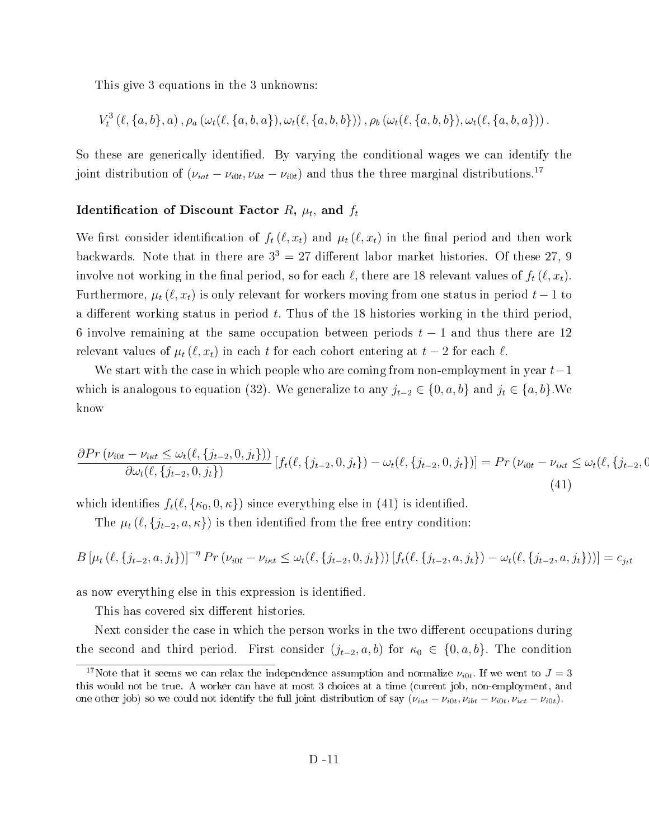This give 3 equations in the 3 unknowns:

$$
V_t^3(\ell, \{a, b\}, a), \rho_a(\omega_t(\ell, \{a, b, a\}), \omega_t(\ell, \{a, b, b\})), \rho_b(\omega_t(\ell, \{a, b, b\}), \omega_t(\ell, \{a, b, a\})).
$$

So these are generically identified. By varying the conditional wages we can identify the joint distribution of  $(\nu_{iat} - \nu_{i0t}, \nu_{ibt} - \nu_{i0t})$  and thus the three marginal distributions.<sup>17</sup>

### Identification of Discount Factor  $R, \, \mu_t,$  and  $f_t$

We first consider identification of  $f_t(\ell, x_t)$  and  $\mu_t(\ell, x_t)$  in the final period and then work backwards. Note that in there are  $3^3 = 27$  different labor market histories. Of these 27, 9 involve not working in the final period, so for each  $\ell$ , there are 18 relevant values of  $f_t(\ell, x_t)$ . Furthermore,  $\mu_t(\ell, x_t)$  is only relevant for workers moving from one status in period  $t-1$  to a different working status in period  $t$ . Thus of the 18 histories working in the third period. 6 involve remaining at the same occupation between periods  $t-1$  and thus there are 12 relevant values of  $\mu_t(\ell, x_t)$  in each t for each cohort entering at  $t-2$  for each  $\ell$ .

We start with the case in which people who are coming from non-employment in year  $t-1$ which is analogous to equation (32). We generalize to any  $j_{t-2} \in \{0, a, b\}$  and  $j_t \in \{a, b\}$ . We know

$$
\frac{\partial Pr\left(\nu_{i0t} - \nu_{i\kappa t} \leq \omega_t(\ell, \{j_{t-2}, 0, j_t\})\right)}{\partial \omega_t(\ell, \{j_{t-2}, 0, j_t\})} \left[ f_t(\ell, \{j_{t-2}, 0, j_t\}) - \omega_t(\ell, \{j_{t-2}, 0, j_t\}) \right] = Pr\left(\nu_{i0t} - \nu_{i\kappa t} \leq \omega_t(\ell, \{j_{t-2}, 0, j_t\})\right)
$$
\n(41)

which identifies  $f_t(\ell, \{\kappa_0, 0, \kappa\})$  since everything else in (41) is identified.

The  $\mu_t$  ( $\ell$ ,  $\{j_{t-2}, a, \kappa\}$ ) is then identified from the free entry condition:

$$
B\left[\mu_t\left(\ell,\{j_{t-2},a,j_t\}\right)\right]^{-\eta} \Pr\left(\nu_{i0t} - \nu_{i\kappa t} \leq \omega_t(\ell,\{j_{t-2},0,j_t\})\right) \left[f_t(\ell,\{j_{t-2},a,j_t\}) - \omega_t(\ell,\{j_{t-2},a,j_t\})\right] = c_{j_t t}
$$

as now everything else in this expression is identified.

This has covered six different histories.

Next consider the case in which the person works in the two different occupations during the second and third period. First consider  $(j_{t-2}, a, b)$  for  $\kappa_0 \in \{0, a, b\}$ . The condition

<sup>&</sup>lt;sup>17</sup>Note that it seems we can relax the independence assumption and normalize  $\nu_{i0t}$ . If we went to  $J=3$ this would not be true. A worker can have at most 3 choices at a time (current job, non-employment, and one other job) so we could not identify the full joint distribution of say  $(\nu_{iat} - \nu_{i0t}, \nu_{ibt} - \nu_{i0t}, \nu_{ict} - \nu_{i0t})$ .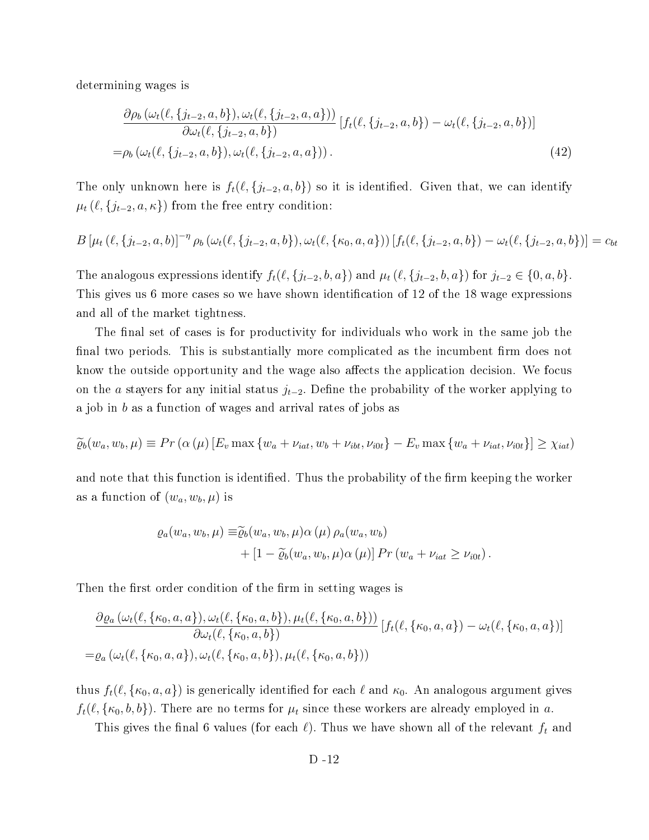determining wages is

$$
\frac{\partial \rho_b(\omega_t(\ell, \{j_{t-2}, a, b\}), \omega_t(\ell, \{j_{t-2}, a, a\}))}{\partial \omega_t(\ell, \{j_{t-2}, a, b\})} [f_t(\ell, \{j_{t-2}, a, b\}) - \omega_t(\ell, \{j_{t-2}, a, b\})]
$$
\n
$$
= \rho_b(\omega_t(\ell, \{j_{t-2}, a, b\}), \omega_t(\ell, \{j_{t-2}, a, a\})).
$$
\n(42)

The only unknown here is  $f_t(\ell, \{j_{t-2}, a, b\})$  so it is identified. Given that, we can identify  $\mu_t(\ell, \{j_{t-2}, a, \kappa\})$  from the free entry condition:

$$
B\left[\mu_t(\ell, \{j_{t-2}, a, b\})\right]^{-\eta} \rho_b(\omega_t(\ell, \{j_{t-2}, a, b\}), \omega_t(\ell, \{\kappa_0, a, a\})) \left[f_t(\ell, \{j_{t-2}, a, b\}) - \omega_t(\ell, \{j_{t-2}, a, b\})\right] = c_{bt}
$$

The analogous expressions identify  $f_t(\ell, \{j_{t-2}, b, a\})$  and  $\mu_t(\ell, \{j_{t-2}, b, a\})$  for  $j_{t-2} \in \{0, a, b\}$ . This gives us 6 more cases so we have shown identification of 12 of the 18 wage expressions and all of the market tightness.

The final set of cases is for productivity for individuals who work in the same job the final two periods. This is substantially more complicated as the incumbent firm does not know the outside opportunity and the wage also affects the application decision. We focus on the a stayers for any initial status  $j_{t-2}$ . Define the probability of the worker applying to a job in b as a function of wages and arrival rates of jobs as

$$
\widetilde{\varrho}_b(w_a, w_b, \mu) \equiv Pr\left(\alpha\left(\mu\right)[E_v \max\left\{w_a + \nu_{iat}, w_b + \nu_{ibt}, \nu_{i0t}\right\} - E_v \max\left\{w_a + \nu_{iat}, \nu_{i0t}\right\}\right] \geq \chi_{iat}
$$

and note that this function is identified. Thus the probability of the firm keeping the worker as a function of  $(w_a, w_b, \mu)$  is

$$
\varrho_a(w_a, w_b, \mu) \equiv \widetilde{\varrho}_b(w_a, w_b, \mu) \alpha(\mu) \rho_a(w_a, w_b)
$$
  
+ 
$$
[1 - \widetilde{\varrho}_b(w_a, w_b, \mu) \alpha(\mu)] Pr(w_a + \nu_{iat} \ge \nu_{i0t}).
$$

Then the first order condition of the firm in setting wages is

$$
\frac{\partial \varrho_a(\omega_t(\ell, \{\kappa_0, a, a\}), \omega_t(\ell, \{\kappa_0, a, b\}), \mu_t(\ell, \{\kappa_0, a, b\}))}{\partial \omega_t(\ell, \{\kappa_0, a, b\})} [f_t(\ell, \{\kappa_0, a, a\}) - \omega_t(\ell, \{\kappa_0, a, a\})]
$$
\n
$$
= \varrho_a(\omega_t(\ell, \{\kappa_0, a, a\}), \omega_t(\ell, \{\kappa_0, a, b\}), \mu_t(\ell, \{\kappa_0, a, b\}))
$$

thus  $f_t(\ell, \{\kappa_0, a, a\})$  is generically identified for each  $\ell$  and  $\kappa_0$ . An analogous argument gives  $f_t(\ell, \{\kappa_0, b, b\})$ . There are no terms for  $\mu_t$  since these workers are already employed in a.

This gives the final 6 values (for each  $\ell$ ). Thus we have shown all of the relevant  $f_t$  and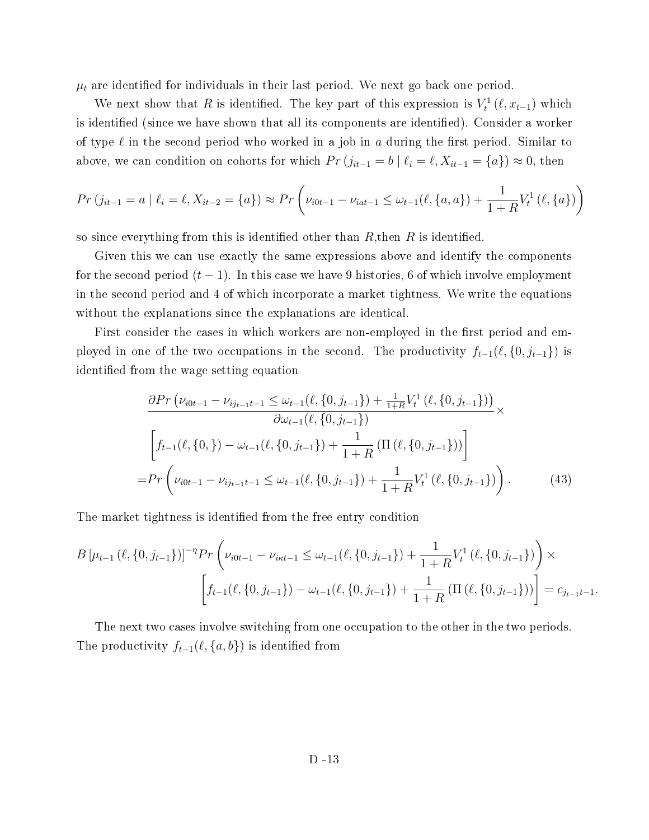$\mu_t$  are identified for individuals in their last period. We next go back one period.

We next show that R is identified. The key part of this expression is  $V_t^1(\ell, x_{t-1})$  which is identified (since we have shown that all its components are identified). Consider a worker of type  $\ell$  in the second period who worked in a job in a during the first period. Similar to above, we can condition on cohorts for which  $Pr(j_{it-1} = b | \ell_i = \ell, X_{it-1} = \{a\}) \approx 0$ , then

$$
Pr(j_{it-1} = a | \ell_i = \ell, X_{it-2} = \{a\}) \approx Pr\left(\nu_{i0t-1} - \nu_{iat-1} \leq \omega_{t-1}(\ell, \{a, a\}) + \frac{1}{1+R}V_t^1(\ell, \{a\})\right)
$$

so since everything from this is identified other than  $R$ , then  $R$  is identified.

Given this we can use exactly the same expressions above and identify the components for the second period  $(t-1)$ . In this case we have 9 histories, 6 of which involve employment in the second period and 4 of which incorporate a market tightness. We write the equations without the explanations since the explanations are identical.

First consider the cases in which workers are non-employed in the first period and employed in one of the two occupations in the second. The productivity  $f_{t-1}(\ell, \{0, j_{t-1}\})$  is identified from the wage setting equation

$$
\frac{\partial Pr\left(\nu_{i0t-1} - \nu_{ij_{t-1}t-1} \leq \omega_{t-1}(\ell, \{0, j_{t-1}\}) + \frac{1}{1+R}V_t^1(\ell, \{0, j_{t-1}\})\right)}{\partial \omega_{t-1}(\ell, \{0, j_{t-1}\})} \times \left[f_{t-1}(\ell, \{0, j\}) - \omega_{t-1}(\ell, \{0, j_{t-1}\}) + \frac{1}{1+R}\left(\Pi\left(\ell, \{0, j_{t-1}\}\right)\right)\right]
$$
\n
$$
= Pr\left(\nu_{i0t-1} - \nu_{ij_{t-1}t-1} \leq \omega_{t-1}(\ell, \{0, j_{t-1}\}) + \frac{1}{1+R}V_t^1(\ell, \{0, j_{t-1}\})\right). \tag{43}
$$

The market tightness is identified from the free entry condition

$$
B\left[\mu_{t-1}\left(\ell, \{0, j_{t-1}\}\right)\right]^{-\eta} Pr\left(\nu_{i0t-1} - \nu_{i\kappa t-1} \leq \omega_{t-1}(\ell, \{0, j_{t-1}\}) + \frac{1}{1+R}V_t^1\left(\ell, \{0, j_{t-1}\}\right)\right) \times \left[f_{t-1}(\ell, \{0, j_{t-1}\}) - \omega_{t-1}(\ell, \{0, j_{t-1}\}) + \frac{1}{1+R}\left(\Pi\left(\ell, \{0, j_{t-1}\}\right)\right)\right] = c_{j_{t-1}t-1}.
$$

The next two cases involve switching from one occupation to the other in the two periods. The productivity  $f_{t-1}(\ell, \{a, b\})$  is identified from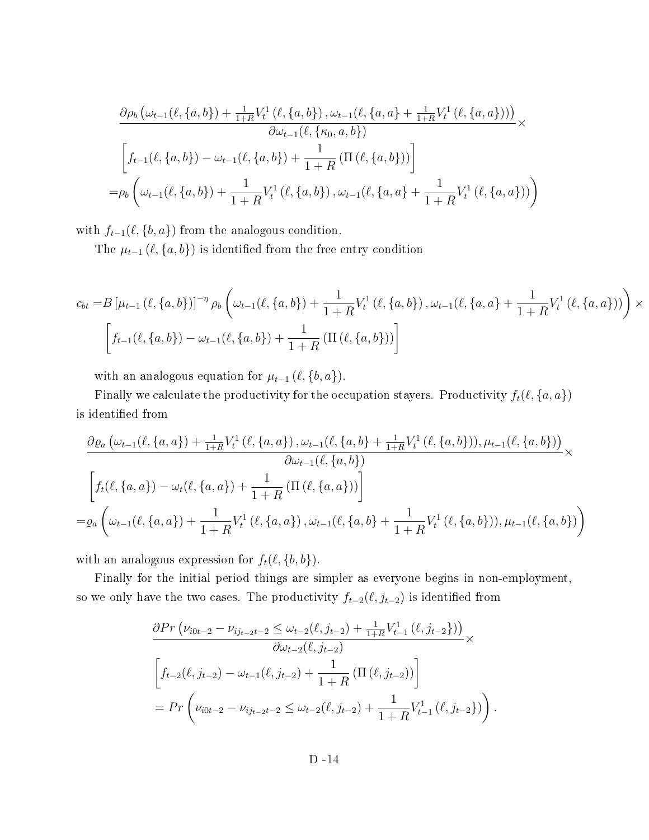$$
\frac{\partial \rho_b(\omega_{t-1}(\ell, \{a, b\}) + \frac{1}{1+R}V_t^1(\ell, \{a, b\}), \omega_{t-1}(\ell, \{a, a\} + \frac{1}{1+R}V_t^1(\ell, \{a, a\})))}{\partial \omega_{t-1}(\ell, \{\kappa_0, a, b\})} \times \left[ f_{t-1}(\ell, \{a, b\}) - \omega_{t-1}(\ell, \{a, b\}) + \frac{1}{1+R} \left( \Pi(\ell, \{a, b\}) \right) \right]
$$
\n
$$
= \rho_b \left( \omega_{t-1}(\ell, \{a, b\}) + \frac{1}{1+R}V_t^1(\ell, \{a, b\}), \omega_{t-1}(\ell, \{a, a\} + \frac{1}{1+R}V_t^1(\ell, \{a, a\})) \right)
$$

with  $f_{t-1}(\ell, \{b, a\})$  from the analogous condition.

The  $\mu_{t-1}$  ( $\ell$ , {a, b}) is identified from the free entry condition

$$
c_{bt} = B \left[ \mu_{t-1} \left( \ell, \{a, b\} \right) \right]^{-\eta} \rho_b \left( \omega_{t-1}(\ell, \{a, b\}) + \frac{1}{1+R} V_t^1 \left( \ell, \{a, b\} \right), \omega_{t-1}(\ell, \{a, a\} + \frac{1}{1+R} V_t^1 \left( \ell, \{a, a\} \right) \right) \right) \times \left[ f_{t-1}(\ell, \{a, b\}) - \omega_{t-1}(\ell, \{a, b\}) + \frac{1}{1+R} \left( \Pi \left( \ell, \{a, b\} \right) \right) \right]
$$

with an analogous equation for  $\mu_{t-1}$  ( $\ell$ , {b, a}).

Finally we calculate the productivity for the occupation stayers. Productivity  $f_t(\ell, \{a, a\})$ is identified from

$$
\frac{\partial \varrho_a(\omega_{t-1}(\ell, \{a,a\}) + \frac{1}{1+R}V_t^1(\ell, \{a,a\}), \omega_{t-1}(\ell, \{a,b\} + \frac{1}{1+R}V_t^1(\ell, \{a,b\})), \mu_{t-1}(\ell, \{a,b\}))}{\partial \omega_{t-1}(\ell, \{a,b\})} \times \left[ f_t(\ell, \{a,a\}) - \omega_t(\ell, \{a,a\}) + \frac{1}{1+R} \left( \Pi(\ell, \{a,a\}) \right) \right]
$$
\n
$$
= \varrho_a \left( \omega_{t-1}(\ell, \{a,a\}) + \frac{1}{1+R}V_t^1(\ell, \{a,a\}), \omega_{t-1}(\ell, \{a,b\} + \frac{1}{1+R}V_t^1(\ell, \{a,b\})), \mu_{t-1}(\ell, \{a,b\}) \right)
$$

with an analogous expression for  $f_t(\ell, \{b, b\})$ .

Finally for the initial period things are simpler as everyone begins in non-employment, so we only have the two cases. The productivity  $f_{t-2}(\ell, j_{t-2})$  is identified from

$$
\frac{\partial Pr\left(\nu_{i0t-2} - \nu_{ij_{t-2}t-2} \leq \omega_{t-2}(\ell, j_{t-2}) + \frac{1}{1+R}V_{t-1}^1(\ell, j_{t-2})\right)}{\partial \omega_{t-2}(\ell, j_{t-2})} \times
$$
\n
$$
\left[f_{t-2}(\ell, j_{t-2}) - \omega_{t-1}(\ell, j_{t-2}) + \frac{1}{1+R}\left(\Pi\left(\ell, j_{t-2}\right)\right)\right]
$$
\n
$$
= Pr\left(\nu_{i0t-2} - \nu_{ij_{t-2}t-2} \leq \omega_{t-2}(\ell, j_{t-2}) + \frac{1}{1+R}V_{t-1}^1(\ell, j_{t-2})\right).
$$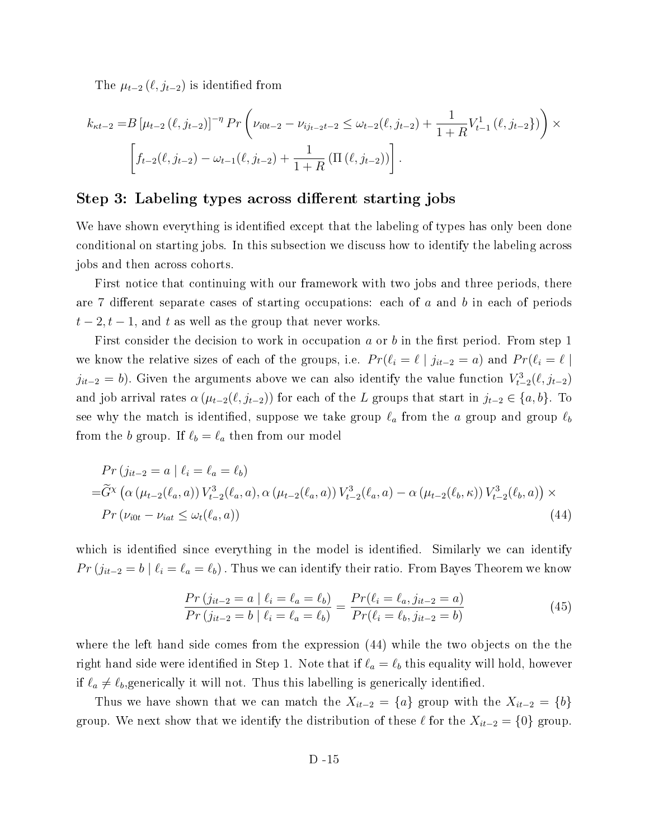The  $\mu_{t-2}$   $(\ell, j_{t-2})$  is identified from

$$
k_{\kappa t-2} = B \left[ \mu_{t-2} (\ell, j_{t-2}) \right]^{-\eta} Pr \left( \nu_{i0t-2} - \nu_{i j_{t-2} t-2} \le \omega_{t-2} (\ell, j_{t-2}) + \frac{1}{1+R} V_{t-1}^1 (\ell, j_{t-2}) \right) \times \left[ f_{t-2} (\ell, j_{t-2}) - \omega_{t-1} (\ell, j_{t-2}) + \frac{1}{1+R} \left( \Pi (\ell, j_{t-2}) \right) \right].
$$

### Step 3: Labeling types across different starting jobs

We have shown everything is identified except that the labeling of types has only been done conditional on starting jobs. In this subsection we discuss how to identify the labeling across jobs and then across cohorts.

First notice that continuing with our framework with two jobs and three periods, there are 7 different separate cases of starting occupations: each of  $a$  and  $b$  in each of periods  $t-2, t-1$ , and t as well as the group that never works.

First consider the decision to work in occupation a or b in the first period. From step 1 we know the relative sizes of each of the groups, i.e.  $Pr(\ell_i = \ell \mid j_{it-2} = a)$  and  $Pr(\ell_i = \ell \mid s_i)$  $j_{it-2} = b$ ). Given the arguments above we can also identify the value function  $V_{t-2}^3(\ell, j_{t-2})$ and job arrival rates  $\alpha$  ( $\mu_{t-2}(\ell, j_{t-2})$ ) for each of the L groups that start in  $j_{t-2} \in \{a, b\}$ . To see why the match is identified, suppose we take group  $\ell_a$  from the a group and group  $\ell_b$ from the b group. If  $\ell_b = \ell_a$  then from our model

$$
Pr(j_{it-2} = a | \ell_i = \ell_a = \ell_b)
$$
  
= $\tilde{G}^{\chi} (\alpha (\mu_{t-2}(\ell_a, a)) V_{t-2}^3(\ell_a, a), \alpha (\mu_{t-2}(\ell_a, a)) V_{t-2}^3(\ell_a, a) - \alpha (\mu_{t-2}(\ell_b, \kappa)) V_{t-2}^3(\ell_b, a)) \times$   
 $Pr(\nu_{i0t} - \nu_{iat} \leq \omega_t(\ell_a, a))$  (44)

which is identified since everything in the model is identified. Similarly we can identify  $Pr(j_{it-2} = b \mid \ell_i = \ell_a = \ell_b)$ . Thus we can identify their ratio. From Bayes Theorem we know

$$
\frac{Pr(j_{it-2} = a \mid \ell_i = \ell_a = \ell_b)}{Pr(j_{it-2} = b \mid \ell_i = \ell_a = \ell_b)} = \frac{Pr(\ell_i = \ell_a, j_{it-2} = a)}{Pr(\ell_i = \ell_b, j_{it-2} = b)}\tag{45}
$$

where the left hand side comes from the expression (44) while the two objects on the the right hand side were identified in Step 1. Note that if  $\ell_a = \ell_b$  this equality will hold, however if  $\ell_a \neq \ell_b$ , generically it will not. Thus this labelling is generically identified.

Thus we have shown that we can match the  $X_{it-2} = \{a\}$  group with the  $X_{it-2} = \{b\}$ group. We next show that we identify the distribution of these  $\ell$  for the  $X_{it-2} = \{0\}$  group.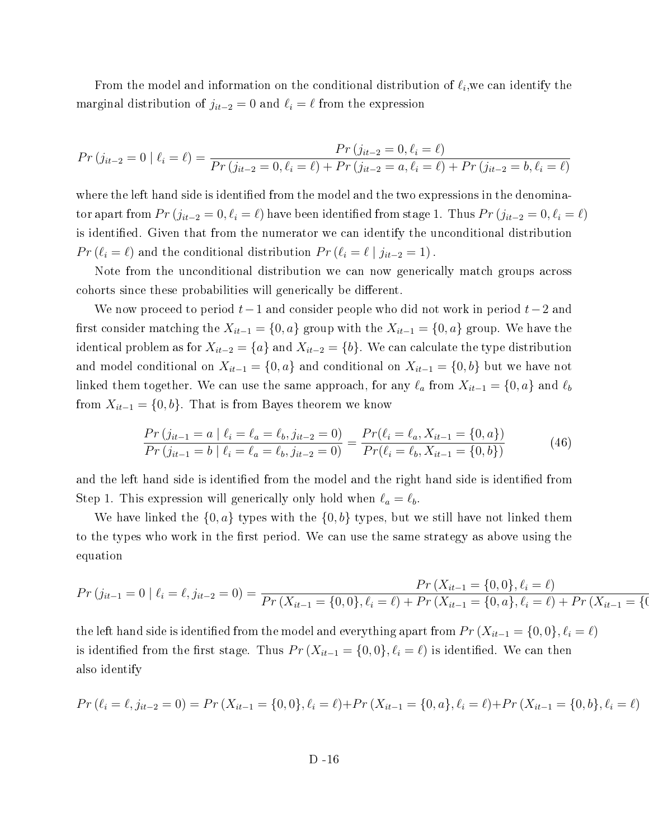From the model and information on the conditional distribution of  $\ell_i$ , we can identify the marginal distribution of  $j_{it-2} = 0$  and  $\ell_i = \ell$  from the expression

$$
Pr(j_{it-2} = 0 | \ell_i = \ell) = \frac{Pr(j_{it-2} = 0, \ell_i = \ell)}{Pr(j_{it-2} = 0, \ell_i = \ell) + Pr(j_{it-2} = a, \ell_i = \ell) + Pr(j_{it-2} = b, \ell_i = \ell)}
$$

where the left hand side is identified from the model and the two expressions in the denominator apart from  $Pr(j_{it-2} = 0, \ell_i = \ell)$  have been identified from stage 1. Thus  $Pr(j_{it-2} = 0, \ell_i = \ell)$ is identified. Given that from the numerator we can identify the unconditional distribution  $Pr(\ell_i = \ell)$  and the conditional distribution  $Pr(\ell_i = \ell \mid j_{it-2} = 1)$ .

Note from the unconditional distribution we can now generically match groups across cohorts since these probabilities will generically be different.

We now proceed to period  $t-1$  and consider people who did not work in period  $t-2$  and first consider matching the  $X_{it-1} = \{0, a\}$  group with the  $X_{it-1} = \{0, a\}$  group. We have the identical problem as for  $X_{it-2} = \{a\}$  and  $X_{it-2} = \{b\}$ . We can calculate the type distribution and model conditional on  $X_{it-1} = \{0, a\}$  and conditional on  $X_{it-1} = \{0, b\}$  but we have not linked them together. We can use the same approach, for any  $\ell_a$  from  $X_{it-1} = \{0, a\}$  and  $\ell_b$ from  $X_{it-1} = \{0, b\}$ . That is from Bayes theorem we know

$$
\frac{Pr(j_{it-1} = a \mid \ell_i = \ell_a = \ell_b, j_{it-2} = 0)}{Pr(j_{it-1} = b \mid \ell_i = \ell_a = \ell_b, j_{it-2} = 0)} = \frac{Pr(\ell_i = \ell_a, X_{it-1} = \{0, a\})}{Pr(\ell_i = \ell_b, X_{it-1} = \{0, b\})}
$$
(46)

and the left hand side is identified from the model and the right hand side is identified from Step 1. This expression will generically only hold when  $\ell_a = \ell_b$ .

We have linked the  $\{0, a\}$  types with the  $\{0, b\}$  types, but we still have not linked them to the types who work in the first period. We can use the same strategy as above using the equation

$$
Pr(j_{it-1} = 0 | \ell_i = \ell, j_{it-2} = 0) = \frac{Pr(X_{it-1} = \{0, 0\}, \ell_i = \ell)}{Pr(X_{it-1} = \{0, 0\}, \ell_i = \ell) + Pr(X_{it-1} = \{0, a\}, \ell_i = \ell) + Pr(X_{it-1} = \{0, 0\}, \ell_i = \ell)\}
$$

the left hand side is identified from the model and everything apart from  $Pr(X_{it-1} = \{0,0\}, \ell_i = \ell)$ is identified from the first stage. Thus  $Pr(X_{it-1} = \{0, 0\}, \ell_i = \ell)$  is identified. We can then also identify

$$
Pr(\ell_i = \ell, j_{it-2} = 0) = Pr(X_{it-1} = \{0, 0\}, \ell_i = \ell) + Pr(X_{it-1} = \{0, a\}, \ell_i = \ell) + Pr(X_{it-1} = \{0, b\}, \ell_i = \ell)
$$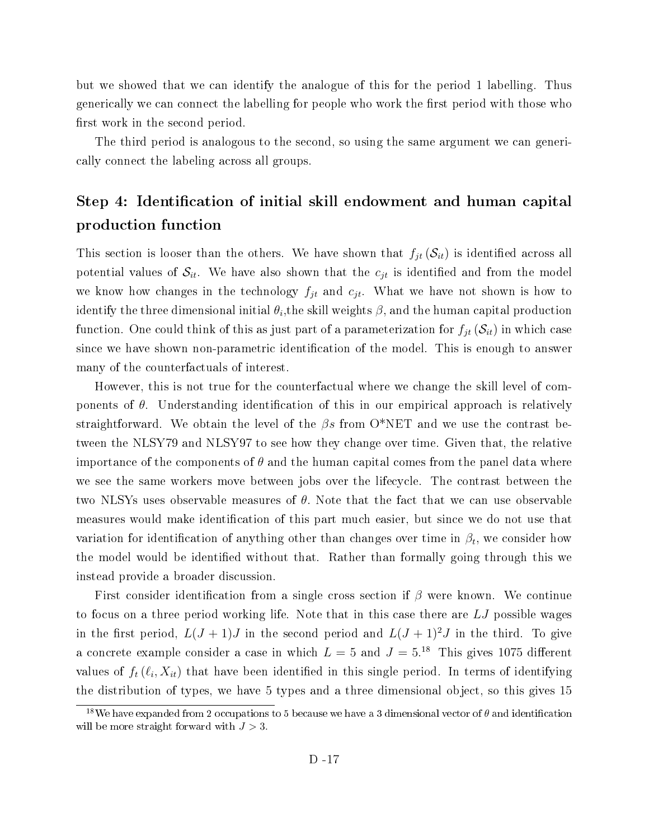but we showed that we can identify the analogue of this for the period 1 labelling. Thus generically we can connect the labelling for people who work the first period with those who first work in the second period.

The third period is analogous to the second, so using the same argument we can generically connect the labeling across all groups.

# Step 4: Identification of initial skill endowment and human capital production function

This section is looser than the others. We have shown that  $f_{jt}(\mathcal{S}_{it})$  is identified across all potential values of  $S_{it}$ . We have also shown that the  $c_{jt}$  is identified and from the model we know how changes in the technology  $f_{jt}$  and  $c_{jt}$ . What we have not shown is how to identify the three dimensional initial  $\theta_i,$ the skill weights  $\beta,$  and the human capital production function. One could think of this as just part of a parameterization for  $f_{jt}(\mathcal{S}_{it})$  in which case since we have shown non-parametric identification of the model. This is enough to answer many of the counterfactuals of interest.

However, this is not true for the counterfactual where we change the skill level of components of  $\theta$ . Understanding identification of this in our empirical approach is relatively straightforward. We obtain the level of the  $\beta s$  from O\*NET and we use the contrast between the NLSY79 and NLSY97 to see how they change over time. Given that, the relative importance of the components of  $\theta$  and the human capital comes from the panel data where we see the same workers move between jobs over the lifecycle. The contrast between the two NLSYs uses observable measures of  $\theta$ . Note that the fact that we can use observable measures would make identification of this part much easier, but since we do not use that variation for identification of anything other than changes over time in  $\beta_t$ , we consider how the model would be identified without that. Rather than formally going through this we instead provide a broader discussion.

First consider identification from a single cross section if  $\beta$  were known. We continue to focus on a three period working life. Note that in this case there are LJ possible wages in the first period,  $L(J + 1)J$  in the second period and  $L(J + 1)^2J$  in the third. To give a concrete example consider a case in which  $L = 5$  and  $J = 5^{18}$  This gives 1075 different values of  $f_t(\ell_i, X_{it})$  that have been identified in this single period. In terms of identifying the distribution of types, we have 5 types and a three dimensional object, so this gives 15

<sup>&</sup>lt;sup>18</sup>We have expanded from 2 occupations to 5 because we have a 3 dimensional vector of  $\theta$  and identification will be more straight forward with  $J > 3$ .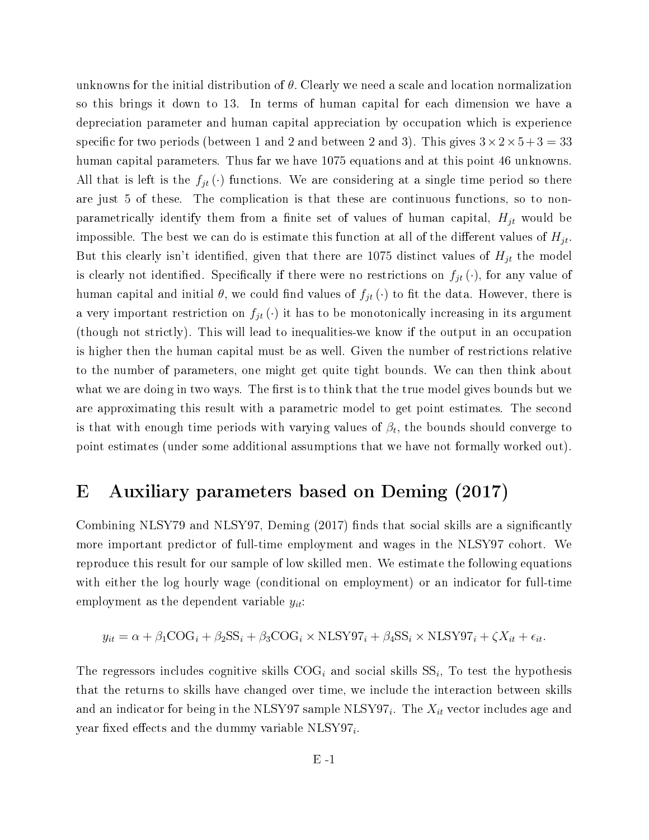unknowns for the initial distribution of  $\theta$ . Clearly we need a scale and location normalization so this brings it down to 13. In terms of human capital for each dimension we have a depreciation parameter and human capital appreciation by occupation which is experience specific for two periods (between 1 and 2 and between 2 and 3). This gives  $3 \times 2 \times 5 + 3 = 33$ human capital parameters. Thus far we have 1075 equations and at this point 46 unknowns. All that is left is the  $f_{jt}(\cdot)$  functions. We are considering at a single time period so there are just 5 of these. The complication is that these are continuous functions, so to nonparametrically identify them from a finite set of values of human capital,  $H_{jt}$  would be impossible. The best we can do is estimate this function at all of the different values of  $H_{jt}$ . But this clearly isn't identified, given that there are 1075 distinct values of  $H_{jt}$  the model is clearly not identified. Specifically if there were no restrictions on  $f_{jt}(\cdot)$ , for any value of human capital and initial  $\theta$ , we could find values of  $f_{jt}(\cdot)$  to fit the data. However, there is a very important restriction on  $f_{jt}(\cdot)$  it has to be monotonically increasing in its argument (though not strictly). This will lead to inequalities-we know if the output in an occupation is higher then the human capital must be as well. Given the number of restrictions relative to the number of parameters, one might get quite tight bounds. We can then think about what we are doing in two ways. The first is to think that the true model gives bounds but we are approximating this result with a parametric model to get point estimates. The second is that with enough time periods with varying values of  $\beta_t,$  the bounds should converge to point estimates (under some additional assumptions that we have not formally worked out).

# E Auxiliary parameters based on Deming (2017)

Combining NLSY79 and NLSY97, Deming (2017) finds that social skills are a significantly more important predictor of full-time employment and wages in the NLSY97 cohort. We reproduce this result for our sample of low skilled men. We estimate the following equations with either the log hourly wage (conditional on employment) or an indicator for full-time employment as the dependent variable  $y_{it}$ :

$$
y_{it} = \alpha + \beta_1 \text{COG}_i + \beta_2 \text{SS}_i + \beta_3 \text{COG}_i \times \text{NLSY97}_i + \beta_4 \text{SS}_i \times \text{NLSY97}_i + \zeta X_{it} + \epsilon_{it}.
$$

The regressors includes cognitive skills  $COG_i$  and social skills  $SS_i$ , To test the hypothesis that the returns to skills have changed over time, we include the interaction between skills and an indicator for being in the NLSY97 sample NLSY97 $_i$ . The  $X_{it}$  vector includes age and year fixed effects and the dummy variable  $NLSY97_i$ .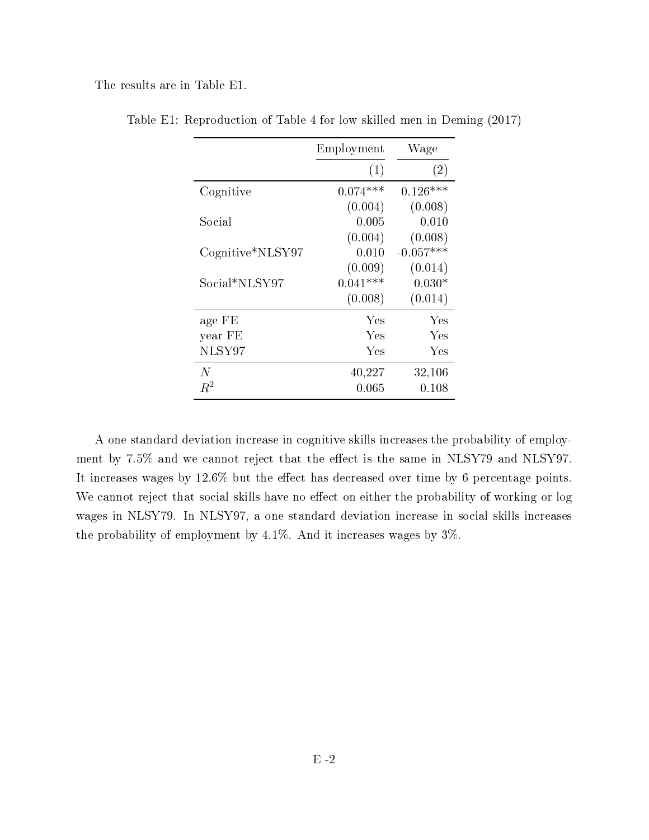The results are in Table E1.

|                  | Employment | Wage        |
|------------------|------------|-------------|
|                  | (1)        | (2)         |
| Cognitive        | $0.074***$ | $0.126***$  |
|                  | (0.004)    | (0.008)     |
| Social           | 0.005      | 0.010       |
|                  | (0.004)    | (0.008)     |
| Cognitive*NLSY97 | 0.010      | $-0.057***$ |
|                  | (0.009)    | (0.014)     |
| Social*NLSY97    | $0.041***$ | $0.030*$    |
|                  | (0.008)    | (0.014)     |
| age FE           | Yes        | Yes         |
| year FE          | Yes        | Yes         |
| NLSY97           | Yes        | Yes         |
| N                | 40,227     | 32,106      |
| $R^2$            | 0.065      | 0.108       |

Table E1: Reproduction of Table 4 for low skilled men in Deming (2017)

A one standard deviation increase in cognitive skills increases the probability of employment by 7.5% and we cannot reject that the effect is the same in NLSY79 and NLSY97. It increases wages by  $12.6\%$  but the effect has decreased over time by 6 percentage points. We cannot reject that social skills have no effect on either the probability of working or log wages in NLSY79. In NLSY97, a one standard deviation increase in social skills increases the probability of employment by 4.1%. And it increases wages by 3%.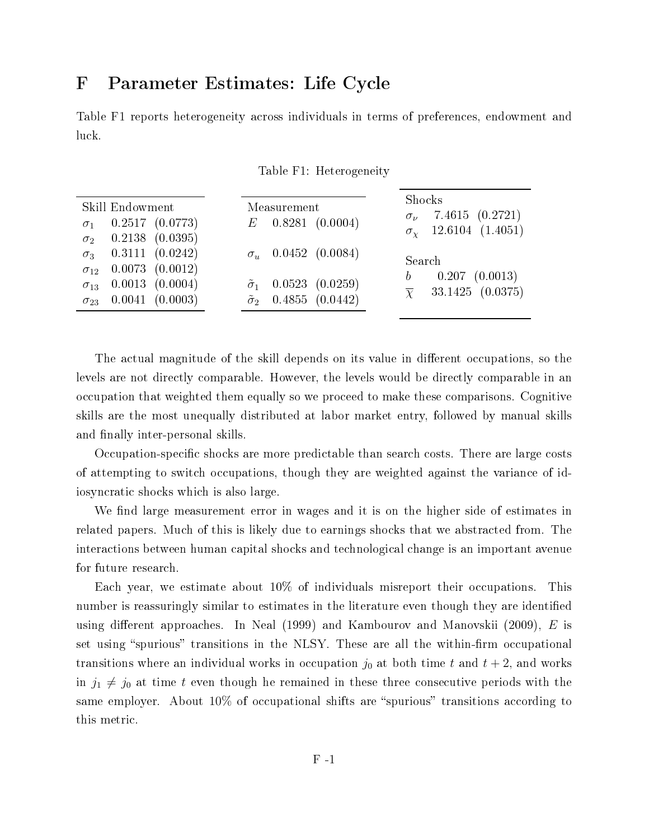## F Parameter Estimates: Life Cycle

Table F1 reports heterogeneity across individuals in terms of preferences, endowment and luck.

| Skill Endowment<br>$0.2517$ $(0.0773)$<br>$\sigma_1$<br>$0.2138$ $(0.0395)$<br>$\sigma_2$ | Measurement<br>$E$ 0.8281 (0.0004)                                       | Shocks<br>$\sigma_{\nu}$ 7.4615 (0.2721)<br>$\sigma_{\chi}$ 12.6104 (1.4051)  |
|-------------------------------------------------------------------------------------------|--------------------------------------------------------------------------|-------------------------------------------------------------------------------|
| $\sigma_3$ 0.3111 (0.0242)<br>$\sigma_{12}$ 0.0073 (0.0012)                               | $\sigma_u$ 0.0452 (0.0084)                                               | Search                                                                        |
| $\sigma_{13}$ 0.0013 (0.0004)<br>$\sigma_{23}$ 0.0041 (0.0003)                            | $\tilde{\sigma}_1$ 0.0523 (0.0259)<br>$\tilde{\sigma}_2$ 0.4855 (0.0442) | $0.207$ $(0.0013)$<br>$\mathfrak{b}$<br>33.1425 (0.0375)<br>$\overline{\chi}$ |

The actual magnitude of the skill depends on its value in different occupations, so the levels are not directly comparable. However, the levels would be directly comparable in an occupation that weighted them equally so we proceed to make these comparisons. Cognitive skills are the most unequally distributed at labor market entry, followed by manual skills and finally inter-personal skills.

Occupation-specific shocks are more predictable than search costs. There are large costs of attempting to switch occupations, though they are weighted against the variance of idiosyncratic shocks which is also large.

We find large measurement error in wages and it is on the higher side of estimates in related papers. Much of this is likely due to earnings shocks that we abstracted from. The interactions between human capital shocks and technological change is an important avenue for future research.

Each year, we estimate about 10% of individuals misreport their occupations. This number is reassuringly similar to estimates in the literature even though they are identified using different approaches. In Neal (1999) and Kambourov and Manovskii (2009),  $E$  is set using "spurious" transitions in the NLSY. These are all the within-firm occupational transitions where an individual works in occupation  $j_0$  at both time t and  $t + 2$ , and works in  $j_1 \neq j_0$  at time t even though he remained in these three consecutive periods with the same employer. About  $10\%$  of occupational shifts are "spurious" transitions according to this metric.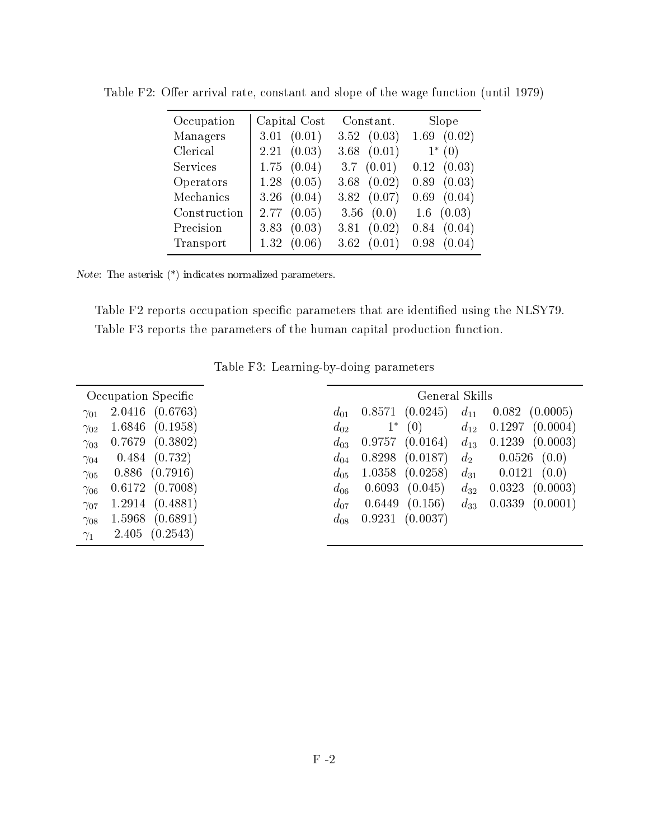| Occupation   | Capital Cost    | Constant.       | Slope           |
|--------------|-----------------|-----------------|-----------------|
| Managers     | 3.01 (0.01)     | 3.52(0.03)      | 1.69(0.02)      |
| Clerical     | 2.21(0.03)      | $3.68$ $(0.01)$ | $1^* (0)$       |
| Services     | $1.75$ $(0.04)$ | 3.7 $(0.01)$    | 0.12(0.03)      |
| Operators    | $1.28$ $(0.05)$ | 3.68 $(0.02)$   | $0.89$ $(0.03)$ |
| Mechanics    | 3.26 $(0.04)$   | 3.82(0.07)      | $0.69$ $(0.04)$ |
| Construction | 2.77(0.05)      | 3.56 $(0.0)$    | $1.6$ $(0.03)$  |
| Precision    | 3.83(0.03)      | 3.81 $(0.02)$   | 0.84(0.04)      |
| Transport    | 1.32(0.06)      | 3.62(0.01)      | $0.98$ $(0.04)$ |

Table F2: Offer arrival rate, constant and slope of the wage function (until 1979)

Note: The asterisk (\*) indicates normalized parameters.

Table F2 reports occupation specific parameters that are identified using the NLSY79. Table F3 reports the parameters of the human capital production function.

|               | Occupation Specific |          |        | General Skills |          |                    |
|---------------|---------------------|----------|--------|----------------|----------|--------------------|
| $\gamma_{01}$ | (0.6763)<br>2.0416  | $d_{01}$ | 0.8571 | (0.0245)       | $d_{11}$ | 0.082<br>(0.0005)  |
| $\gamma_{02}$ | (0.1958)<br>1.6846  | $d_{02}$ | $1^*$  | (0)            | $d_{12}$ | 0.1297<br>(0.0004) |
| $\gamma_{03}$ | (0.3802)<br>0.7679  | $d_{03}$ | 0.9757 | (0.0164)       | $d_{13}$ | 0.1239<br>(0.0003) |
| $\gamma_{04}$ | 0.484<br>(0.732)    | $d_{04}$ | 0.8298 | (0.0187)       | $d_2$    | 0.0526<br>(0.0)    |
| $\gamma_{05}$ | (0.7916)<br>0.886   | $d_{05}$ | 1.0358 | (0.0258)       | $d_{31}$ | (0.0)<br>0.0121    |
| $\gamma_{06}$ | 0.6172<br>(0.7008)  | $d_{06}$ | 0.6093 | (0.045)        | $d_{32}$ | 0.0323<br>(0.0003) |
| $\gamma_{07}$ | (0.4881)<br>1.2914  | $d_{07}$ | 0.6449 | (0.156)        | $d_{33}$ | 0.0339<br>(0.0001) |
| $\gamma_{08}$ | (0.6891)<br>1.5968  | $d_{08}$ | 0.9231 | (0.0037)       |          |                    |
| $\gamma_1$    | (0.2543)<br>2.405   |          |        |                |          |                    |

Table F3: Learning-by-doing parameters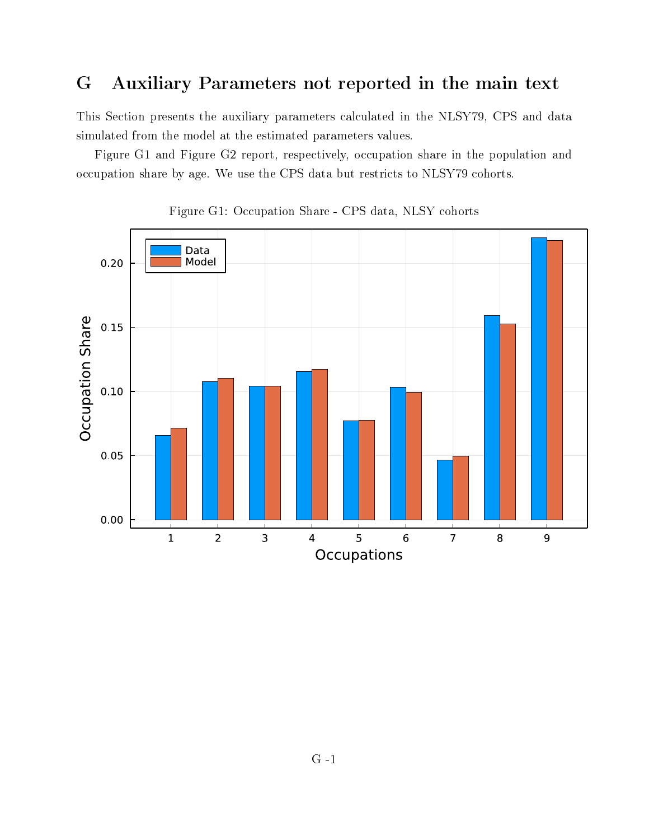## G Auxiliary Parameters not reported in the main text

This Section presents the auxiliary parameters calculated in the NLSY79, CPS and data simulated from the model at the estimated parameters values.

Figure G1 and Figure G2 report, respectively, occupation share in the population and occupation share by age. We use the CPS data but restricts to NLSY79 cohorts.



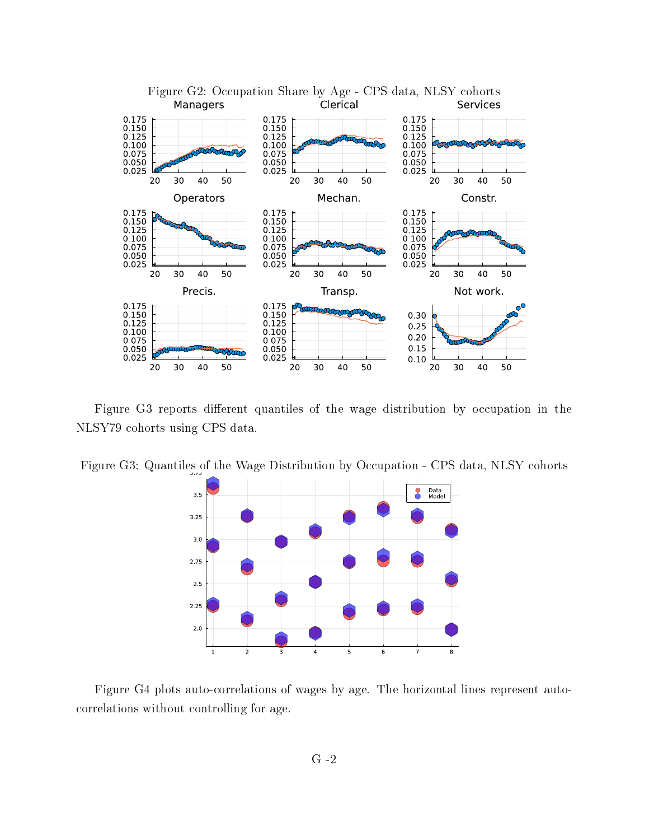

Figure G3 reports different quantiles of the wage distribution by occupation in the NLSY79 cohorts using CPS data.



Figure G3: Quantiles of the Wage Distribution by Occupation - CPS data, NLSY cohorts

Figure G4 plots auto-correlations of wages by age. The horizontal lines represent autocorrelations without controlling for age.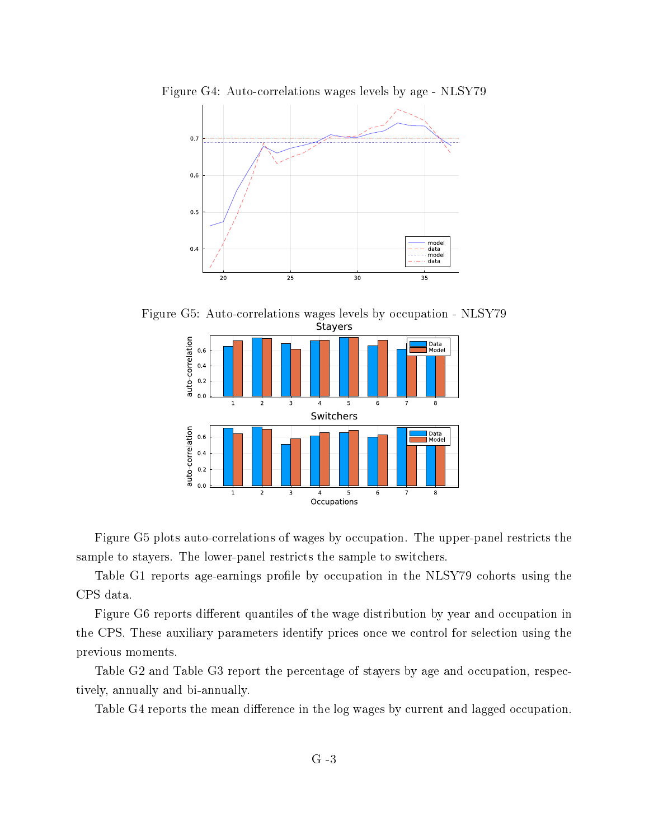

Figure G5: Auto-correlations wages levels by occupation - NLSY79



Figure G5 plots auto-correlations of wages by occupation. The upper-panel restricts the sample to stayers. The lower-panel restricts the sample to switchers.

Table G1 reports age-earnings profile by occupation in the NLSY79 cohorts using the CPS data.

Figure G6 reports different quantiles of the wage distribution by year and occupation in the CPS. These auxiliary parameters identify prices once we control for selection using the previous moments.

Table G2 and Table G3 report the percentage of stayers by age and occupation, respectively, annually and bi-annually.

Table G4 reports the mean difference in the log wages by current and lagged occupation.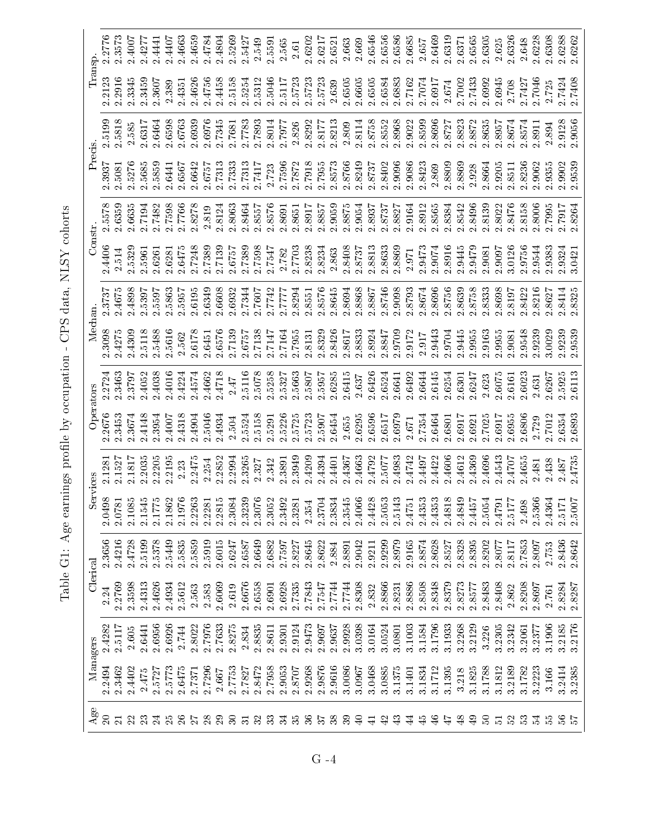|                         |        |          |        | Clerical | Services |        |           |        | Mechan. |        |        | Constr. | Precis. |        | Transp. |        |  |
|-------------------------|--------|----------|--------|----------|----------|--------|-----------|--------|---------|--------|--------|---------|---------|--------|---------|--------|--|
| $\rm{Age}$              |        | Managers |        |          |          |        | Operators |        |         |        |        |         |         |        |         |        |  |
|                         | 2.2494 | 2.4282   | 2.24   | 2.3656   | 2.0498   | 2.1281 | .2676     | 2.2724 | 2.3098  | 2.3737 | 2.4406 | 2.5578  | 2.3937  | 2.5199 | 2.2123  | 2.2776 |  |
| $\overline{\mathbf{z}}$ | 2.3462 | 2.5117   | 2.2769 | 2.4216   | 2.0781   | 2.1527 | 2.3453    | 2.3463 | 2.4275  | 2.4675 | 2.514  | 2.6359  | 2.5081  | 2.5818 | 2.2916  | 2.3573 |  |
| $\mathbf{z}$            | 2.4402 | 2.605    | 2.3598 | 2.4728   | 2.1085   | 2.1817 | 2.3674    | 2.3797 | 2.4309  | 2.4898 | 2.5329 | 2.6635  | 2.5276  | 2.585  | 2.3345  | 2.4007 |  |
| 23                      | 2.475  | 2.6441   | 2.4313 | 2.5199   | 2.1545   | 2.2035 | 2.4148    | 2.4052 | 2.5118  | 2.5397 | 2.5961 | 2.7194  | 2.5685  | 2.6317 | 2.3459  | 2.4277 |  |
| $\overline{24}$         | 2.5727 | 2.6956   | 2.4626 | 2.5378   | 2.1775   | 2.2205 | 2.3954    | 2.4038 | 2.5488  | 2.5597 | 2.6261 | 2.7482  | 2.5859  | 2.6464 | 2.3607  | 2.4441 |  |
| 25                      | 2.5773 | 2.6926   | 2.4934 | 2.5449   | 2.1862   | 2.2195 | 2.4007    | 2.4016 | 2.5616  | 2.5863 | 2.6281 | 2.7598  | 2.6441  | 2.6598 | 2.389   | 2.4407 |  |
| $\delta$                | 2.6475 | 2.744    | 2.5612 | 2.5835   | 2.1976   | 2.23   | 2.4318    | 2.4224 | 2.562   | 2.5957 | 2.6475 | 2.7766  | 2.6567  | 2.6763 | 2.4351  | 2.4663 |  |
|                         | 2.7371 | 2.8022   | 2.563  | 2.5859   | 2.2263   | 2.2475 | 2.4904    | 2.4574 | 2.6178  | 2.6195 | 1.7248 | 2.8278  | 2.6642  | 2.6939 | 2.4626  | 2.4659 |  |
| $\infty$                | 2.7296 | 2.7976   | 2.583  | 2.5919   | 2.2281   | 2.254  | 2.5046    | 2.4662 | 2.6451  | 2.6349 | 2.7389 | 2.819   | 2.6757  | 2.6976 | 2.4756  | 2.4784 |  |
| 29                      | 2.667  | 2.7633   | 2.6069 | 2.6015   | 2.2815   | 2.2852 | 2.4934    | 2.4718 | 2.6576  | 2.6608 | 2.7139 | 2.8124  | 2.7313  | 2.7345 | 2.4458  | 2.4804 |  |
| $\mathbb{S}$            | 2.7753 | 2.8275   | 2.619  | 2.6247   | 2.3084   | 2.2994 | 2.504     | 2.47   | 2.7139  | 2.6932 | 2.6757 | 2.8063  | 2.7333  | 2.7681 | 2.5158  | 2.5269 |  |
| $\overline{5}$          | 2.7827 | 2.834    | 2.6676 | 2.6587   | 2.3239   | 2.3265 | 2.5524    | 2.5116 | 2.6757  | 2.7344 | 2.7389 | 2.8464  | 2.7313  | 2.7783 | 2.5254  | 2.5427 |  |
| $\mathfrak{D}$          | 2.8472 | 2.8835   | 2.6558 | 2.6649   | 2.3076   | 2.327  | 2.5158    | 2.5078 | 2.7138  | 2.7607 | 2.7598 | 2.8557  | 2.7417  | 2.7893 | 2.5312  | 2.549  |  |
| $\mathfrak{B}$          | 2.7958 | 2.8611   | 2.6901 | 2.6882   | 2.3052   | 2.342  | 2.5291    | 2.5258 | 2.7147  | 2.7742 | 2.7547 | 2.8576  | 2.723   | 2.8014 | 2.5046  | 2.5591 |  |
| $\mathfrak{L}$          | 2.9053 | 2.9301   | 2.6928 | 2.7597   | 2.3492   | 2.3891 | 2.5226    | 2.5327 | 2.7164  | 2.7777 | 2.782  | 2.8691  | 2.7596  | 2.7977 | 2.5117  | 2.565  |  |
| 33                      | 2.8707 | 2.9124   | 2.7335 | 2.8227   | 2.3281   | 2.3949 | 2.5725    | 2.5663 | 2.7955  | 2.8294 | 2.7703 | 2.8651  | 2.7872  | 2.826  | 2.5723  | 2.61   |  |
| $\%$                    | 2.9268 | 2.9473   | 2.7843 | 2.8645   | 2.354    | 2.4209 | 2.5723    | 2.5807 | 2.8131  | 2.8551 | 2.8238 | 2.8917  | 2.7918  | 2.8292 | 2.5723  | 2.6202 |  |
| $\mathcal{L}$           | 2.9876 | 2.9697   | 2.7547 | 2.8622   | 2.3704   | 2.4394 | 2.5907    | 2.5957 | 2.8329  | 2.8576 | 2.8234 | 2.8857  | 2.7955  | 2.8177 | 2.5723  | 2.6217 |  |
| 38                      | 2.9616 | 2.9637   | 2.7744 | 2.884    | 2.3834   | 2.4401 | 2.6454    | 2.6285 | 2.8426  | 2.8645 | 2.863  | 2.9059  | 2.8573  | 2.8213 | 2.639   | 2.6521 |  |
| 39                      | 3.0086 | 2.9928   | 2.7744 | 2.8891   | 2.3545   | 2.4367 | 2.655     | 2.6415 | 2.8617  | 2.8694 | 2.8408 | 2.8875  | 2.8766  | 2.809  | 2.6505  | 2.663  |  |
| Ş                       | 3.0967 | 3.0398   | 2.8308 | 2.9042   | 2.4066   | 2.4663 | 2.6295    | 2.637  | 2.8833  | 2.8868 | 2.8737 | 2.9054  | 2.8249  | 2.8114 | 2.6605  | 2.669  |  |
| ਚ                       | 3.0468 | 3.0164   | 2.832  | 2.9211   | 2.4428   | 2.4792 | 2.6596    | 2.6426 | 2.8924  | 2.8867 | 2.8813 | 2.8937  | 2.8737  | 2.8758 | 2.6505  | 2.6546 |  |
| ञ्                      | 3.0885 | 3.0524   | 2.8866 | 2.9299   | 2.5053   | 2.5077 | 2.6517    | 2.6524 | 2.8847  | 2.8746 | 2.8633 | 2.8737  | 2.8402  | 2.8552 | 2.6584  | 2.6556 |  |
|                         | 3.1375 | 3.0801   | 2.8231 | 2.8979   | 2.5143   | 2.4983 | 2.6979    | 2.6641 | 2.9709  | 2.9098 | 2.8869 | 2.8827  | 2.9096  | 2.8968 | 2.6883  | 2.6586 |  |
| 4                       | 3.1401 | 3.1003   | 2.8886 | 2.9165   | 2.4751   | 2.4742 | 2.671     | 2.6492 | 2.9172  | 2.8793 | 2.971  | 2.9164  | 2.9086  | 2.9022 | 2.7162  | 2.6685 |  |
| 凫                       | 3.1834 | 3.1584   | 2.8508 | 2.8874   | 2.4353   | 2.4497 | 2.7354    | 2.6644 | 2.917   | 2.8674 | 2.9473 | 2.8912  | 2.8423  | 2.8599 | 2.7074  | 2.657  |  |
| $\frac{6}{4}$           | 3.1712 | 3.1796   | 2.8348 | 2.8628   | 2.4353   | 2.4422 | 2.6464    | 2.6145 | 2.9443  | 2.8696 | 2.9074 | 2.8565  | 2.869   | 2.8696 | 2.6917  | 2.6469 |  |
| 47                      | 3.1395 | 3.1933   | 2.8379 | 2.8527   | 2.4818   | 2.4606 | 2.6801    | 2.6254 | 2.9704  | 2.8756 | 2.8916 | 2.8384  | 2.8809  | 2.8727 | 2.674   | 2.6319 |  |
| $\frac{8}{3}$           | 3.218  | 3.2268   | 2.8273 | 2.8328   | 2.4849   | 2.4612 | 2.6917    | 2.6301 | 2.9445  | 2.8639 | 2.9445 | 2.8542  | 2.8869  | 2.8823 | 2.7002  | 2.6371 |  |
| $\overline{6}$          | 3.1825 | 3.2129   | 2.8577 | 2.8395   | 2.4457   | 2.4369 | 2.6921    | 2.6247 | 2.9955  | 2.8758 | 2.9479 | 2.8496  | 2.928   | 2.8872 | 2.7433  | 2.6565 |  |
| $50^{\circ}$            | 3.1788 | 3.226    | 2.8483 | 2.8202   | 2.5054   | 2.4696 | 2.7025    | 2.623  | 2.9163  | 2.8333 | 2.9081 | 2.8139  | 2.8664  | 2.8635 | 2.6992  | 2.6305 |  |
| $\overline{5}$          | 3.1812 | 3.2305   | 2.8408 | 2.8077   | 2.4791   | 2.4543 | 2.6917    | 2.6075 | 2.9955  | 2.8698 | 2.9097 | 2.8022  | 2.9205  | 2.8957 | 2.6945  | 2.625  |  |
| 52                      | 3.2189 | 3.2342   | 2.862  | 2.8117   | 2.5177   | 2.4707 | 2.6955    | 2.6161 | 2.9081  | 2.8197 | 3.0126 | 2.8476  | 2.8511  | 2.8674 | 2.708   | 2.6326 |  |
| 53                      | 3.1782 | 3.2061   | 2.8208 | 2.7853   | 2.498    | 2.4655 | 2.6806    | 2.6023 | 2.9548  | 2.8422 | 2.9756 | 2.8158  | 2.8236  | 2.8574 | 2.7427  | 2.648  |  |
| $\mathbb{Z}$            | 3.2223 | 3.2377   | 2.8697 | 2.8097   | 2.5366   | 2.481  | 2.729     | 2.631  | 2.9239  | 2.8216 | 2.9544 | 2.8006  | 2.9062  | 2.8911 | 2.7046  | 2.6228 |  |
| 13                      | 3.166  | 3.1906   | 2.761  | 2.753    | 2.4364   | 2.438  | 2.7012    | 2.6267 | 3.0029  | 2.8627 | 2.9383 | 2.7995  | 2.9355  | 2.894  | 2.725   | 2.6308 |  |
| 56                      | 3.2414 | 3.2185   | 2.8284 | 2.8436   | 2.5171   | 2.487  | 2.6354    | 2.5925 | 2.9239  | 2.8414 | 2.9324 | 2.7917  | 2.9902  | 2.9128 | 2.7424  | 2.6288 |  |
| P.Z                     | 3.2385 | 3.2176   | 2.8287 | 2.8642   | 2.5007   | 2.4735 | 2.6893    | 2.6113 | 2.9539  | 2.8325 | 3.0421 | 2.8264  | 2.9533  | 2.9056 | 2.7408  | 2.6262 |  |

3.2385

Table G1: Age earnings profile by occupation - CPS data, NLSY cohorts Table G1: Age earnings profile by occupation - CPS data, NLSY cohorts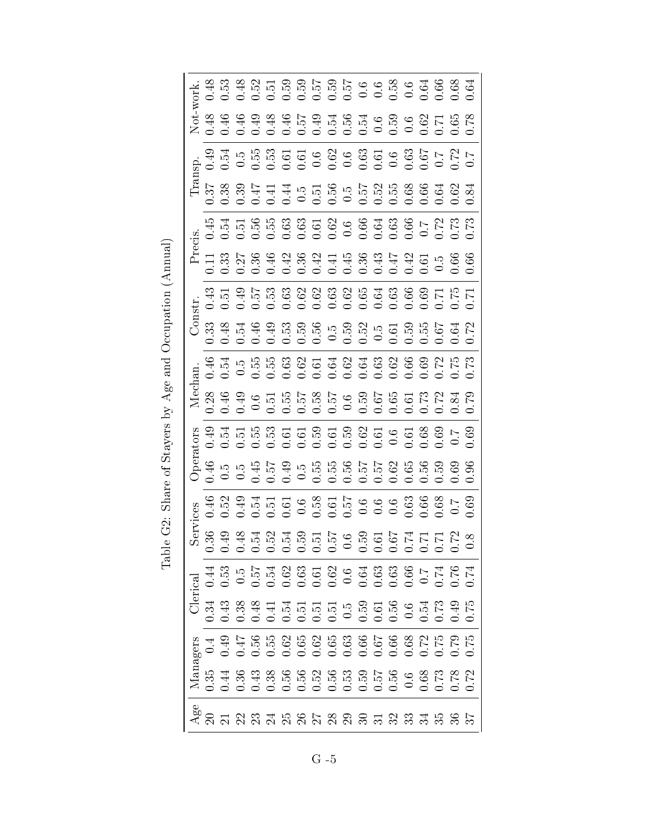|                 |      | 4 3 3 4 5 5 6 6 5 6 5 6 6 6 6 6 6 6 6 6 6<br>4 6 5 4 5 5 6 6 6 6 6 6 6 6 6 6 6 6 6 6                                                                                                                                                                                                                                                                                                                                                                                |                            |  |  |  |  |  |  |  |
|-----------------|------|---------------------------------------------------------------------------------------------------------------------------------------------------------------------------------------------------------------------------------------------------------------------------------------------------------------------------------------------------------------------------------------------------------------------------------------------------------------------|----------------------------|--|--|--|--|--|--|--|
|                 |      | $\begin{array}{cccccccccccccc} \mathcal{A} & \mathcal{G} & \mathcal{G} & \mathcal{G} & \mathcal{G} & \mathcal{G} & \mathcal{G} & \mathcal{G} & \mathcal{G} & \mathcal{G} & \mathcal{G} & \mathcal{G} & \mathcal{G} & \mathcal{G} & \mathcal{G} & \mathcal{G} & \mathcal{G} & \mathcal{G} & \mathcal{G} & \mathcal{G} & \mathcal{G} & \mathcal{G} & \mathcal{G} & \mathcal{G} & \mathcal{G} & \mathcal{G} & \mathcal{G} & \mathcal{G} & \mathcal{G} & \mathcal{G} &$ |                            |  |  |  |  |  |  |  |
|                 |      | 9 3 4 5 6 5 6 5 6 6 6 6 6 6 6 6 6 6 6 7 7<br>9 4 5 6 6 6 6 6 6 6 6 6 6 6 6 6 6 6 6 7 7                                                                                                                                                                                                                                                                                                                                                                              |                            |  |  |  |  |  |  |  |
|                 |      | n<br>En 2000 superiore de la 2000<br>En 2000 superiore de la 2000 superiore de la 2000 superiore de la 2000                                                                                                                                                                                                                                                                                                                                                         |                            |  |  |  |  |  |  |  |
|                 |      |                                                                                                                                                                                                                                                                                                                                                                                                                                                                     |                            |  |  |  |  |  |  |  |
|                 |      |                                                                                                                                                                                                                                                                                                                                                                                                                                                                     |                            |  |  |  |  |  |  |  |
|                 |      | 3 5 3 5 6 6 8 9 9 9 9 9 9 9 9 9 9 0 0 1 1<br>3 5 6 6 6 6 6 6 6 6 6 6 6 6 6 6 6 6 6 6                                                                                                                                                                                                                                                                                                                                                                                |                            |  |  |  |  |  |  |  |
|                 |      |                                                                                                                                                                                                                                                                                                                                                                                                                                                                     |                            |  |  |  |  |  |  |  |
|                 |      |                                                                                                                                                                                                                                                                                                                                                                                                                                                                     |                            |  |  |  |  |  |  |  |
| $\mathbb{N}$ e  |      |                                                                                                                                                                                                                                                                                                                                                                                                                                                                     |                            |  |  |  |  |  |  |  |
|                 |      |                                                                                                                                                                                                                                                                                                                                                                                                                                                                     |                            |  |  |  |  |  |  |  |
|                 |      |                                                                                                                                                                                                                                                                                                                                                                                                                                                                     |                            |  |  |  |  |  |  |  |
|                 |      |                                                                                                                                                                                                                                                                                                                                                                                                                                                                     |                            |  |  |  |  |  |  |  |
|                 | 0.36 | 0.49                                                                                                                                                                                                                                                                                                                                                                                                                                                                | 33<br>33433555665555555666 |  |  |  |  |  |  |  |
| $\rm Cl$ erical | 0.44 | 0.53                                                                                                                                                                                                                                                                                                                                                                                                                                                                |                            |  |  |  |  |  |  |  |
|                 | 0.34 |                                                                                                                                                                                                                                                                                                                                                                                                                                                                     |                            |  |  |  |  |  |  |  |
|                 | 0.4  | 0.49                                                                                                                                                                                                                                                                                                                                                                                                                                                                |                            |  |  |  |  |  |  |  |
| Managers        |      |                                                                                                                                                                                                                                                                                                                                                                                                                                                                     |                            |  |  |  |  |  |  |  |
| Age             |      |                                                                                                                                                                                                                                                                                                                                                                                                                                                                     |                            |  |  |  |  |  |  |  |

Table G2: Share of Stayers by Age and Occupation (Annual) Table G2: Share of Stayers by Age and Occupation (Annual)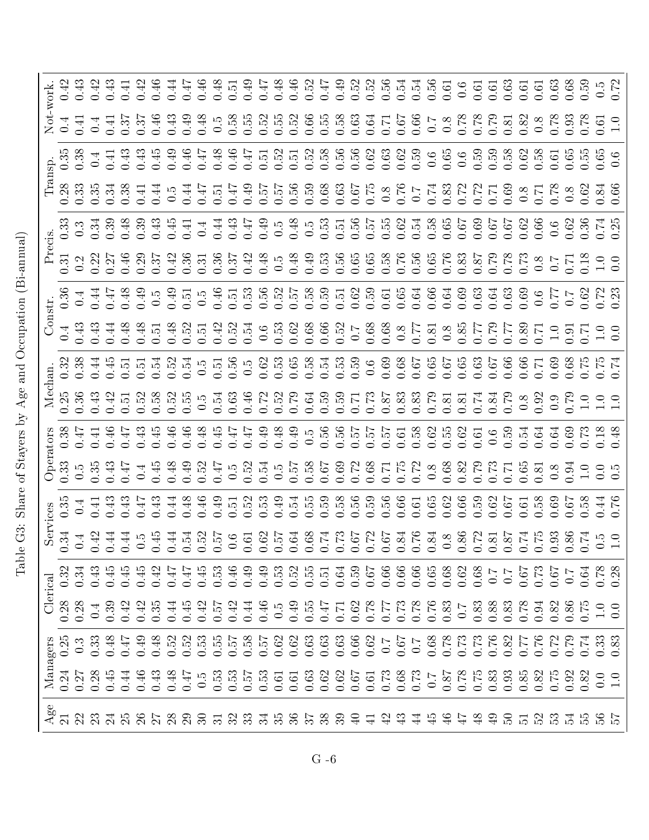Table G3: Share of Stayers by Age and Occupation (Bi-annual) Table G3: Share of Stayers by Age and Occupation (Bi-annual)

| ork                                                                                                                                                                                                                                                                                          |                      |                  |      |      |      |      |              |              |         |       |  |           |  |  |    |       |                                                                                  |     |                |      |          |     |                                                 |                |              |                                                                                                                                                                                                                                  |     |
|----------------------------------------------------------------------------------------------------------------------------------------------------------------------------------------------------------------------------------------------------------------------------------------------|----------------------|------------------|------|------|------|------|--------------|--------------|---------|-------|--|-----------|--|--|----|-------|----------------------------------------------------------------------------------|-----|----------------|------|----------|-----|-------------------------------------------------|----------------|--------------|----------------------------------------------------------------------------------------------------------------------------------------------------------------------------------------------------------------------------------|-----|
|                                                                                                                                                                                                                                                                                              |                      |                  |      |      |      |      |              |              |         |       |  |           |  |  |    |       |                                                                                  |     |                |      |          |     |                                                 |                |              |                                                                                                                                                                                                                                  |     |
|                                                                                                                                                                                                                                                                                              |                      |                  |      |      |      |      |              |              |         |       |  |           |  |  |    |       |                                                                                  |     |                |      |          |     |                                                 |                |              |                                                                                                                                                                                                                                  |     |
|                                                                                                                                                                                                                                                                                              |                      |                  |      |      |      |      |              |              |         |       |  |           |  |  |    |       |                                                                                  |     |                |      |          |     |                                                 |                |              |                                                                                                                                                                                                                                  |     |
|                                                                                                                                                                                                                                                                                              |                      |                  |      |      |      |      |              |              |         |       |  |           |  |  |    |       |                                                                                  |     |                |      |          |     |                                                 |                |              |                                                                                                                                                                                                                                  |     |
|                                                                                                                                                                                                                                                                                              |                      |                  |      |      |      |      |              |              |         |       |  |           |  |  |    |       |                                                                                  |     |                |      |          |     |                                                 |                |              | E 12 2 2 2 2 3 2 3 2 3 2 3 2 3 2 3 2 3 3 2 3 2 3 2 3 2 3 2 3 2 3 2 3 2 3 2 3 2 3 2 3 2 3 2 3 2 3 2 3 2 3 2 3 2<br>Product Sanda Canada Canada Canada Canada Canada Canada Canada Canada Canada Canada Canada Canada Canada Canad |     |
|                                                                                                                                                                                                                                                                                              |                      |                  |      |      |      |      |              |              |         |       |  |           |  |  |    |       |                                                                                  |     |                |      |          |     |                                                 |                |              |                                                                                                                                                                                                                                  |     |
|                                                                                                                                                                                                                                                                                              |                      |                  |      |      |      |      |              |              |         |       |  |           |  |  |    |       |                                                                                  |     |                |      |          |     |                                                 |                |              |                                                                                                                                                                                                                                  |     |
|                                                                                                                                                                                                                                                                                              |                      |                  |      |      |      |      |              |              |         |       |  |           |  |  |    |       |                                                                                  |     |                |      |          |     |                                                 |                |              |                                                                                                                                                                                                                                  |     |
|                                                                                                                                                                                                                                                                                              |                      |                  |      |      |      |      |              |              |         |       |  |           |  |  |    |       |                                                                                  |     |                |      |          |     |                                                 |                |              | e signal distribution distribution distribution distribution distribution distribution distribution distributi<br>En signal distribution distribution distribution distribution distribution distribution distribution distribut |     |
|                                                                                                                                                                                                                                                                                              |                      |                  |      |      |      |      |              |              |         |       |  |           |  |  |    |       |                                                                                  |     |                |      |          |     |                                                 |                |              |                                                                                                                                                                                                                                  |     |
|                                                                                                                                                                                                                                                                                              |                      |                  |      |      |      |      |              |              |         |       |  |           |  |  |    |       |                                                                                  |     |                |      |          |     |                                                 |                |              |                                                                                                                                                                                                                                  |     |
|                                                                                                                                                                                                                                                                                              |                      |                  |      |      |      |      |              |              |         |       |  |           |  |  |    |       |                                                                                  |     |                |      |          |     |                                                 |                |              |                                                                                                                                                                                                                                  |     |
|                                                                                                                                                                                                                                                                                              |                      |                  |      |      |      |      |              |              |         |       |  |           |  |  |    |       |                                                                                  |     |                |      |          |     |                                                 |                |              |                                                                                                                                                                                                                                  |     |
|                                                                                                                                                                                                                                                                                              | $0.3^{\circ}$        |                  | 0.45 | 0.45 | 0.45 | 0.42 | $\ddot{0}$ . | $\ddot{0}.4$ |         |       |  |           |  |  |    |       | 4 3 4 4 4 5 5 5 6 5 6 6 6 6 6 6 6 6 6<br>4 5 6 6 6 6 6 6 6 6 6 6 6 6 6 6 6 6 6 6 |     |                | 0.68 | $\sim 0$ | 0.7 | $\begin{array}{c} 67 \\ 67 \\ 0.67 \end{array}$ | 0.67           |              | $0.64$<br>$0.78$<br>$0.38$                                                                                                                                                                                                       |     |
| $\alpha$                                                                                                                                                                                                                                                                                     |                      | $0.28$<br>$0.28$ | 0.39 |      |      |      |              |              |         |       |  |           |  |  |    |       |                                                                                  |     |                |      |          |     |                                                 |                |              |                                                                                                                                                                                                                                  | 0.0 |
|                                                                                                                                                                                                                                                                                              |                      |                  |      |      |      |      |              |              |         |       |  |           |  |  |    |       |                                                                                  |     |                |      |          |     |                                                 |                |              |                                                                                                                                                                                                                                  |     |
| Nanagens<br>10.33<br>10.33<br>10.33<br>10.33<br>10.33<br>10.33<br>10.33<br>10.33<br>10.33<br>10.33<br>10.33<br>20.30<br>20.30<br>20.30<br>20.30<br>30.30<br>30.30<br>30.30<br>30.30<br>30.30<br>30.30<br>30.30<br>30.30<br>30.50<br>30.30<br>30.50<br>30.50<br>30.50<br>30.50<br>30.50<br>30 |                      |                  |      |      |      |      |              |              |         |       |  |           |  |  |    |       |                                                                                  |     |                |      |          |     |                                                 |                |              | 0.82                                                                                                                                                                                                                             |     |
|                                                                                                                                                                                                                                                                                              | $_{21}^{\text{Age}}$ | $\mathfrak{D}$   |      |      |      |      |              |              | 3585888 | $\Xi$ |  | 2.3758858 |  |  | 39 | 육 북 ┽ | $\mathfrak{S}$                                                                   | ੜ ਦ | $\frac{45}{4}$ |      | $\Theta$ | ន ឆ | $\mathbb{S}^2$                                  | $\mathbb{C}^2$ | $\mathbb{Z}$ |                                                                                                                                                                                                                                  |     |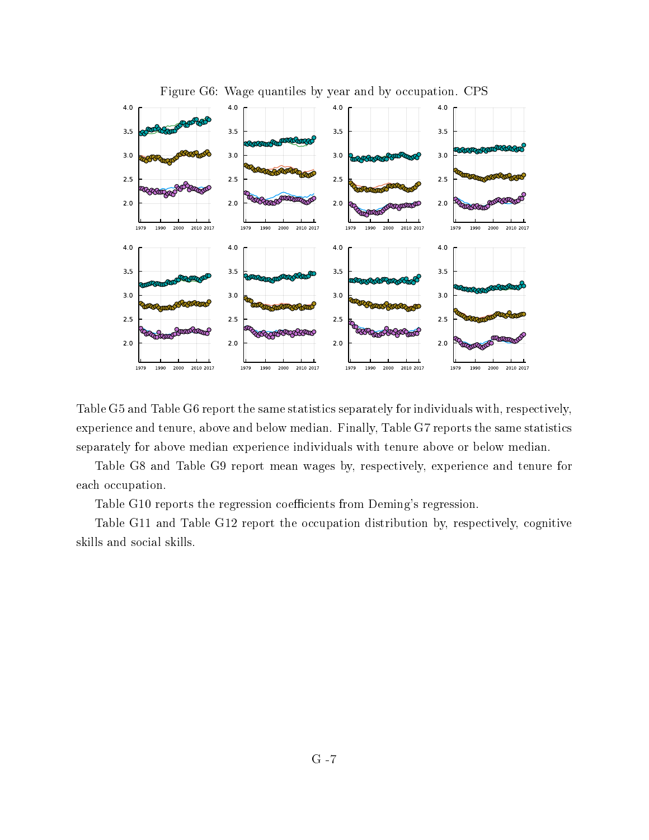

Table G5 and Table G6 report the same statistics separately for individuals with, respectively, experience and tenure, above and below median. Finally, Table G7 reports the same statistics separately for above median experience individuals with tenure above or below median.

Table G8 and Table G9 report mean wages by, respectively, experience and tenure for each occupation.

Table G10 reports the regression coefficients from Deming's regression.

Table G11 and Table G12 report the occupation distribution by, respectively, cognitive skills and social skills.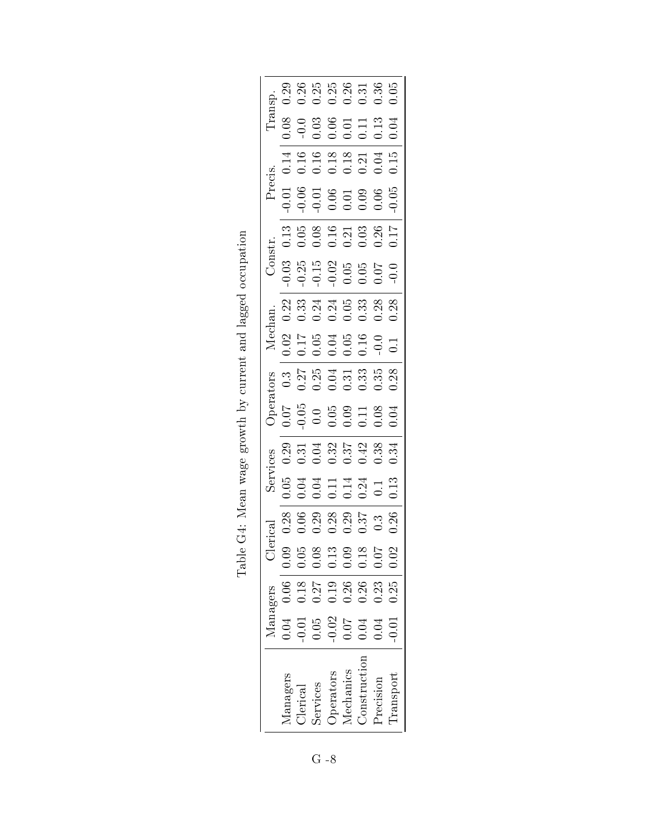|                         |                                                             | Managers            |      |      | SerV                                                                       | ces                                            | Opera                                                                       | <b>SJO</b>                                     |                                                              | Mechan.                   | Constr.  |                                                                                                                                                                                                                                                                                                               | Precis.                                                  |                                                                     |                                                                            |                                                             |
|-------------------------|-------------------------------------------------------------|---------------------|------|------|----------------------------------------------------------------------------|------------------------------------------------|-----------------------------------------------------------------------------|------------------------------------------------|--------------------------------------------------------------|---------------------------|----------|---------------------------------------------------------------------------------------------------------------------------------------------------------------------------------------------------------------------------------------------------------------------------------------------------------------|----------------------------------------------------------|---------------------------------------------------------------------|----------------------------------------------------------------------------|-------------------------------------------------------------|
|                         | 0.04                                                        | $0.06$   0.09       |      | 0.28 | 0.05                                                                       | 0.29                                           | $0.07\,$                                                                    | 0.3                                            |                                                              | 0.22                      | $0.03\,$ | 0.13                                                                                                                                                                                                                                                                                                          | $0.01\,$                                                 | 0.14                                                                | 0.08                                                                       | 0.29                                                        |
|                         | $0.01\,$                                                    | $0.18 +$            | 0.05 |      |                                                                            |                                                |                                                                             |                                                | $0.025$<br>$0.053$<br>$0.053$<br>$0.053$<br>$0.053$<br>$0.1$ |                           |          |                                                                                                                                                                                                                                                                                                               |                                                          |                                                                     |                                                                            |                                                             |
|                         | $\begin{array}{c} 0.05 \\ 0.02 \\ 0.07 \\ 0.04 \end{array}$ |                     | 0.08 |      | $\begin{array}{c} 0.71 \\ 0.011 \\ 0.011 \\ 0.011 \\ 0.011 \\ \end{array}$ | $0.31$<br>$0.32$<br>$0.37$<br>$0.43$<br>$0.38$ | $\begin{array}{c} 0.05 \\ 0.05 \\ 0.05 \\ 0.09 \\ 0.01 \\ 0.08 \end{array}$ | $0.25$<br>$0.35$<br>$0.35$<br>$0.35$<br>$0.35$ |                                                              | $33440338$<br>$0.2410338$ |          | $\begin{array}{c} 0.05 \\ 0.08 \\ 0.10 \\ 0.21 \\ 0.33 \\ 0.54 \\ 0.17 \\ 0.17 \\ 0.17 \\ 0.17 \\ 0.17 \\ 0.17 \\ 0.17 \\ 0.17 \\ 0.17 \\ 0.17 \\ 0.17 \\ 0.17 \\ 0.17 \\ 0.17 \\ 0.17 \\ 0.17 \\ 0.17 \\ 0.17 \\ 0.17 \\ 0.17 \\ 0.17 \\ 0.17 \\ 0.17 \\ 0.17 \\ 0.17 \\ 0.17 \\ 0.17 \\ 0.17 \\ 0.17 \\ 0.$ | $0.05$<br>$0.05$<br>$0.05$<br>$0.05$<br>$0.05$<br>$0.06$ | $\begin{array}{c} 0.16 \\ 0.18 \\ 0.13 \\ 0.21 \\ 0.04 \end{array}$ | $\begin{array}{c} 0.0 \\ 0.03 \\ 0.06 \\ 0.01 \\ 0.13 \\ 0.13 \end{array}$ | $0.388$<br>$0.388$<br>$0.338$<br>$0.36$<br>$0.36$<br>$0.36$ |
| <i>perators</i>         |                                                             | $\frac{0.27}{0.19}$ | 0.13 |      |                                                                            |                                                |                                                                             |                                                |                                                              |                           |          |                                                                                                                                                                                                                                                                                                               |                                                          |                                                                     |                                                                            |                                                             |
| <i><b>Aechanics</b></i> |                                                             | $0.26$ $\pm$        | 0.09 |      |                                                                            |                                                |                                                                             |                                                |                                                              |                           |          |                                                                                                                                                                                                                                                                                                               |                                                          |                                                                     |                                                                            |                                                             |
| Construction            |                                                             | 0.26                | 0.18 |      |                                                                            |                                                |                                                                             |                                                |                                                              |                           |          |                                                                                                                                                                                                                                                                                                               |                                                          |                                                                     |                                                                            |                                                             |
| recision                | 0.04                                                        | 0.23                | 0.07 |      |                                                                            |                                                |                                                                             |                                                |                                                              |                           |          |                                                                                                                                                                                                                                                                                                               |                                                          |                                                                     |                                                                            |                                                             |
| <b>Transport</b>        | $-0.01$                                                     | $0.25 \,   \, 0.02$ |      | 0.26 | 0.13                                                                       | 0.34                                           | 0.04                                                                        | 0.28                                           |                                                              | 0.28                      |          |                                                                                                                                                                                                                                                                                                               | 0.05                                                     | 0.15                                                                | 0.04                                                                       |                                                             |

Table G4: Mean wage growth by current and lagged occupation Table G4: Mean wage growth by current and lagged occupation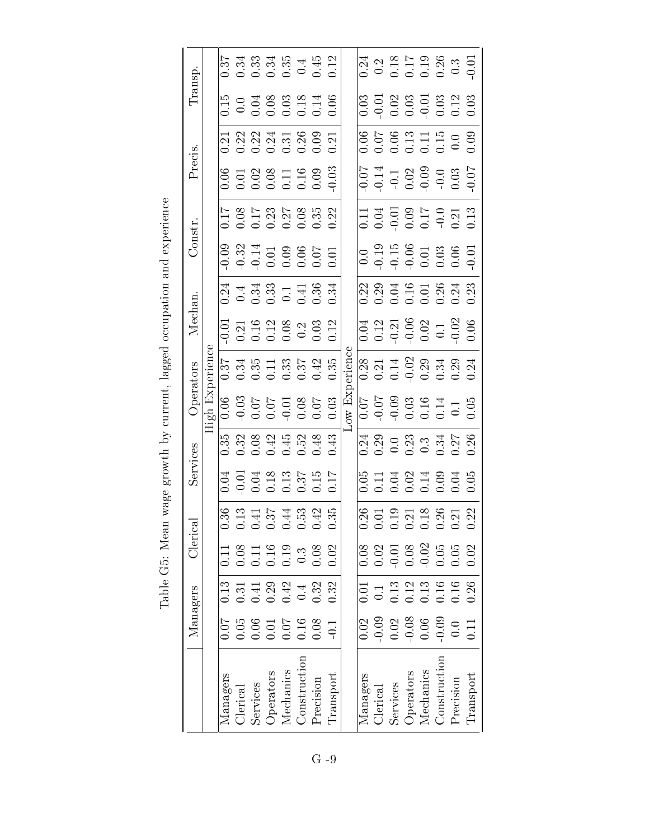| Transp.        |                       |          |                 |          |           |                                                                                                                                                                                                                                                                                                                                                  |                     |           |           |                                   |          | $0.24$<br>$0.2$ $0.5$<br>$0.5$<br>$0.5$<br>$0.5$<br>$0.5$<br>$0.5$<br>$0.5$<br>$0.5$<br>$0.5$                                                                                                                                                                                                                                                    |          |           |                                                  |                     |           |                 |
|----------------|-----------------------|----------|-----------------|----------|-----------|--------------------------------------------------------------------------------------------------------------------------------------------------------------------------------------------------------------------------------------------------------------------------------------------------------------------------------------------------|---------------------|-----------|-----------|-----------------------------------|----------|--------------------------------------------------------------------------------------------------------------------------------------------------------------------------------------------------------------------------------------------------------------------------------------------------------------------------------------------------|----------|-----------|--------------------------------------------------|---------------------|-----------|-----------------|
|                |                       |          |                 |          |           |                                                                                                                                                                                                                                                                                                                                                  |                     |           |           |                                   |          | $\begin{array}{cccc}\n 0.03 & 0.01 & 0.03 & 0.03 & 0.03 & 0.03 & 0.03 & 0.03 & 0.03 & 0.03 & 0.03 & 0.03 & 0.03 & 0.03 & 0.03 & 0.03 & 0.03 & 0.03 & 0.03 & 0.03 & 0.03 & 0.03 & 0.03 & 0.03 & 0.03 & 0.03 & 0.03 & 0.03 & 0.03 & 0.03 & 0.03 & 0.03 & 0.03 & 0.03 & 0.03 & 0$                                                                   |          |           |                                                  |                     |           |                 |
|                |                       |          |                 |          |           | 523345898<br>53245899                                                                                                                                                                                                                                                                                                                            |                     |           |           |                                   |          | $\begin{array}{c} 6.06 \\ 0.07 \\ 0.07 \\ 0.07 \\ 0.07 \\ 0.00 \\ 0.00 \\ 0.00 \\ \end{array}$                                                                                                                                                                                                                                                   |          |           |                                                  |                     |           |                 |
| Precis.        |                       |          |                 |          |           | $0.0188$<br>$0.0188$<br>$0.0198$<br>$0.0000$<br>$0.0000$<br>$0.0000$                                                                                                                                                                                                                                                                             |                     |           |           |                                   |          | $574 + 3899$<br>$-9.329$<br>$-9.039$<br>$-9.039$<br>$-9.039$<br>$-9.039$                                                                                                                                                                                                                                                                         |          |           |                                                  |                     |           |                 |
|                |                       |          |                 |          |           |                                                                                                                                                                                                                                                                                                                                                  |                     |           |           |                                   |          | $11.13$<br>$0.05$<br>$0.05$<br>$0.05$<br>$0.05$<br>$0.01$<br>$0.01$<br>$0.01$                                                                                                                                                                                                                                                                    |          |           |                                                  |                     |           |                 |
| Constr.        |                       |          |                 |          |           |                                                                                                                                                                                                                                                                                                                                                  |                     |           |           |                                   |          | $\begin{array}{c} 0.0 \\ -0.19 \\ -0.15 \\ -0.01 \\ -0.01 \\ -0.03 \\ -0.01 \\ -0.01 \\ -0.01 \\ -0.01 \\ -0.01 \\ -0.01 \\ -0.01 \\ -0.01 \\ -0.01 \\ -0.01 \\ -0.01 \\ -0.01 \\ -0.01 \\ -0.01 \\ -0.01 \\ -0.01 \\ -0.01 \\ -0.01 \\ -0.01 \\ -0.01 \\ -0.01 \\ -0.01 \\ -0.01 \\ -0.01 \\ -0.01 \\ -0.01 \\ -0.01 \\ -0.01 \\ -0.01 \\ -0.0$ |          |           |                                                  |                     |           |                 |
|                |                       |          |                 |          |           | $0.24$<br>$0.33$<br>$0.33$<br>$0.1$<br>$0.33$<br>$0.34$<br>$0.034$                                                                                                                                                                                                                                                                               |                     |           |           |                                   |          | 22<br>23<br>23 34 95 05 06 06<br>20 06 06 06 06                                                                                                                                                                                                                                                                                                  |          |           |                                                  |                     |           |                 |
| Mechan.        |                       |          |                 |          |           | $\begin{array}{l} 0.01 \\ 0.21 \\ 0.19 \\ 0.03 \\ 0.08 \\ 0.03 \\ 0.03 \\ 0.12 \\ \end{array}$                                                                                                                                                                                                                                                   |                     |           |           |                                   |          | $\begin{array}{c} 0.04 \\ 0.12 \\ 0.9 \\ 0.06 \\ \hline \end{array}$                                                                                                                                                                                                                                                                             |          |           |                                                  |                     |           |                 |
| Operators      |                       |          |                 |          |           | $\begin{array}{c} 57 \\ 0.34 \\ 0.66 \\ 0.67 \\ 0.67 \\ 0.67 \\ 0.67 \\ 0.67 \\ 0.67 \\ 0.67 \\ 0.67 \\ 0.67 \\ 0.67 \\ 0.67 \\ 0.67 \\ 0.67 \\ 0.67 \\ 0.67 \\ 0.67 \\ 0.67 \\ 0.67 \\ 0.67 \\ 0.67 \\ 0.67 \\ 0.67 \\ 0.67 \\ 0.67 \\ 0.67 \\ 0.67 \\ 0.67 \\ 0.67 \\ 0.67 \\ 0.67 \\ 0.67 \\ 0.67 \\ 0.67$                                    |                     |           |           | ernen                             |          | $0.28$<br>$0.21$ $1 + 2$ $0.29$ $1 + 2$ $0.29$ $0.24$ $0.24$ $0.24$                                                                                                                                                                                                                                                                              |          |           |                                                  |                     |           |                 |
|                | <b>High Experienc</b> |          |                 |          |           |                                                                                                                                                                                                                                                                                                                                                  |                     |           |           | $\overline{\text{ow } \text{Ex}}$ |          | $\begin{array}{l} 0.07 \\ -0.03 \\ 0.03 \\ 0.16 \\ 0.14 \\ 1.1 \\ 0.05 \\ \end{array}$                                                                                                                                                                                                                                                           |          |           |                                                  |                     |           |                 |
|                |                       |          |                 |          |           |                                                                                                                                                                                                                                                                                                                                                  |                     |           |           |                                   |          |                                                                                                                                                                                                                                                                                                                                                  |          |           |                                                  |                     |           |                 |
| Services       |                       |          |                 |          |           | $\begin{array}{c} 1.11 \\ -0.01 \\ -0.01 \\ -0.01 \\ -0.01 \\ -0.01 \\ -0.01 \\ -0.01 \\ -0.01 \\ -0.01 \\ -0.01 \\ -0.01 \\ -0.01 \\ -0.01 \\ -0.01 \\ -0.01 \\ -0.01 \\ -0.01 \\ -0.01 \\ -0.01 \\ -0.01 \\ -0.01 \\ -0.01 \\ -0.01 \\ -0.01 \\ -0.01 \\ -0.01 \\ -0.01 \\ -0.01 \\ -0.01 \\ -0.01 \\ -0.01 \\ -0.01 \\ -0.01 \\ -0.01 \\ -0.$ |                     |           |           |                                   |          | 05<br>0.11<br>0.02<br>0.03<br>0.05                                                                                                                                                                                                                                                                                                               |          |           |                                                  |                     |           |                 |
| <b>Merical</b> |                       |          |                 |          |           |                                                                                                                                                                                                                                                                                                                                                  |                     |           |           |                                   |          |                                                                                                                                                                                                                                                                                                                                                  |          |           |                                                  |                     |           |                 |
|                |                       | 0.11     |                 |          |           | $\begin{array}{c} 0.08 \\ 0.11 \\ 0.19 \\ 0.3 \\ 0.3 \end{array}$                                                                                                                                                                                                                                                                                |                     |           | 0.02      |                                   |          | $0.08$<br>$0.07$<br>$0.08$<br>$0.02$<br>$0.06$<br>$0.05$<br>$0.02$<br>$0.02$                                                                                                                                                                                                                                                                     |          |           |                                                  |                     |           |                 |
|                |                       | 0.13     |                 |          |           | $0.3748443$<br>$0.00000003$                                                                                                                                                                                                                                                                                                                      |                     |           | 0.32      |                                   | 0.01     |                                                                                                                                                                                                                                                                                                                                                  |          |           |                                                  |                     |           |                 |
| Managers       |                       | 1.07     |                 |          |           | 0.05<br>0.06<br>0.01<br>0.07<br>0.08                                                                                                                                                                                                                                                                                                             |                     |           | 0.1       |                                   | 0.02     |                                                                                                                                                                                                                                                                                                                                                  |          |           | $0.028$<br>$0.038$<br>$0.06$<br>$0.09$<br>$0.09$ |                     |           | 11 <sub>1</sub> |
|                |                       | Managers | <b>Clerical</b> | Services | Operators | Mechanics                                                                                                                                                                                                                                                                                                                                        | <b>Construction</b> | Precision | Transport |                                   | Managers | <b>Clerical</b>                                                                                                                                                                                                                                                                                                                                  | Services | Operators | Mechanics                                        | <b>Construction</b> | Precision | Transport       |

Table G5: Mean wage growth by current, lagged occupation and experience Table G5: Mean wage growth by current, lagged occupation and experience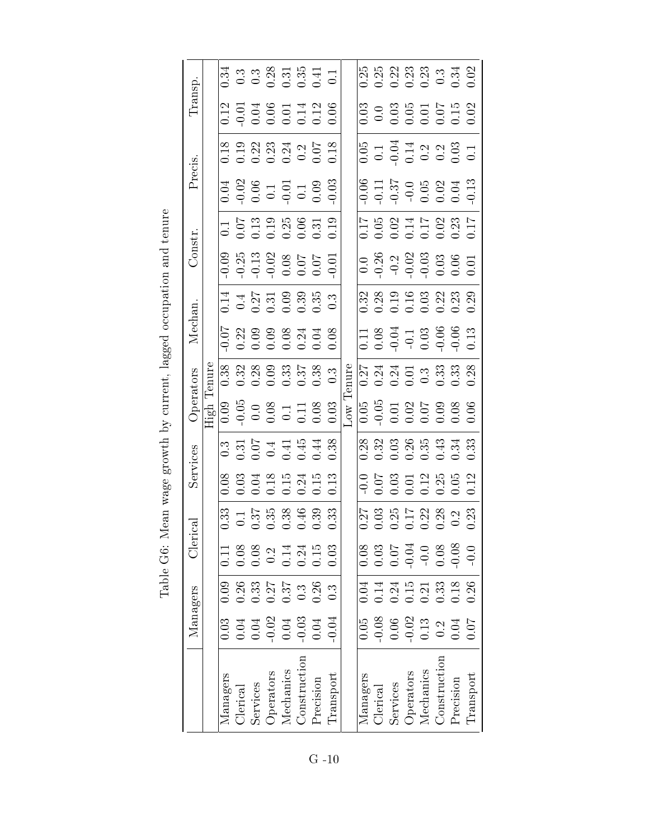|                 | Managers                                                                    |                                                   | :<br>Jer                                                                                                                                                                                                                                                                                                      | $_{\rm cal}$                                                                                                 | Services                                                                  |                                                                                                | Operators                                                             | Mechan                                                                                 |                                                                      | Constr.                                                           |                                                                                                                                                                                                                                                                                                               | Precis.                                                            |                                                                                            | Transp                                                                                                                                                                                                                                                                                                                                     |                                                                  |
|-----------------|-----------------------------------------------------------------------------|---------------------------------------------------|---------------------------------------------------------------------------------------------------------------------------------------------------------------------------------------------------------------------------------------------------------------------------------------------------------------|--------------------------------------------------------------------------------------------------------------|---------------------------------------------------------------------------|------------------------------------------------------------------------------------------------|-----------------------------------------------------------------------|----------------------------------------------------------------------------------------|----------------------------------------------------------------------|-------------------------------------------------------------------|---------------------------------------------------------------------------------------------------------------------------------------------------------------------------------------------------------------------------------------------------------------------------------------------------------------|--------------------------------------------------------------------|--------------------------------------------------------------------------------------------|--------------------------------------------------------------------------------------------------------------------------------------------------------------------------------------------------------------------------------------------------------------------------------------------------------------------------------------------|------------------------------------------------------------------|
|                 |                                                                             |                                                   |                                                                                                                                                                                                                                                                                                               |                                                                                                              |                                                                           | <b>High</b>                                                                                    | enure                                                                 |                                                                                        |                                                                      |                                                                   |                                                                                                                                                                                                                                                                                                               |                                                                    |                                                                                            |                                                                                                                                                                                                                                                                                                                                            |                                                                  |
| Managers        | 0.03                                                                        | 0.09                                              | 0.11                                                                                                                                                                                                                                                                                                          |                                                                                                              |                                                                           |                                                                                                |                                                                       |                                                                                        |                                                                      |                                                                   |                                                                                                                                                                                                                                                                                                               |                                                                    |                                                                                            |                                                                                                                                                                                                                                                                                                                                            |                                                                  |
| <b>Nerical</b>  | 0.04                                                                        |                                                   |                                                                                                                                                                                                                                                                                                               |                                                                                                              |                                                                           |                                                                                                |                                                                       |                                                                                        |                                                                      |                                                                   |                                                                                                                                                                                                                                                                                                               |                                                                    |                                                                                            |                                                                                                                                                                                                                                                                                                                                            |                                                                  |
| Services        |                                                                             |                                                   |                                                                                                                                                                                                                                                                                                               |                                                                                                              |                                                                           |                                                                                                |                                                                       |                                                                                        |                                                                      |                                                                   |                                                                                                                                                                                                                                                                                                               |                                                                    |                                                                                            |                                                                                                                                                                                                                                                                                                                                            |                                                                  |
| Operators       | $0.04$<br>$0.02$<br>$0.04$                                                  | $0.3377$<br>$0.377$<br>$0.37$<br>$0.36$<br>$0.36$ | $\begin{array}{c} 0.08 \\ 0.02 \\ 0.14 \\ 0.03 \\ 0.03 \\ 0.03 \\ 0.03 \\ 0.03 \\ 0.03 \\ 0.03 \\ 0.03 \\ 0.03 \\ 0.03 \\ 0.03 \\ 0.03 \\ 0.03 \\ 0.03 \\ 0.03 \\ 0.03 \\ 0.03 \\ 0.03 \\ 0.03 \\ 0.03 \\ 0.03 \\ 0.03 \\ 0.03 \\ 0.03 \\ 0.03 \\ 0.03 \\ 0.03 \\ 0.03 \\ 0.03 \\ 0.03 \\ 0.03 \\ 0.03 \\ 0.$ | $33 - 57$<br>$-27$<br>$-37$<br>$-38$<br>$-39$<br>$-39$<br>$-39$<br>$-39$<br>$-39$<br>$-39$<br>$-39$<br>$-39$ |                                                                           | $\begin{array}{c} 0.09 \\ -0.05 \\ 0.08 \\ 0.01 \\ 1.1 \\ 0.08 \\ 0.03 \\ 0.03 \\ \end{array}$ | 32<br>  32 32 9 32 52 62 92<br>  0 0 0 0 0 0 0 0 0                    | $5.22$<br>$0.23$<br>$0.0008$<br>$0.00000$<br>$0.0000$<br>$0.0000$                      | $11 + 27$<br>$0.57$<br>$0.53$<br>$0.53$<br>$0.53$<br>$0.53$<br>$0.5$ |                                                                   | $\begin{array}{c} 1.5 \\ 0.01 \\ 0.01 \\ 0.01 \\ 0.01 \\ 0.01 \\ 0.01 \\ 0.01 \\ 0.01 \\ 0.01 \\ 0.01 \\ 0.01 \\ 0.01 \\ 0.01 \\ 0.01 \\ 0.01 \\ 0.01 \\ 0.01 \\ 0.01 \\ 0.01 \\ 0.01 \\ 0.01 \\ 0.01 \\ 0.01 \\ 0.01 \\ 0.01 \\ 0.01 \\ 0.01 \\ 0.01 \\ 0.01 \\ 0.01 \\ 0.01 \\ 0.01 \\ 0.01 \\ 0.01 \\ 0.0$ | $0.04$<br>$0.06$<br>$0.05$<br>$0.05$<br>$0.05$<br>$0.03$<br>$0.03$ | $0.19$<br>$0.23$<br>$0.33$<br>$0.35$<br>$0.5$<br>$0.5$<br>$0.5$<br>$0.5$<br>$0.5$<br>$0.5$ | $\begin{array}{c} 12 \\ 0.01 \\ -0.01 \\ 0.01 \\ -0.01 \\ 0.01 \\ -0.01 \\ 0.01 \\ -0.01 \\ 0.01 \\ -0.01 \\ 0.01 \\ -0.01 \\ -0.01 \\ -0.01 \\ -0.01 \\ -0.01 \\ -0.01 \\ -0.01 \\ -0.01 \\ -0.01 \\ -0.01 \\ -0.01 \\ -0.01 \\ -0.01 \\ -0.01 \\ -0.01 \\ -0.01 \\ -0.01 \\ -0.01 \\ -0.01 \\ -0.01 \\ -0.01 \\ -0.01 \\ -0.01 \\ -0.01$ | $\begin{array}{c} 34 \\ 0.3 \\ 0.3 \\ 0.3 \\ 0.3 \\ \end{array}$ |
| Mechanics       |                                                                             |                                                   |                                                                                                                                                                                                                                                                                                               |                                                                                                              |                                                                           |                                                                                                |                                                                       |                                                                                        |                                                                      |                                                                   |                                                                                                                                                                                                                                                                                                               |                                                                    |                                                                                            |                                                                                                                                                                                                                                                                                                                                            |                                                                  |
| Construction    | $0.03$<br>$0.04$                                                            |                                                   |                                                                                                                                                                                                                                                                                                               |                                                                                                              |                                                                           |                                                                                                |                                                                       |                                                                                        |                                                                      |                                                                   |                                                                                                                                                                                                                                                                                                               |                                                                    |                                                                                            |                                                                                                                                                                                                                                                                                                                                            |                                                                  |
| Precision       |                                                                             |                                                   |                                                                                                                                                                                                                                                                                                               |                                                                                                              |                                                                           |                                                                                                |                                                                       |                                                                                        |                                                                      |                                                                   |                                                                                                                                                                                                                                                                                                               |                                                                    |                                                                                            |                                                                                                                                                                                                                                                                                                                                            |                                                                  |
| Transport       | 0.04                                                                        | $0.\overline{3}$                                  |                                                                                                                                                                                                                                                                                                               |                                                                                                              |                                                                           |                                                                                                |                                                                       |                                                                                        |                                                                      |                                                                   |                                                                                                                                                                                                                                                                                                               |                                                                    |                                                                                            |                                                                                                                                                                                                                                                                                                                                            |                                                                  |
|                 |                                                                             |                                                   |                                                                                                                                                                                                                                                                                                               |                                                                                                              |                                                                           | $\sim$                                                                                         |                                                                       |                                                                                        |                                                                      |                                                                   |                                                                                                                                                                                                                                                                                                               |                                                                    |                                                                                            |                                                                                                                                                                                                                                                                                                                                            |                                                                  |
| Managers        | 0.05                                                                        | 0.04                                              | 0.08                                                                                                                                                                                                                                                                                                          |                                                                                                              |                                                                           |                                                                                                |                                                                       |                                                                                        |                                                                      |                                                                   |                                                                                                                                                                                                                                                                                                               |                                                                    |                                                                                            |                                                                                                                                                                                                                                                                                                                                            |                                                                  |
| <b>Clerical</b> |                                                                             |                                                   |                                                                                                                                                                                                                                                                                                               |                                                                                                              |                                                                           |                                                                                                |                                                                       |                                                                                        |                                                                      |                                                                   |                                                                                                                                                                                                                                                                                                               |                                                                    |                                                                                            |                                                                                                                                                                                                                                                                                                                                            |                                                                  |
| Services        |                                                                             |                                                   |                                                                                                                                                                                                                                                                                                               |                                                                                                              |                                                                           |                                                                                                |                                                                       |                                                                                        |                                                                      |                                                                   |                                                                                                                                                                                                                                                                                                               |                                                                    |                                                                                            |                                                                                                                                                                                                                                                                                                                                            |                                                                  |
| Operators       |                                                                             |                                                   |                                                                                                                                                                                                                                                                                                               |                                                                                                              |                                                                           |                                                                                                |                                                                       |                                                                                        |                                                                      |                                                                   |                                                                                                                                                                                                                                                                                                               |                                                                    |                                                                                            |                                                                                                                                                                                                                                                                                                                                            |                                                                  |
| Mechanics       | $\begin{array}{c} 0.08 \\ 0.06 \\ 0.02 \\ 0.13 \\ 0.04 \\ 0.04 \end{array}$ |                                                   | $\begin{array}{c} 0.03 \\ 0.07 \\ 0.04 \\ 0.08 \\ 0.08 \end{array}$                                                                                                                                                                                                                                           |                                                                                                              | $-0.07$<br>$-0.03$<br>$-0.01$<br>$-0.01$<br>$-0.05$<br>$-0.05$<br>$-0.12$ |                                                                                                | $\begin{array}{l} 274 \\ 0.24 \\ 0.00 \\ 0.00 \\ 0.00 \\ \end{array}$ | $\begin{array}{c} 111 \\ 0.08 \\ 0.04 \\ -0.11 \\ 0.03 \\ 0.06 \\ 0.13 \\ \end{array}$ | 32 32 92 92 92 93<br>0 0 0 0 0 0 0 0 0 0 0<br>0 0 0 0 0 0 0 0        | $0.0$<br>$0.26$<br>$0.21$<br>$0.03$<br>$0.03$<br>$0.05$<br>$0.01$ |                                                                                                                                                                                                                                                                                                               |                                                                    | $0.05$<br>$0.1$<br>$0.14$<br>$0.2$<br>$0.2$<br>$0.3$<br>$0.1$<br>$0.1$                     | 3.03<br>0.0355559<br>0.0000000                                                                                                                                                                                                                                                                                                             | 23<br>232333<br>2020 234                                         |
| Construction    |                                                                             |                                                   |                                                                                                                                                                                                                                                                                                               |                                                                                                              |                                                                           |                                                                                                |                                                                       |                                                                                        |                                                                      |                                                                   |                                                                                                                                                                                                                                                                                                               |                                                                    |                                                                                            |                                                                                                                                                                                                                                                                                                                                            |                                                                  |
| Precision       |                                                                             |                                                   |                                                                                                                                                                                                                                                                                                               |                                                                                                              |                                                                           |                                                                                                |                                                                       |                                                                                        |                                                                      |                                                                   |                                                                                                                                                                                                                                                                                                               |                                                                    |                                                                                            |                                                                                                                                                                                                                                                                                                                                            |                                                                  |
| Transport       | 107                                                                         |                                                   | $-0.0$                                                                                                                                                                                                                                                                                                        |                                                                                                              |                                                                           |                                                                                                |                                                                       |                                                                                        |                                                                      |                                                                   |                                                                                                                                                                                                                                                                                                               |                                                                    |                                                                                            |                                                                                                                                                                                                                                                                                                                                            |                                                                  |

Table G6: Mean wage growth by current, lagged occupation and tenure Table G6: Mean wage growth by current, lagged occupation and tenure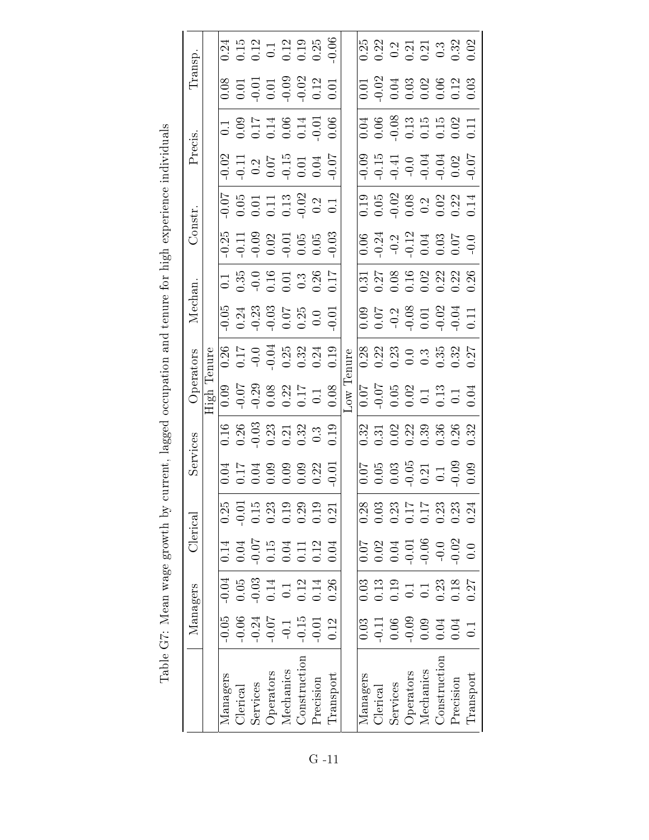|           |                   |          |                 |          |           | $0.24$<br>$0.12$<br>$0.12$<br>$0.19$<br>$0.25$<br>$0.05$<br>$0.05$                                                                                                                                                                                                                                            |              |                    |           |        |          |          | 832353336<br>83255333                                                                                                                                                                                                                                                                                         |           |           |              |           |           |
|-----------|-------------------|----------|-----------------|----------|-----------|---------------------------------------------------------------------------------------------------------------------------------------------------------------------------------------------------------------------------------------------------------------------------------------------------------------|--------------|--------------------|-----------|--------|----------|----------|---------------------------------------------------------------------------------------------------------------------------------------------------------------------------------------------------------------------------------------------------------------------------------------------------------------|-----------|-----------|--------------|-----------|-----------|
| Transp    |                   |          |                 |          |           | $\begin{array}{c} 0.08 \\ 0.01 \\ 0.01 \\ 0.01 \\ 0.01 \\ 0.02 \\ \hline \end{array}$                                                                                                                                                                                                                         |              |                    |           |        |          |          | 0.01<br>0.03<br>0.00000000<br>0.0000000                                                                                                                                                                                                                                                                       |           |           |              |           |           |
|           |                   |          |                 |          |           | $\begin{array}{c} 0.1 \\ 0.09 \\ 0.17 \\ 0.00 \\ 0.01 \\ 0.00 \\ 0.01 \\ 0.00 \\ 0.00 \\ \end{array}$                                                                                                                                                                                                         |              |                    |           |        |          |          | $\begin{array}{c} 0.05 \\ 0.05 \\ 0.05 \\ 0.05 \\ 0.05 \\ 0.05 \\ 0.01 \\ 0.01 \\ 0.01 \\ 0.01 \\ 0.01 \\ 0.01 \\ 0.01 \\ 0.01 \\ 0.01 \\ 0.01 \\ 0.01 \\ 0.01 \\ 0.01 \\ 0.01 \\ 0.01 \\ 0.01 \\ 0.01 \\ 0.01 \\ 0.01 \\ 0.01 \\ 0.01 \\ 0.01 \\ 0.01 \\ 0.01 \\ 0.01 \\ 0.01 \\ 0.01 \\ 0.01 \\ 0.01 \\ 0.$ |           |           |              |           |           |
| Precis.   |                   |          |                 |          |           | $-0.02$<br>$-0.11$<br>$0.07$<br>$-0.015$<br>$0.01$<br>$0.04$<br>$0.07$                                                                                                                                                                                                                                        |              |                    |           |        |          |          |                                                                                                                                                                                                                                                                                                               |           |           |              |           |           |
|           |                   |          |                 |          |           | $-0.05$<br>$-0.01$<br>$-0.13$<br>$-0.02$<br>$-0.2$<br>$-0.1$<br>$-0.1$                                                                                                                                                                                                                                        |              |                    |           |        |          |          | $\begin{array}{cccc}\n0.19 & 0.02 & 0.03 \\ 0.05 & 0.03 & 0.03 \\ 0.03 & 0.03 & 0.03 \\ 0.03 & 0.03 & 0.03\n\end{array}$                                                                                                                                                                                      |           |           |              |           |           |
| Constr.   |                   |          |                 |          |           | $-0.25$<br>$-0.03$<br>$-0.02$<br>$-0.05$<br>$-0.05$<br>$-0.03$                                                                                                                                                                                                                                                |              |                    |           |        |          |          | $0.34$<br>$0.24$<br>$0.21$<br>$0.25$<br>$0.5$<br>$0.5$<br>$0.5$<br>$0.0$                                                                                                                                                                                                                                      |           |           |              |           |           |
|           |                   |          |                 |          |           | $-1.35$<br>$-0.35$<br>$-0.5$<br>$-0.5$<br>$-0.35$<br>$-0.35$<br>$-0.35$<br>$-0.35$                                                                                                                                                                                                                            |              |                    |           |        |          |          | 5.57892338<br>5.5892338<br>5.555555                                                                                                                                                                                                                                                                           |           |           |              |           |           |
| Mechan    |                   |          |                 |          |           | 9,034<br>0,243<br>9,036<br>9,035<br>0,000<br>0,000                                                                                                                                                                                                                                                            |              |                    |           |        |          |          | 0.03<br>0.07<br>0.09<br>0.0000000                                                                                                                                                                                                                                                                             |           |           |              |           |           |
| Operators | Tenure            |          |                 |          |           | 86<br>0.17<br>0.332<br>0.324<br>0.19                                                                                                                                                                                                                                                                          |              |                    |           | nure   |          |          | 88889988827<br>0000000000                                                                                                                                                                                                                                                                                     |           |           |              |           |           |
|           | $\overline{figh}$ |          |                 |          |           | $\begin{array}{c} 0.09 \\ 0.07 \\ 0.07 \\ 0.08 \\ 0.01 \\ 0.01 \\ 0.01 \\ 0.01 \\ 0.03 \\ 0.01 \\ 0.03 \\ 0.03 \\ 0.04 \\ 0.03 \\ 0.04 \\ 0.08 \\ 0.04 \\ 0.08 \\ 0.04 \\ 0.08 \\ 0.04 \\ 0.08 \\ 0.04 \\ 0.08 \\ 0.04 \\ 0.08 \\ 0.04 \\ 0.08 \\ 0.04 \\ 0.08 \\ 0.04 \\ 0.08 \\ 0.04 \\ 0.08 \\ 0.08 \\ 0.$ |              |                    |           | $\sim$ |          |          | $\begin{array}{c} 0.07 \\ -0.05 \\ 0.02 \\ 0.13 \\ 0.13 \\ 0.01 \\ 0.04 \end{array}$                                                                                                                                                                                                                          |           |           |              |           |           |
|           |                   |          |                 |          |           | $\begin{array}{c} 16 \\ 0.36 \\ 0.33 \\ 0.21 \\ 0.33 \\ 0.31 \\ 0.33 \\ 0.33 \\ 0.33 \\ 0.33 \\ 0.33 \\ 0.33 \\ 0.33 \\ 0.33 \\ 0.33 \\ 0.33 \\ 0.33 \\ 0.33 \\ 0.33 \\ 0.33 \\ 0.33 \\ 0.33 \\ 0.33 \\ 0.33 \\ 0.33 \\ 0.33 \\ 0.33 \\ 0.33 \\ 0.33 \\ 0.33 \\ 0.33 \\ 0.33 \\ 0.33 \\ 0.33 \\ 0.33 \\ 0.33$ |              |                    |           |        |          |          | 2<br>2<br>2<br>2<br>2<br>2<br>2<br>2<br>2<br>2<br>2<br>2<br>2<br>2                                                                                                                                                                                                                                            |           |           |              |           |           |
| Services  |                   |          |                 |          |           | $\begin{array}{cccc}\n 3 & 1 & 3 & 3 & 3 & 3 & 5 \\  6 & 1 & 5 & 3 & 3 & 3 & 5 \\  7 & 6 & 5 & 6 & 5 & 3 & 5\n \end{array}$                                                                                                                                                                                   |              |                    |           |        |          |          | $0.05$<br>$0.05$<br>$0.05$<br>$0.05$<br>$0.01$<br>$0.00$<br>$0.00$<br>$0.00$                                                                                                                                                                                                                                  |           |           |              |           |           |
| Clerical  |                   | 0.25     |                 |          |           | 0.15<br>0.13<br>0.19<br>0.19<br>0.10<br>0.11                                                                                                                                                                                                                                                                  |              |                    |           |        | 0.28     |          | 0.03<br>0.03<br>0.0000000<br>0.000000                                                                                                                                                                                                                                                                         |           |           |              |           |           |
|           |                   | 0.14     | $0.04\,$        |          |           | $-0.15$<br>$-0.11$<br>$-0.12$<br>$-0.12$<br>$-0.04$                                                                                                                                                                                                                                                           |              |                    |           |        |          |          |                                                                                                                                                                                                                                                                                                               |           |           |              |           |           |
|           |                   | $-0.04$  | $0.05\,$        |          |           | $-0.03$<br>$0.14$<br>$0.12$<br>$0.12$<br>$0.14$                                                                                                                                                                                                                                                               |              |                    | 0.26      |        | 0.03     |          |                                                                                                                                                                                                                                                                                                               |           |           |              |           |           |
| Managers  |                   | $-0.05$  | $-0.06$         |          |           | $-0.24$<br>$-0.07$<br>$-0.1$                                                                                                                                                                                                                                                                                  |              | $-0.15$<br>$-0.01$ | 0.12      |        | 0.03     | $-0.11$  | $\begin{array}{c} 0.06 \\ -0.09 \\ 0.04 \\ 0.04 \\ 0.04 \\ 0.01 \end{array}$                                                                                                                                                                                                                                  |           |           |              |           |           |
|           |                   | Managers | <b>Clerical</b> | Services | Operators | Mechanics                                                                                                                                                                                                                                                                                                     | Construction | Precision          | Transport |        | Managers | Clerical | Services                                                                                                                                                                                                                                                                                                      | Operators | Mechanics | Construction | Precision | Transport |
|           |                   |          |                 |          |           |                                                                                                                                                                                                                                                                                                               |              |                    |           |        |          |          |                                                                                                                                                                                                                                                                                                               |           |           |              |           |           |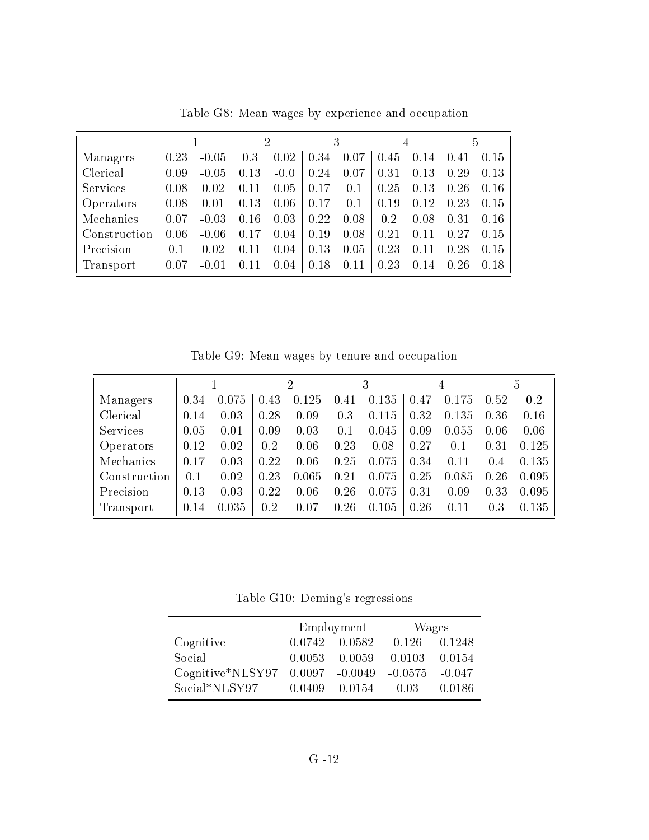|                  |      |         |      |        | 3    |      |      |      |      | 5    |
|------------------|------|---------|------|--------|------|------|------|------|------|------|
| Managers         | 0.23 | $-0.05$ | 0.3  | 0.02   | 0.34 | 0.07 | 0.45 | 0.14 | .41  | 0.15 |
| Clerical         | 0.09 | $-0.05$ | 0.13 | $-0.0$ | 0.24 | 0.07 | 0.31 | 0.13 | 0.29 | 0.13 |
| <b>Services</b>  | 0.08 | 0.02    | 0.11 | 0.05   | 0.17 | 0.1  | 0.25 | 0.13 | 0.26 | 0.16 |
| <i>Operators</i> | 0.08 | 0.01    | 0.13 | 0.06   | 0.17 | 0.1  | 0.19 | 0.12 | 0.23 | 0.15 |
| Mechanics        | 0.07 | $-0.03$ | 0.16 | 0.03   | 0.22 | 0.08 | 0.2  | 0.08 | 0.31 | 0.16 |
| Construction     | 0.06 | $-0.06$ | 0.17 | 0.04   | 0.19 | 0.08 | 0.21 | 0.11 | 0.27 | 0.15 |
| Precision        | 0.1  | 0.02    | 0.11 | 0.04   | 0.13 | 0.05 | 0.23 | 0.11 | 0.28 | 0.15 |
| Transport        | 0.07 | $-0.01$ | 0.11 | 0.04   | 0.18 | 0.11 | 0.23 | 0.14 | 0.26 | 0.18 |

Table G8: Mean wages by experience and occupation

Table G9: Mean wages by tenure and occupation

|                 |      |       |      | 2     |      | 3     |      | 4     |      | 5     |
|-----------------|------|-------|------|-------|------|-------|------|-------|------|-------|
| Managers        | 0.34 | 0.075 | 0.43 | 0.125 | 0.41 | 0.135 | 0.47 | 0.175 | 0.52 | 0.2   |
| Clerical        | 0.14 | 0.03  | 0.28 | 0.09  | 0.3  | 0.115 | 0.32 | 0.135 | 0.36 | 0.16  |
| <b>Services</b> | 0.05 | 0.01  | 0.09 | 0.03  | 0.1  | 0.045 | 0.09 | 0.055 | 0.06 | 0.06  |
| Operators       | 0.12 | 0.02  | 0.2  | 0.06  | 0.23 | 0.08  | 0.27 | 0.1   | 0.31 | 0.125 |
| Mechanics       | 0.17 | 0.03  | 0.22 | 0.06  | 0.25 | 0.075 | 0.34 | 0.11  | 0.4  | 0.135 |
| Construction    | 0.1  | 0.02  | 0.23 | 0.065 | 0.21 | 0.075 | 0.25 | 0.085 | 0.26 | 0.095 |
| Precision       | 0.13 | 0.03  | 0.22 | 0.06  | 0.26 | 0.075 | 0.31 | 0.09  | 0.33 | 0.095 |
| Transport       | 0.14 | 0.035 | 0.2  | 0.07  | 0.26 | 0.105 | 0.26 | 0.11  | 0.3  | 0.135 |

Table G10: Deming's regressions

|                                   |        | Employment | Wages             |        |
|-----------------------------------|--------|------------|-------------------|--------|
| Cognitive                         | 0.0742 | - 0.0582   | 0.126             | 0.1248 |
| Social                            | 0.0053 | 0.0059     | 0.0103            | 0.0154 |
| $Cognitive*NLSY97 0.0097 -0.0049$ |        |            | $-0.0575 - 0.047$ |        |
| Social*NLSY97                     | 0.0409 | 0.0154     | 0.03              | 0.0186 |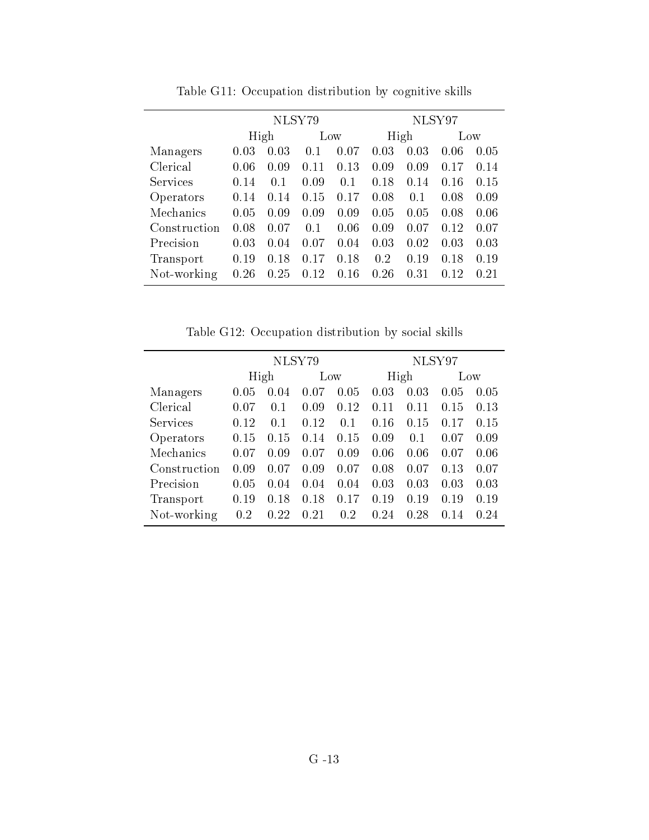|              | NLSY79 |      |      |      | NLSY97 |          |      |      |  |
|--------------|--------|------|------|------|--------|----------|------|------|--|
|              | High   |      | Low  |      | High   |          | Low  |      |  |
| Managers     | 0.03   | 0.03 | 0.1  | 0.07 | 0.03   | $0.03\,$ | 0.06 | 0.05 |  |
| Clerical     | 0.06   | 0.09 | 0.11 | 0.13 | 0.09   | 0.09     | 0.17 | 0.14 |  |
| Services     | 0.14   | 0.1  | 0.09 | 0.1  | 0.18   | 0.14     | 0.16 | 0.15 |  |
| Operators    | 0.14   | 0.14 | 0.15 | 0.17 | 0.08   | 0.1      | 0.08 | 0.09 |  |
| Mechanics    | 0.05   | 0.09 | 0.09 | 0.09 | 0.05   | 0.05     | 0.08 | 0.06 |  |
| Construction | 0.08   | 0.07 | 0.1  | 0.06 | 0.09   | 0.07     | 0.12 | 0.07 |  |
| Precision    | 0.03   | 0.04 | 0.07 | 0.04 | 0.03   | 0.02     | 0.03 | 0.03 |  |
| Transport    | 0.19   | 0.18 | 0.17 | 0.18 | 0.2    | 0.19     | 0.18 | 0.19 |  |
| Not-working  | 0.26   | 0.25 | 0.12 | 0.16 | 0.26   | 0.31     | 0.12 | 0.21 |  |

Table G11: Occupation distribution by cognitive skills

Table G12: Occupation distribution by social skills

|              | NLSY79 |      |      |      | NLSY97 |      |      |      |
|--------------|--------|------|------|------|--------|------|------|------|
|              |        | High |      | Low  |        | High |      | Low  |
| Managers     | 0.05   | 0.04 | 0.07 | 0.05 | 0.03   | 0.03 | 0.05 | 0.05 |
| Clerical     | 0.07   | 0.1  | 0.09 | 0.12 | 0.11   | 0.11 | 0.15 | 0.13 |
| Services     | 0.12   | 0.1  | 0.12 | 0.1  | 0.16   | 0.15 | 0.17 | 0.15 |
| Operators    | 0.15   | 0.15 | 0.14 | 0.15 | 0.09   | 0.1  | 0.07 | 0.09 |
| Mechanics    | 0.07   | 0.09 | 0.07 | 0.09 | 0.06   | 0.06 | 0.07 | 0.06 |
| Construction | 0.09   | 0.07 | 0.09 | 0.07 | 0.08   | 0.07 | 0.13 | 0.07 |
| Precision    | 0.05   | 0.04 | 0.04 | 0.04 | 0.03   | 0.03 | 0.03 | 0.03 |
| Transport    | 0.19   | 0.18 | 0.18 | 0.17 | 0.19   | 0.19 | 0.19 | 0.19 |
| Not-working  | 0.2    | 0.22 | 0.21 | 0.2  | 0.24   | 0.28 | 0.14 | 0.24 |